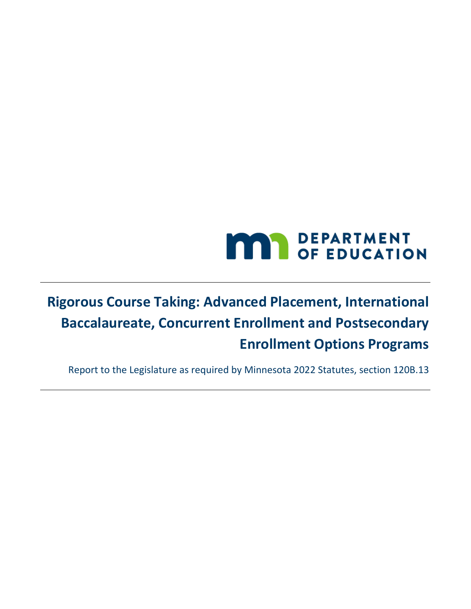# **MAY DEPARTMENT**

## **Rigorous Course Taking: Advanced Placement, International Baccalaureate, Concurrent Enrollment and Postsecondary Enrollment Options Programs**

Report to the Legislature as required by Minnesota 2022 Statutes, section 120B.13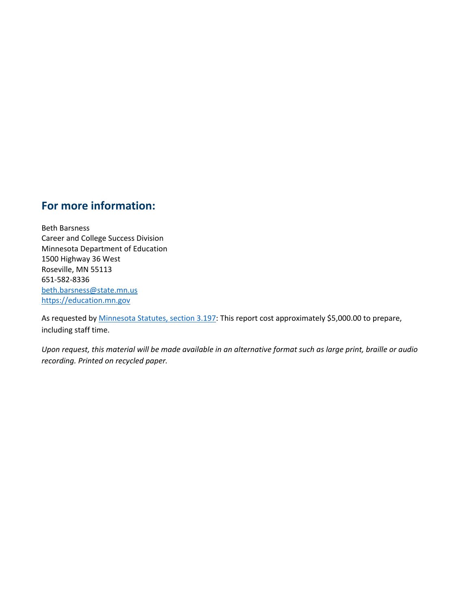## **For more information:**

Beth Barsness Career and College Success Division Minnesota Department of Education 1500 Highway 36 West Roseville, MN 55113 651-582-8336 [beth.barsness@state.mn.us](mailto:beth.barsness@state.mn.us)  [https://education.mn.gov](https://education.mn.gov/) 

As requested by **Minnesota Statutes, section 3.197**: This report cost approximately \$5,000.00 to prepare, including staff time.

*Upon request, this material will be made available in an alternative format such as large print, braille or audio recording. Printed on recycled paper.*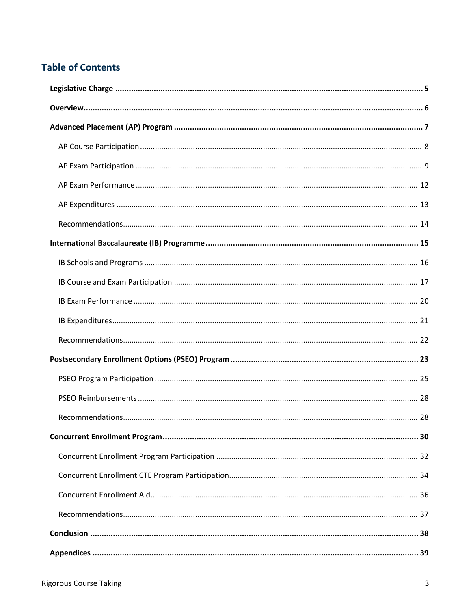### **Table of Contents**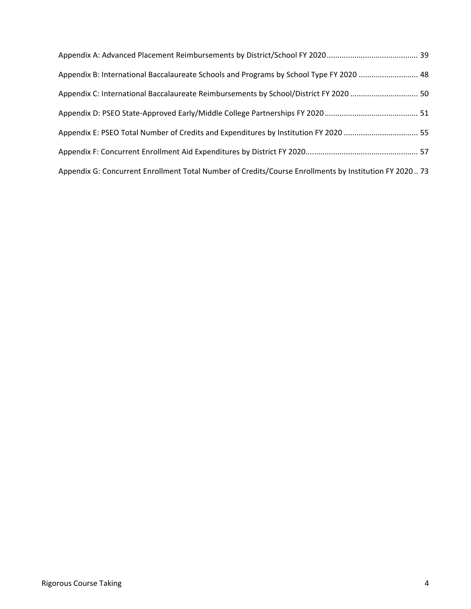| Appendix B: International Baccalaureate Schools and Programs by School Type FY 2020  48                |  |
|--------------------------------------------------------------------------------------------------------|--|
|                                                                                                        |  |
|                                                                                                        |  |
| Appendix E: PSEO Total Number of Credits and Expenditures by Institution FY 2020  55                   |  |
|                                                                                                        |  |
| Appendix G: Concurrent Enrollment Total Number of Credits/Course Enrollments by Institution FY 2020 73 |  |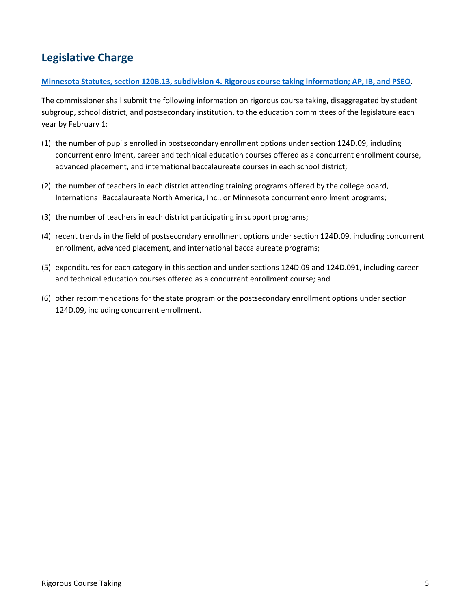## **Legislative Charge**

#### **[Minnesota Statutes, section 120B.13, subdivision 4. Rigorous course taking information; AP, IB, and PSEO.](https://www.revisor.mn.gov/statutes/?id=120B.13#stat.120B.13.4)**

The commissioner shall submit the following information on rigorous course taking, disaggregated by student subgroup, school district, and postsecondary institution, to the education committees of the legislature each year by February 1:

- (1) the number of pupils enrolled in postsecondary enrollment options under section 124D.09, including concurrent enrollment, career and technical education courses offered as a concurrent enrollment course, advanced placement, and international baccalaureate courses in each school district;
- (2) the number of teachers in each district attending training programs offered by the college board, International Baccalaureate North America, Inc., or Minnesota concurrent enrollment programs;
- (3) the number of teachers in each district participating in support programs;
- (4) recent trends in the field of postsecondary enrollment options under section 124D.09, including concurrent enrollment, advanced placement, and international baccalaureate programs;
- (5) expenditures for each category in this section and under sections 124D.09 and 124D.091, including career and technical education courses offered as a concurrent enrollment course; and
- (6) other recommendations for the state program or the postsecondary enrollment options under section 124D.09, including concurrent enrollment.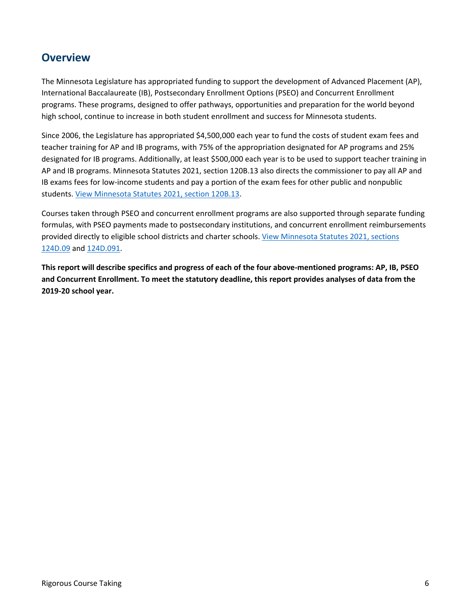## **Overview**

The Minnesota Legislature has appropriated funding to support the development of Advanced Placement (AP), International Baccalaureate (IB), Postsecondary Enrollment Options (PSEO) and Concurrent Enrollment programs. These programs, designed to offer pathways, opportunities and preparation for the world beyond high school, continue to increase in both student enrollment and success for Minnesota students.

Since 2006, the Legislature has appropriated \$4,500,000 each year to fund the costs of student exam fees and teacher training for AP and IB programs, with 75% of the appropriation designated for AP programs and 25% designated for IB programs. Additionally, at least \$500,000 each year is to be used to support teacher training in AP and IB programs. Minnesota Statutes 2021, section 120B.13 also directs the commissioner to pay all AP and IB exams fees for low-income students and pay a portion of the exam fees for other public and nonpublic students. [View Minnesota Statutes 2021, section](https://www.revisor.mn.gov/statutes/?id=120B.13) 120B.13.

Courses taken through PSEO and concurrent enrollment programs are also supported through separate funding formulas, with PSEO payments made to postsecondary institutions, and concurrent enrollment reimbursements provided directly to eligible school districts and charter schools[. View Minnesota Statutes 2021, sections](https://www.revisor.mn.gov/statutes/?id=124D.09)  [124D.09](https://www.revisor.mn.gov/statutes/?id=124D.09) and [124D.091.](https://www.revisor.mn.gov/statutes/cite/124D.091)

**This report will describe specifics and progress of each of the four above-mentioned programs: AP, IB, PSEO and Concurrent Enrollment. To meet the statutory deadline, this report provides analyses of data from the 2019-20 school year.**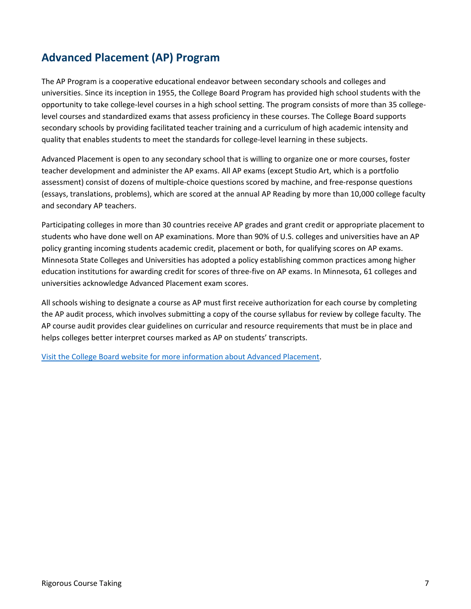## **Advanced Placement (AP) Program**

The AP Program is a cooperative educational endeavor between secondary schools and colleges and universities. Since its inception in 1955, the College Board Program has provided high school students with the opportunity to take college-level courses in a high school setting. The program consists of more than 35 collegelevel courses and standardized exams that assess proficiency in these courses. The College Board supports secondary schools by providing facilitated teacher training and a curriculum of high academic intensity and quality that enables students to meet the standards for college-level learning in these subjects.

Advanced Placement is open to any secondary school that is willing to organize one or more courses, foster teacher development and administer the AP exams. All AP exams (except Studio Art, which is a portfolio assessment) consist of dozens of multiple-choice questions scored by machine, and free-response questions (essays, translations, problems), which are scored at the annual AP Reading by more than 10,000 college faculty and secondary AP teachers.

Participating colleges in more than 30 countries receive AP grades and grant credit or appropriate placement to students who have done well on AP examinations. More than 90% of U.S. colleges and universities have an AP policy granting incoming students academic credit, placement or both, for qualifying scores on AP exams. Minnesota State Colleges and Universities has adopted a policy establishing common practices among higher education institutions for awarding credit for scores of three-five on AP exams. In Minnesota, 61 colleges and universities acknowledge Advanced Placement exam scores.

All schools wishing to designate a course as AP must first receive authorization for each course by completing the AP audit process, which involves submitting a copy of the course syllabus for review by college faculty. The AP course audit provides clear guidelines on curricular and resource requirements that must be in place and helps colleges better interpret courses marked as AP on students' transcripts.

[Visit the College Board website for more information about Advanced Placement.](https://ap.collegeboard.org/?navId=apc-ap)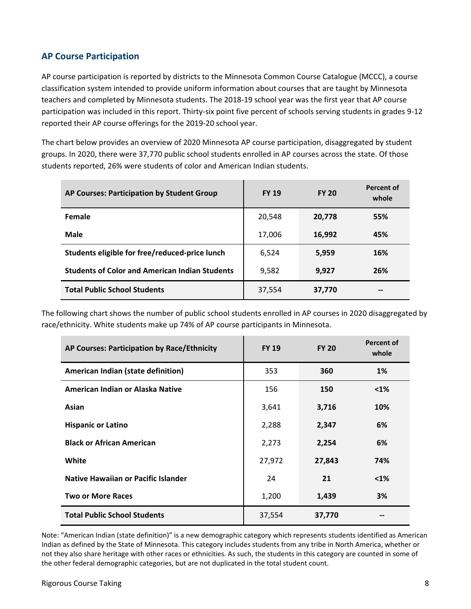#### **AP Course Participation**

AP course participation is reported by districts to the Minnesota Common Course Catalogue (MCCC), a course classification system intended to provide uniform information about courses that are taught by Minnesota teachers and completed by Minnesota students. The 2018-19 school year was the first year that AP course participation was included in this report. Thirty-six point five percent of schools serving students in grades 9-12 reported their AP course offerings for the 2019-20 school year.

The chart below provides an overview of 2020 Minnesota AP course participation, disaggregated by student groups. In 2020, there were 37,770 public school students enrolled in AP courses across the state. Of those students reported, 26% were students of color and American Indian students.

| AP Courses: Participation by Student Group            | <b>FY 19</b> | <b>FY 20</b> | <b>Percent of</b><br>whole |
|-------------------------------------------------------|--------------|--------------|----------------------------|
| Female                                                | 20,548       | 20,778       | 55%                        |
| Male                                                  | 17,006       | 16,992       | 45%                        |
| Students eligible for free/reduced-price lunch        | 6,524        | 5,959        | 16%                        |
| <b>Students of Color and American Indian Students</b> | 9,582        | 9,927        | 26%                        |
| <b>Total Public School Students</b>                   | 37,554       | 37,770       | $- -$                      |

The following chart shows the number of public school students enrolled in AP courses in 2020 disaggregated by race/ethnicity. White students make up 74% of AP course participants in Minnesota.

| AP Courses: Participation by Race/Ethnicity | <b>FY 19</b> | <b>FY 20</b> | <b>Percent of</b><br>whole |
|---------------------------------------------|--------------|--------------|----------------------------|
| American Indian (state definition)          | 353          | 360          | $1\%$                      |
| American Indian or Alaska Native            | 156          | 150          | $< 1\%$                    |
| Asian                                       | 3,641        | 3,716        | 10%                        |
| <b>Hispanic or Latino</b>                   | 2,288        | 2,347        | 6%                         |
| <b>Black or African American</b>            | 2,273        | 2,254        | 6%                         |
| White                                       | 27,972       | 27,843       | 74%                        |
| Native Hawaiian or Pacific Islander         | 24           | 21           | $< 1\%$                    |
| <b>Two or More Races</b>                    | 1,200        | 1,439        | 3%                         |
| <b>Total Public School Students</b>         | 37,554       | 37,770       |                            |

Note: "American Indian (state definition)" is a new demographic category which represents students identified as American Indian as defined by the State of Minnesota. This category includes students from any tribe in North America, whether or not they also share heritage with other races or ethnicities. As such, the students in this category are counted in some of the other federal demographic categories, but are not duplicated in the total student count.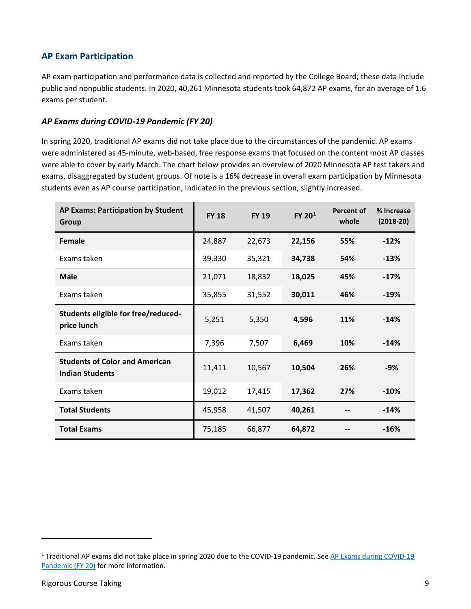#### **AP Exam Participation**

AP exam participation and performance data is collected and reported by the College Board; these data include public and nonpublic students. In 2020, 40,261 Minnesota students took 64,872 AP exams, for an average of 1.6 exams per student.

#### <span id="page-8-0"></span>*AP Exams during COVID-19 Pandemic (FY 20)*

In spring 2020, traditional AP exams did not take place due to the circumstances of the pandemic. AP exams were administered as 45-minute, web-based, free response exams that focused on the content most AP classes were able to cover by early March. The chart below provides an overview of 2020 Minnesota AP test takers and exams, disaggregated by student groups. Of note is a 16% decrease in overall exam participation by Minnesota students even as AP course participation, indicated in the previous section, slightly increased.

| <b>AP Exams: Participation by Student</b><br>Group              | <b>FY 18</b> | <b>FY 19</b> | $FY$ 20 $1$ | Percent of<br>whole | % Increase<br>$(2018-20)$ |
|-----------------------------------------------------------------|--------------|--------------|-------------|---------------------|---------------------------|
| Female                                                          | 24,887       | 22,673       | 22,156      | 55%                 | $-12%$                    |
| Exams taken                                                     | 39,330       | 35,321       | 34,738      | 54%                 | $-13%$                    |
| <b>Male</b>                                                     | 21,071       | 18,832       | 18,025      | 45%                 | $-17%$                    |
| Exams taken                                                     | 35,855       | 31,552       | 30,011      | 46%                 | $-19%$                    |
| Students eligible for free/reduced-<br>price lunch              | 5,251        | 5,350        | 4,596       | 11%                 | $-14%$                    |
| Exams taken                                                     | 7,396        | 7,507        | 6,469       | 10%                 | $-14%$                    |
| <b>Students of Color and American</b><br><b>Indian Students</b> | 11,411       | 10,567       | 10,504      | 26%                 | $-9%$                     |
| Exams taken                                                     | 19,012       | 17,415       | 17,362      | 27%                 | $-10%$                    |
| <b>Total Students</b>                                           | 45,958       | 41,507       | 40,261      |                     | $-14%$                    |
| <b>Total Exams</b>                                              | 75,185       | 66,877       | 64,872      |                     | $-16%$                    |

l

<span id="page-8-1"></span><sup>&</sup>lt;sup>1</sup> Traditional AP exams did not take place in spring 2020 due to the COVID-19 pandemic. See [AP Exams during COVID-19](#page-8-0) [Pandemic \(FY 20\)](#page-8-0) for more information.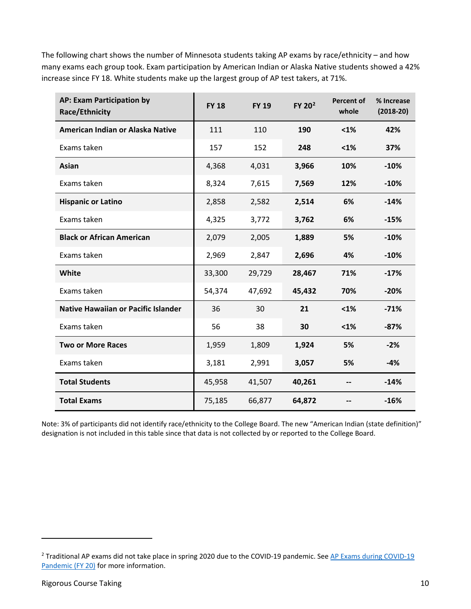The following chart shows the number of Minnesota students taking AP exams by race/ethnicity – and how many exams each group took. Exam participation by American Indian or Alaska Native students showed a 42% increase since FY 18. White students make up the largest group of AP test takers, at 71%.

| AP: Exam Participation by<br>Race/Ethnicity | <b>FY 18</b> | <b>FY 19</b> | $FY$ 20 $^2$ | <b>Percent of</b><br>whole | % Increase<br>$(2018-20)$ |
|---------------------------------------------|--------------|--------------|--------------|----------------------------|---------------------------|
| American Indian or Alaska Native            | 111          | 110          | 190          | $1%$                       | 42%                       |
| Exams taken                                 | 157          | 152          | 248          | $1%$                       | 37%                       |
| Asian                                       | 4,368        | 4,031        | 3,966        | 10%                        | $-10%$                    |
| Exams taken                                 | 8,324        | 7,615        | 7,569        | 12%                        | $-10%$                    |
| <b>Hispanic or Latino</b>                   | 2,858        | 2,582        | 2,514        | 6%                         | $-14%$                    |
| Exams taken                                 | 4,325        | 3,772        | 3,762        | 6%                         | $-15%$                    |
| <b>Black or African American</b>            | 2,079        | 2,005        | 1,889        | 5%                         | $-10%$                    |
| Exams taken                                 | 2,969        | 2,847        | 2,696        | 4%                         | $-10%$                    |
| <b>White</b>                                | 33,300       | 29,729       | 28,467       | 71%                        | $-17%$                    |
| Exams taken                                 | 54,374       | 47,692       | 45,432       | 70%                        | $-20%$                    |
| <b>Native Hawaiian or Pacific Islander</b>  | 36           | 30           | 21           | $1%$                       | $-71%$                    |
| Exams taken                                 | 56           | 38           | 30           | $1%$                       | $-87%$                    |
| <b>Two or More Races</b>                    | 1,959        | 1,809        | 1,924        | 5%                         | $-2%$                     |
| Exams taken                                 | 3,181        | 2,991        | 3,057        | 5%                         | $-4%$                     |
| <b>Total Students</b>                       | 45,958       | 41,507       | 40,261       |                            | $-14%$                    |
| <b>Total Exams</b>                          | 75,185       | 66,877       | 64,872       |                            | $-16%$                    |

Note: 3% of participants did not identify race/ethnicity to the College Board. The new "American Indian (state definition)" designation is not included in this table since that data is not collected by or reported to the College Board.

l

<span id="page-9-0"></span><sup>&</sup>lt;sup>2</sup> Traditional AP exams did not take place in spring 2020 due to the COVID-19 pandemic. See AP Exams during COVID-19 [Pandemic \(FY 20\)](#page-8-0) for more information.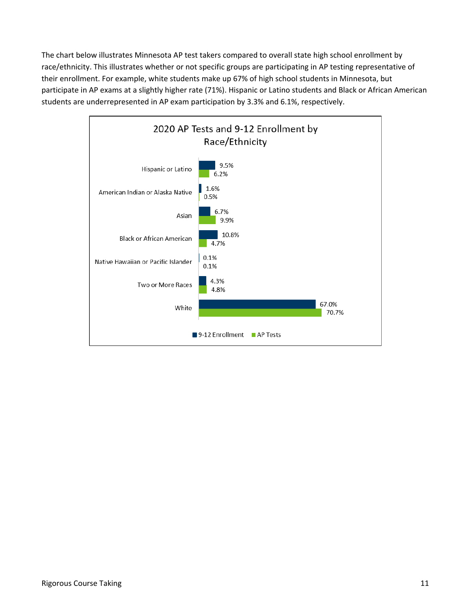The chart below illustrates Minnesota AP test takers compared to overall state high school enrollment by race/ethnicity. This illustrates whether or not specific groups are participating in AP testing representative of their enrollment. For example, white students make up 67% of high school students in Minnesota, but participate in AP exams at a slightly higher rate (71%). Hispanic or Latino students and Black or African American students are underrepresented in AP exam participation by 3.3% and 6.1%, respectively.

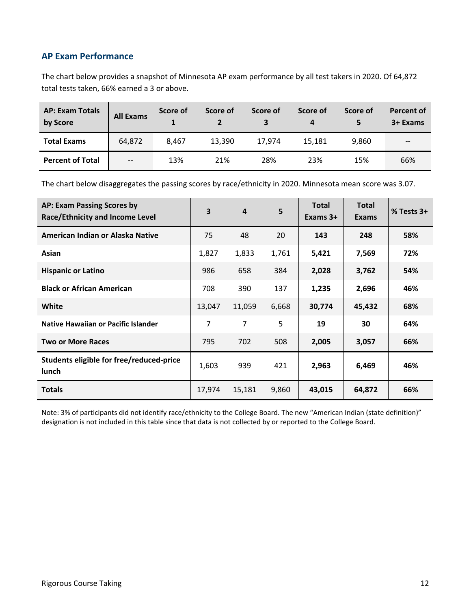#### **AP Exam Performance**

The chart below provides a snapshot of Minnesota AP exam performance by all test takers in 2020. Of 64,872 total tests taken, 66% earned a 3 or above.

| <b>AP: Exam Totals</b><br>by Score | <b>All Exams</b> | Score of | Score of | Score of | Score of<br>4 | Score of | <b>Percent of</b><br>3+ Exams |
|------------------------------------|------------------|----------|----------|----------|---------------|----------|-------------------------------|
| <b>Total Exams</b>                 | 64,872           | 8.467    | 13.390   | 17.974   | 15.181        | 9.860    | $\overline{\phantom{m}}$      |
| <b>Percent of Total</b>            | $-$              | 13%      | 21%      | 28%      | 23%           | 15%      | 66%                           |

The chart below disaggregates the passing scores by race/ethnicity in 2020. Minnesota mean score was 3.07.

| <b>AP: Exam Passing Scores by</b><br><b>Race/Ethnicity and Income Level</b> | 3      | $\overline{4}$ | 5     | <b>Total</b><br>Exams 3+ | <b>Total</b><br><b>Exams</b> | % Tests 3+ |
|-----------------------------------------------------------------------------|--------|----------------|-------|--------------------------|------------------------------|------------|
| American Indian or Alaska Native                                            | 75     | 48             | 20    | 143                      | 248                          | 58%        |
| Asian                                                                       | 1,827  | 1,833          | 1,761 | 5,421                    | 7,569                        | 72%        |
| <b>Hispanic or Latino</b>                                                   | 986    | 658            | 384   | 2,028                    | 3,762                        | 54%        |
| <b>Black or African American</b>                                            | 708    | 390            | 137   | 1,235                    | 2,696                        | 46%        |
| White                                                                       | 13,047 | 11,059         | 6,668 | 30,774                   | 45,432                       | 68%        |
| <b>Native Hawaiian or Pacific Islander</b>                                  | 7      | 7              | 5     | 19                       | 30                           | 64%        |
| <b>Two or More Races</b>                                                    | 795    | 702            | 508   | 2,005                    | 3,057                        | 66%        |
| Students eligible for free/reduced-price<br>lunch                           | 1,603  | 939            | 421   | 2,963                    | 6,469                        | 46%        |
| <b>Totals</b>                                                               | 17,974 | 15,181         | 9,860 | 43,015                   | 64,872                       | 66%        |

Note: 3% of participants did not identify race/ethnicity to the College Board. The new "American Indian (state definition)" designation is not included in this table since that data is not collected by or reported to the College Board.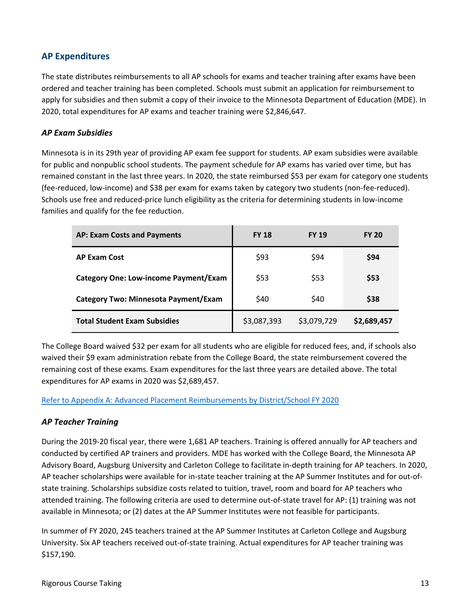#### **AP Expenditures**

The state distributes reimbursements to all AP schools for exams and teacher training after exams have been ordered and teacher training has been completed. Schools must submit an application for reimbursement to apply for subsidies and then submit a copy of their invoice to the Minnesota Department of Education (MDE). In 2020, total expenditures for AP exams and teacher training were \$2,846,647.

#### *AP Exam Subsidies*

Minnesota is in its 29th year of providing AP exam fee support for students. AP exam subsidies were available for public and nonpublic school students. The payment schedule for AP exams has varied over time, but has remained constant in the last three years. In 2020, the state reimbursed \$53 per exam for category one students (fee-reduced, low-income) and \$38 per exam for exams taken by category two students (non-fee-reduced). Schools use free and reduced-price lunch eligibility as the criteria for determining students in low-income families and qualify for the fee reduction.

| <b>AP: Exam Costs and Payments</b>    | <b>FY 18</b> | <b>FY 19</b> | <b>FY 20</b> |
|---------------------------------------|--------------|--------------|--------------|
| <b>AP Exam Cost</b>                   | \$93         | \$94         | \$94         |
| Category One: Low-income Payment/Exam | \$53         | \$53         | \$53         |
| Category Two: Minnesota Payment/Exam  | \$40         | \$40         | \$38         |
| <b>Total Student Exam Subsidies</b>   | \$3,087,393  | \$3,079,729  | \$2,689,457  |

The College Board waived \$32 per exam for all students who are eligible for reduced fees, and, if schools also waived their \$9 exam administration rebate from the College Board, the state reimbursement covered the remaining cost of these exams. Exam expenditures for the last three years are detailed above. The total expenditures for AP exams in 2020 was \$2,689,457.

[Refer to Appendix A: Advanced Placement Reimbursements by District/School FY 2020](#page-38-0)

#### *AP Teacher Training*

During the 2019-20 fiscal year, there were 1,681 AP teachers. Training is offered annually for AP teachers and conducted by certified AP trainers and providers. MDE has worked with the College Board, the Minnesota AP Advisory Board, Augsburg University and Carleton College to facilitate in-depth training for AP teachers. In 2020, AP teacher scholarships were available for in-state teacher training at the AP Summer Institutes and for out-ofstate training. Scholarships subsidize costs related to tuition, travel, room and board for AP teachers who attended training. The following criteria are used to determine out-of-state travel for AP: (1) training was not available in Minnesota; or (2) dates at the AP Summer Institutes were not feasible for participants.

In summer of FY 2020, 245 teachers trained at the AP Summer Institutes at Carleton College and Augsburg University. Six AP teachers received out-of-state training. Actual expenditures for AP teacher training was \$157,190.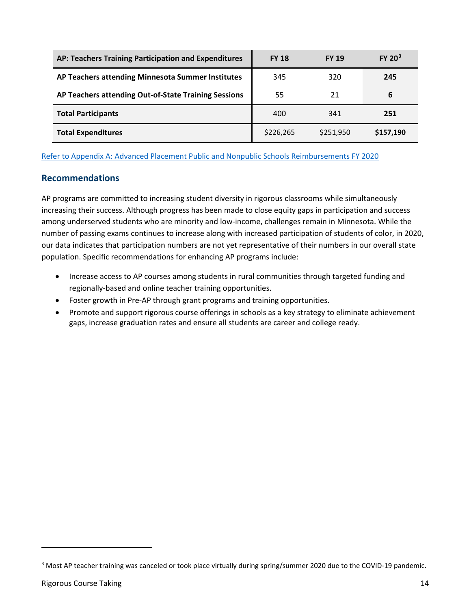| AP: Teachers Training Participation and Expenditures | <b>FY 18</b> | <b>FY 19</b> | $FY$ 20 <sup>3</sup> |
|------------------------------------------------------|--------------|--------------|----------------------|
| AP Teachers attending Minnesota Summer Institutes    | 345          | 320          | 245                  |
| AP Teachers attending Out-of-State Training Sessions | 55           | 21           | 6                    |
| <b>Total Participants</b>                            | 400          | 341          | 251                  |
| <b>Total Expenditures</b>                            | \$226,265    | \$251.950    | \$157,190            |

[Refer to Appendix A: Advanced Placement Public and Nonpublic Schools Reimbursements FY 2020](#page-38-0) 

#### **Recommendations**

AP programs are committed to increasing student diversity in rigorous classrooms while simultaneously increasing their success. Although progress has been made to close equity gaps in participation and success among underserved students who are minority and low-income, challenges remain in Minnesota. While the number of passing exams continues to increase along with increased participation of students of color, in 2020, our data indicates that participation numbers are not yet representative of their numbers in our overall state population. Specific recommendations for enhancing AP programs include:

- Increase access to AP courses among students in rural communities through targeted funding and regionally-based and online teacher training opportunities.
- Foster growth in Pre-AP through grant programs and training opportunities.
- Promote and support rigorous course offerings in schools as a key strategy to eliminate achievement gaps, increase graduation rates and ensure all students are career and college ready.

 $\overline{a}$ 

<span id="page-13-0"></span><sup>&</sup>lt;sup>3</sup> Most AP teacher training was canceled or took place virtually during spring/summer 2020 due to the COVID-19 pandemic.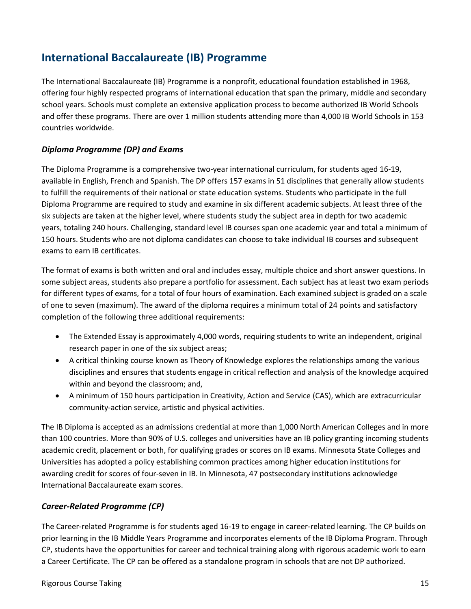## **International Baccalaureate (IB) Programme**

The International Baccalaureate (IB) Programme is a nonprofit, educational foundation established in 1968, offering four highly respected programs of international education that span the primary, middle and secondary school years. Schools must complete an extensive application process to become authorized IB World Schools and offer these programs. There are over 1 million students attending more than 4,000 IB World Schools in 153 countries worldwide.

#### *Diploma Programme (DP) and Exams*

The Diploma Programme is a comprehensive two-year international curriculum, for students aged 16-19, available in English, French and Spanish. The DP offers 157 exams in 51 disciplines that generally allow students to fulfill the requirements of their national or state education systems. Students who participate in the full Diploma Programme are required to study and examine in six different academic subjects. At least three of the six subjects are taken at the higher level, where students study the subject area in depth for two academic years, totaling 240 hours. Challenging, standard level IB courses span one academic year and total a minimum of 150 hours. Students who are not diploma candidates can choose to take individual IB courses and subsequent exams to earn IB certificates.

The format of exams is both written and oral and includes essay, multiple choice and short answer questions. In some subject areas, students also prepare a portfolio for assessment. Each subject has at least two exam periods for different types of exams, for a total of four hours of examination. Each examined subject is graded on a scale of one to seven (maximum). The award of the diploma requires a minimum total of 24 points and satisfactory completion of the following three additional requirements:

- The Extended Essay is approximately 4,000 words, requiring students to write an independent, original research paper in one of the six subject areas;
- A critical thinking course known as Theory of Knowledge explores the relationships among the various disciplines and ensures that students engage in critical reflection and analysis of the knowledge acquired within and beyond the classroom; and,
- A minimum of 150 hours participation in Creativity, Action and Service (CAS), which are extracurricular community-action service, artistic and physical activities.

The IB Diploma is accepted as an admissions credential at more than 1,000 North American Colleges and in more than 100 countries. More than 90% of U.S. colleges and universities have an IB policy granting incoming students academic credit, placement or both, for qualifying grades or scores on IB exams. Minnesota State Colleges and Universities has adopted a policy establishing common practices among higher education institutions for awarding credit for scores of four-seven in IB. In Minnesota, 47 postsecondary institutions acknowledge International Baccalaureate exam scores.

#### *Career-Related Programme (CP)*

The Career-related Programme is for students aged 16-19 to engage in career-related learning. The CP builds on prior learning in the IB Middle Years Programme and incorporates elements of the IB Diploma Program. Through CP, students have the opportunities for career and technical training along with rigorous academic work to earn a Career Certificate. The CP can be offered as a standalone program in schools that are not DP authorized.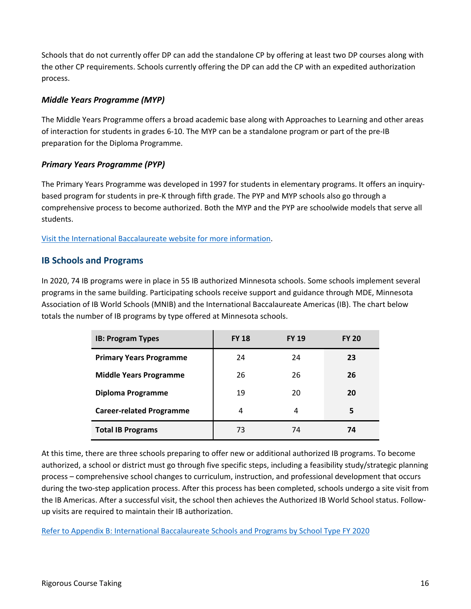Schools that do not currently offer DP can add the standalone CP by offering at least two DP courses along with the other CP requirements. Schools currently offering the DP can add the CP with an expedited authorization process.

#### *Middle Years Programme (MYP)*

The Middle Years Programme offers a broad academic base along with Approaches to Learning and other areas of interaction for students in grades 6-10. The MYP can be a standalone program or part of the pre-IB preparation for the Diploma Programme.

#### *Primary Years Programme (PYP)*

The Primary Years Programme was developed in 1997 for students in elementary programs. It offers an inquirybased program for students in pre-K through fifth grade. The PYP and MYP schools also go through a comprehensive process to become authorized. Both the MYP and the PYP are schoolwide models that serve all students.

[Visit the International Baccalaureate website for more information.](http://www.ibo.org/)

#### **IB Schools and Programs**

In 2020, 74 IB programs were in place in 55 IB authorized Minnesota schools. Some schools implement several programs in the same building. Participating schools receive support and guidance through MDE, Minnesota Association of IB World Schools (MNIB) and the International Baccalaureate Americas (IB). The chart below totals the number of IB programs by type offered at Minnesota schools.

| <b>IB: Program Types</b>        | <b>FY 18</b> | <b>FY 19</b> | <b>FY 20</b> |
|---------------------------------|--------------|--------------|--------------|
| <b>Primary Years Programme</b>  | 24           | 24           | 23           |
| <b>Middle Years Programme</b>   | 26           | 26           | 26           |
| Diploma Programme               | 19           | 20           | 20           |
| <b>Career-related Programme</b> | 4            | 4            | 5            |
| <b>Total IB Programs</b>        | 73           | 74           | 74           |

At this time, there are three schools preparing to offer new or additional authorized IB programs. To become authorized, a school or district must go through five specific steps, including a feasibility study/strategic planning process – comprehensive school changes to curriculum, instruction, and professional development that occurs during the two-step application process. After this process has been completed, schools undergo a site visit from the IB Americas. After a successful visit, the school then achieves the Authorized IB World School status. Followup visits are required to maintain their IB authorization.

Refer to [Appendix B: International Baccalaureate Schools and Programs by School Type FY 2020](#page-47-0)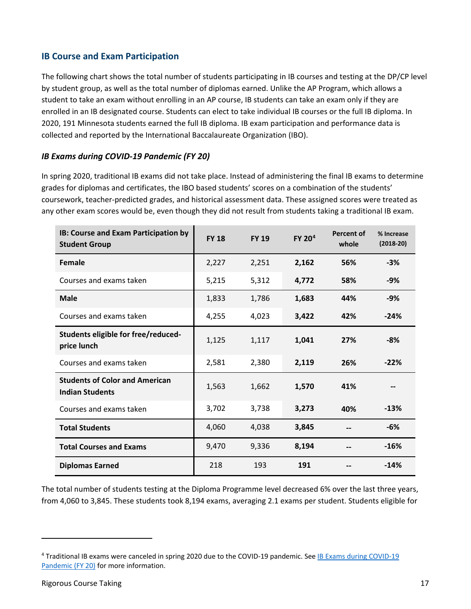#### **IB Course and Exam Participation**

The following chart shows the total number of students participating in IB courses and testing at the DP/CP level by student group, as well as the total number of diplomas earned. Unlike the AP Program, which allows a student to take an exam without enrolling in an AP course, IB students can take an exam only if they are enrolled in an IB designated course. Students can elect to take individual IB courses or the full IB diploma. In 2020, 191 Minnesota students earned the full IB diploma. IB exam participation and performance data is collected and reported by the International Baccalaureate Organization (IBO).

#### <span id="page-16-0"></span>*IB Exams during COVID-19 Pandemic (FY 20)*

In spring 2020, traditional IB exams did not take place. Instead of administering the final IB exams to determine grades for diplomas and certificates, the IBO based students' scores on a combination of the students' coursework, teacher-predicted grades, and historical assessment data. These assigned scores were treated as any other exam scores would be, even though they did not result from students taking a traditional IB exam.

| IB: Course and Exam Participation by<br><b>Student Group</b>    | <b>FY 18</b> | <b>FY 19</b> | FY 20 <sup>4</sup> | Percent of<br>whole | % Increase<br>$(2018-20)$ |
|-----------------------------------------------------------------|--------------|--------------|--------------------|---------------------|---------------------------|
| Female                                                          | 2,227        | 2,251        | 2,162              | 56%                 | -3%                       |
| Courses and exams taken                                         | 5,215        | 5,312        | 4,772              | 58%                 | -9%                       |
| <b>Male</b>                                                     | 1,833        | 1,786        | 1,683              | 44%                 | -9%                       |
| Courses and exams taken                                         | 4,255        | 4,023        | 3,422              | 42%                 | $-24%$                    |
| Students eligible for free/reduced-<br>price lunch              | 1,125        | 1,117        | 1,041              | 27%                 | $-8%$                     |
| Courses and exams taken                                         | 2,581        | 2,380        | 2,119              | 26%                 | $-22%$                    |
| <b>Students of Color and American</b><br><b>Indian Students</b> | 1,563        | 1,662        | 1,570              | 41%                 |                           |
| Courses and exams taken                                         | 3,702        | 3,738        | 3,273              | 40%                 | $-13%$                    |
| <b>Total Students</b>                                           | 4,060        | 4,038        | 3,845              |                     | -6%                       |
| <b>Total Courses and Exams</b>                                  | 9,470        | 9,336        | 8,194              |                     | $-16%$                    |
| <b>Diplomas Earned</b>                                          | 218          | 193          | 191                |                     | $-14%$                    |

The total number of students testing at the Diploma Programme level decreased 6% over the last three years, from 4,060 to 3,845. These students took 8,194 exams, averaging 2.1 exams per student. Students eligible for

l

<span id="page-16-1"></span><sup>4</sup> Traditional IB exams were canceled in spring 2020 due to the COVID-19 pandemic. See [IB Exams during COVID-19](#page-16-0)  [Pandemic \(FY 20\)](#page-16-0) for more information.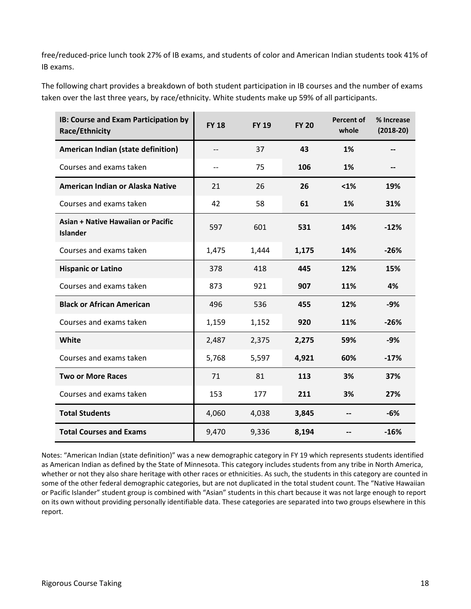free/reduced-price lunch took 27% of IB exams, and students of color and American Indian students took 41% of IB exams.

The following chart provides a breakdown of both student participation in IB courses and the number of exams taken over the last three years, by race/ethnicity. White students make up 59% of all participants.

| IB: Course and Exam Participation by<br><b>Race/Ethnicity</b> | <b>FY 18</b> | <b>FY 19</b> | <b>FY 20</b> | <b>Percent of</b><br>whole | % Increase<br>$(2018-20)$ |
|---------------------------------------------------------------|--------------|--------------|--------------|----------------------------|---------------------------|
| American Indian (state definition)                            | --           | 37           | 43           | 1%                         |                           |
| Courses and exams taken                                       | $-$          | 75           | 106          | 1%                         | $-$                       |
| American Indian or Alaska Native                              | 21           | 26           | 26           | $1%$                       | 19%                       |
| Courses and exams taken                                       | 42           | 58           | 61           | 1%                         | 31%                       |
| Asian + Native Hawaiian or Pacific<br><b>Islander</b>         | 597          | 601          | 531          | 14%                        | $-12%$                    |
| Courses and exams taken                                       | 1,475        | 1,444        | 1,175        | 14%                        | $-26%$                    |
| <b>Hispanic or Latino</b>                                     | 378          | 418          | 445          | 12%                        | 15%                       |
| Courses and exams taken                                       | 873          | 921          | 907          | 11%                        | 4%                        |
| <b>Black or African American</b>                              | 496          | 536          | 455          | 12%                        | $-9%$                     |
| Courses and exams taken                                       | 1,159        | 1,152        | 920          | 11%                        | $-26%$                    |
| White                                                         | 2,487        | 2,375        | 2,275        | 59%                        | $-9%$                     |
| Courses and exams taken                                       | 5,768        | 5,597        | 4,921        | 60%                        | $-17%$                    |
| <b>Two or More Races</b>                                      | 71           | 81           | 113          | 3%                         | 37%                       |
| Courses and exams taken                                       | 153          | 177          | 211          | 3%                         | 27%                       |
| <b>Total Students</b>                                         | 4,060        | 4,038        | 3,845        |                            | $-6%$                     |
| <b>Total Courses and Exams</b>                                | 9,470        | 9,336        | 8,194        |                            | $-16%$                    |

Notes: "American Indian (state definition)" was a new demographic category in FY 19 which represents students identified as American Indian as defined by the State of Minnesota. This category includes students from any tribe in North America, whether or not they also share heritage with other races or ethnicities. As such, the students in this category are counted in some of the other federal demographic categories, but are not duplicated in the total student count. The "Native Hawaiian or Pacific Islander" student group is combined with "Asian" students in this chart because it was not large enough to report on its own without providing personally identifiable data. These categories are separated into two groups elsewhere in this report.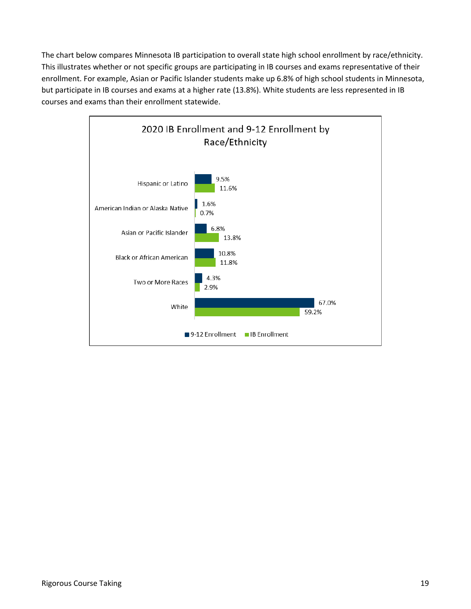The chart below compares Minnesota IB participation to overall state high school enrollment by race/ethnicity. This illustrates whether or not specific groups are participating in IB courses and exams representative of their enrollment. For example, Asian or Pacific Islander students make up 6.8% of high school students in Minnesota, but participate in IB courses and exams at a higher rate (13.8%). White students are less represented in IB courses and exams than their enrollment statewide.

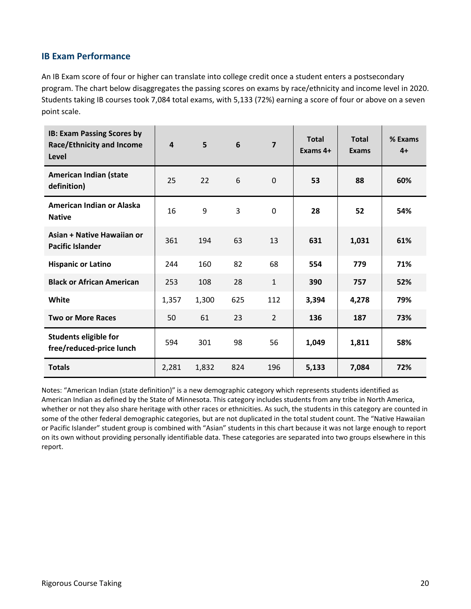#### **IB Exam Performance**

An IB Exam score of four or higher can translate into college credit once a student enters a postsecondary program. The chart below disaggregates the passing scores on exams by race/ethnicity and income level in 2020. Students taking IB courses took 7,084 total exams, with 5,133 (72%) earning a score of four or above on a seven point scale.

| <b>IB: Exam Passing Scores by</b><br><b>Race/Ethnicity and Income</b><br>Level | 4     | 5     | 6   | $\overline{\mathbf{z}}$ | <b>Total</b><br>Exams 4+ | <b>Total</b><br>Exams | % Exams<br>$4+$ |
|--------------------------------------------------------------------------------|-------|-------|-----|-------------------------|--------------------------|-----------------------|-----------------|
| American Indian (state<br>definition)                                          | 25    | 22    | 6   | $\mathbf 0$             | 53                       | 88                    | 60%             |
| American Indian or Alaska<br><b>Native</b>                                     | 16    | 9     | 3   | 0                       | 28                       | 52                    | 54%             |
| Asian + Native Hawaiian or<br><b>Pacific Islander</b>                          | 361   | 194   | 63  | 13                      | 631                      | 1,031                 | 61%             |
| <b>Hispanic or Latino</b>                                                      | 244   | 160   | 82  | 68                      | 554                      | 779                   | 71%             |
| <b>Black or African American</b>                                               | 253   | 108   | 28  | $\mathbf{1}$            | 390                      | 757                   | 52%             |
| White                                                                          | 1,357 | 1,300 | 625 | 112                     | 3,394                    | 4,278                 | 79%             |
| <b>Two or More Races</b>                                                       | 50    | 61    | 23  | $\overline{2}$          | 136                      | 187                   | 73%             |
| <b>Students eligible for</b><br>free/reduced-price lunch                       | 594   | 301   | 98  | 56                      | 1,049                    | 1,811                 | 58%             |
| <b>Totals</b>                                                                  | 2,281 | 1,832 | 824 | 196                     | 5,133                    | 7,084                 | 72%             |

Notes: "American Indian (state definition)" is a new demographic category which represents students identified as American Indian as defined by the State of Minnesota. This category includes students from any tribe in North America, whether or not they also share heritage with other races or ethnicities. As such, the students in this category are counted in some of the other federal demographic categories, but are not duplicated in the total student count. The "Native Hawaiian or Pacific Islander" student group is combined with "Asian" students in this chart because it was not large enough to report on its own without providing personally identifiable data. These categories are separated into two groups elsewhere in this report.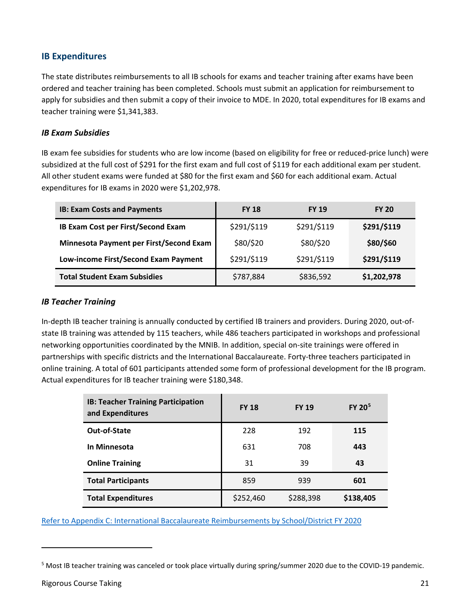#### **IB Expenditures**

The state distributes reimbursements to all IB schools for exams and teacher training after exams have been ordered and teacher training has been completed. Schools must submit an application for reimbursement to apply for subsidies and then submit a copy of their invoice to MDE. In 2020, total expenditures for IB exams and teacher training were \$1,341,383.

#### *IB Exam Subsidies*

IB exam fee subsidies for students who are low income (based on eligibility for free or reduced-price lunch) were subsidized at the full cost of \$291 for the first exam and full cost of \$119 for each additional exam per student. All other student exams were funded at \$80 for the first exam and \$60 for each additional exam. Actual expenditures for IB exams in 2020 were \$1,202,978.

| <b>IB: Exam Costs and Payments</b>      | <b>FY 18</b> | <b>FY 19</b> | <b>FY 20</b> |
|-----------------------------------------|--------------|--------------|--------------|
| IB Exam Cost per First/Second Exam      | \$291/\$119  | \$291/\$119  | \$291/\$119  |
| Minnesota Payment per First/Second Exam | \$80/\$20    | \$80/\$20    | \$80/\$60    |
| Low-income First/Second Exam Payment    | \$291/\$119  | \$291/\$119  | \$291/\$119  |
| <b>Total Student Exam Subsidies</b>     | \$787,884    | \$836,592    | \$1,202,978  |

#### *IB Teacher Training*

In-depth IB teacher training is annually conducted by certified IB trainers and providers. During 2020, out-ofstate IB training was attended by 115 teachers, while 486 teachers participated in workshops and professional networking opportunities coordinated by the MNIB. In addition, special on-site trainings were offered in partnerships with specific districts and the International Baccalaureate. Forty-three teachers participated in online training. A total of 601 participants attended some form of professional development for the IB program. Actual expenditures for IB teacher training were \$180,348.

| <b>IB: Teacher Training Participation</b><br>and Expenditures | <b>FY 18</b> | <b>FY 19</b> | FY 20 <sup>5</sup> |
|---------------------------------------------------------------|--------------|--------------|--------------------|
| Out-of-State                                                  | 228          | 192          | 115                |
| In Minnesota                                                  | 631          | 708          | 443                |
| <b>Online Training</b>                                        | 31           | 39           | 43                 |
| <b>Total Participants</b>                                     | 859          | 939          | 601                |
| <b>Total Expenditures</b>                                     | \$252,460    | \$288,398    | \$138,405          |

[Refer to Appendix C: International Baccalaureate Reimbursements by School/District FY 2020](#page-49-0)

 $\overline{a}$ 

<span id="page-20-0"></span><sup>5</sup> Most IB teacher training was canceled or took place virtually during spring/summer 2020 due to the COVID-19 pandemic.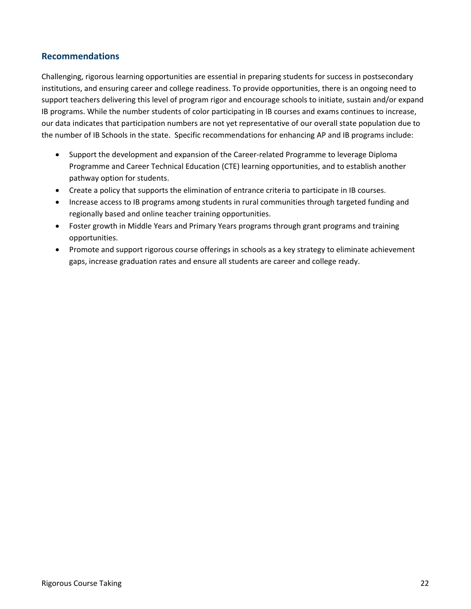#### **Recommendations**

Challenging, rigorous learning opportunities are essential in preparing students for success in postsecondary institutions, and ensuring career and college readiness. To provide opportunities, there is an ongoing need to support teachers delivering this level of program rigor and encourage schools to initiate, sustain and/or expand IB programs. While the number students of color participating in IB courses and exams continues to increase, our data indicates that participation numbers are not yet representative of our overall state population due to the number of IB Schools in the state. Specific recommendations for enhancing AP and IB programs include:

- Support the development and expansion of the Career-related Programme to leverage Diploma Programme and Career Technical Education (CTE) learning opportunities, and to establish another pathway option for students.
- Create a policy that supports the elimination of entrance criteria to participate in IB courses.
- Increase access to IB programs among students in rural communities through targeted funding and regionally based and online teacher training opportunities.
- Foster growth in Middle Years and Primary Years programs through grant programs and training opportunities.
- Promote and support rigorous course offerings in schools as a key strategy to eliminate achievement gaps, increase graduation rates and ensure all students are career and college ready.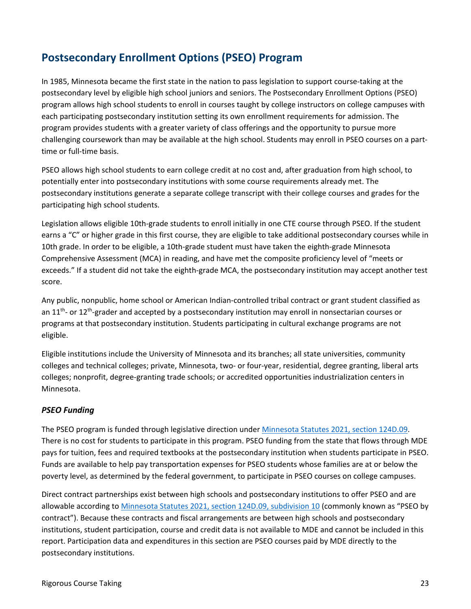## **Postsecondary Enrollment Options (PSEO) Program**

In 1985, Minnesota became the first state in the nation to pass legislation to support course-taking at the postsecondary level by eligible high school juniors and seniors. The Postsecondary Enrollment Options (PSEO) program allows high school students to enroll in courses taught by college instructors on college campuses with each participating postsecondary institution setting its own enrollment requirements for admission. The program provides students with a greater variety of class offerings and the opportunity to pursue more challenging coursework than may be available at the high school. Students may enroll in PSEO courses on a parttime or full-time basis.

PSEO allows high school students to earn college credit at no cost and, after graduation from high school, to potentially enter into postsecondary institutions with some course requirements already met. The postsecondary institutions generate a separate college transcript with their college courses and grades for the participating high school students.

Legislation allows eligible 10th-grade students to enroll initially in one CTE course through PSEO. If the student earns a "C" or higher grade in this first course, they are eligible to take additional postsecondary courses while in 10th grade. In order to be eligible, a 10th-grade student must have taken the eighth-grade Minnesota Comprehensive Assessment (MCA) in reading, and have met the composite proficiency level of "meets or exceeds." If a student did not take the eighth-grade MCA, the postsecondary institution may accept another test score.

Any public, nonpublic, home school or American Indian-controlled tribal contract or grant student classified as an  $11<sup>th</sup>$ - or  $12<sup>th</sup>$ -grader and accepted by a postsecondary institution may enroll in nonsectarian courses or programs at that postsecondary institution. Students participating in cultural exchange programs are not eligible.

Eligible institutions include the University of Minnesota and its branches; all state universities, community colleges and technical colleges; private, Minnesota, two- or four-year, residential, degree granting, liberal arts colleges; nonprofit, degree-granting trade schools; or accredited opportunities industrialization centers in Minnesota.

#### <span id="page-22-0"></span>*PSEO Funding*

The PSEO program is funded through legislative direction unde[r Minnesota Statutes 2021, section](https://www.revisor.mn.gov/statutes/cite/124D.09) 124D.09. There is no cost for students to participate in this program. PSEO funding from the state that flows through MDE pays for tuition, fees and required textbooks at the postsecondary institution when students participate in PSEO. Funds are available to help pay transportation expenses for PSEO students whose families are at or below the poverty level, as determined by the federal government, to participate in PSEO courses on college campuses.

Direct contract partnerships exist between high schools and postsecondary institutions to offer PSEO and are allowable according to [Minnesota Statutes 2021, section](https://www.revisor.mn.gov/statutes/cite/124D.09#stat.124D.09.10) 124D.09, subdivision 10 (commonly known as "PSEO by contract"). Because these contracts and fiscal arrangements are between high schools and postsecondary institutions, student participation, course and credit data is not available to MDE and cannot be included in this report. Participation data and expenditures in this section are PSEO courses paid by MDE directly to the postsecondary institutions.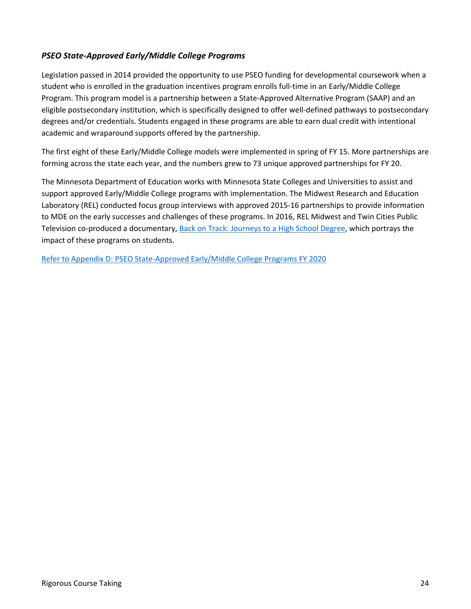#### *PSEO State-Approved Early/Middle College Programs*

Legislation passed in 2014 provided the opportunity to use PSEO funding for developmental coursework when a student who is enrolled in the graduation incentives program enrolls full-time in an Early/Middle College Program. This program model is a partnership between a State-Approved Alternative Program (SAAP) and an eligible postsecondary institution, which is specifically designed to offer well-defined pathways to postsecondary degrees and/or credentials. Students engaged in these programs are able to earn dual credit with intentional academic and wraparound supports offered by the partnership.

The first eight of these Early/Middle College models were implemented in spring of FY 15. More partnerships are forming across the state each year, and the numbers grew to 73 unique approved partnerships for FY 20.

The Minnesota Department of Education works with Minnesota State Colleges and Universities to assist and support approved Early/Middle College programs with implementation. The Midwest Research and Education Laboratory (REL) conducted focus group interviews with approved 2015-16 partnerships to provide information to MDE on the early successes and challenges of these programs. In 2016, REL Midwest and Twin Cities Public Television co-produced a documentary, [Back on Track: Journeys to a High School Degree,](https://www.youtube.com/watch?v=C_edrg4wViY) which portrays the impact of these programs on students.

[Refer to Appendix D: PSEO State-Approved Early/Middle College Programs FY 2020](#page-50-0)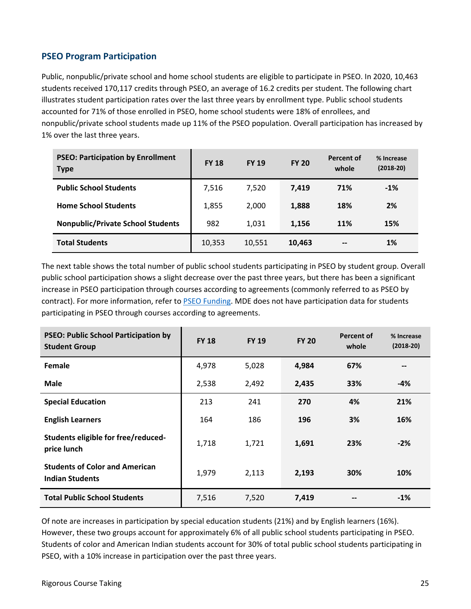#### **PSEO Program Participation**

Public, nonpublic/private school and home school students are eligible to participate in PSEO. In 2020, 10,463 students received 170,117 credits through PSEO, an average of 16.2 credits per student. The following chart illustrates student participation rates over the last three years by enrollment type. Public school students accounted for 71% of those enrolled in PSEO, home school students were 18% of enrollees, and nonpublic/private school students made up 11% of the PSEO population. Overall participation has increased by 1% over the last three years.

| <b>PSEO: Participation by Enrollment</b><br><b>Type</b> | <b>FY 18</b> | <b>FY 19</b> | <b>FY 20</b> | <b>Percent of</b><br>whole | % Increase<br>$(2018-20)$ |
|---------------------------------------------------------|--------------|--------------|--------------|----------------------------|---------------------------|
| <b>Public School Students</b>                           | 7,516        | 7.520        | 7,419        | 71%                        | $-1%$                     |
| <b>Home School Students</b>                             | 1,855        | 2,000        | 1,888        | 18%                        | 2%                        |
| <b>Nonpublic/Private School Students</b>                | 982          | 1,031        | 1,156        | 11%                        | 15%                       |
| <b>Total Students</b>                                   | 10,353       | 10,551       | 10,463       | $\overline{\phantom{a}}$   | 1%                        |

The next table shows the total number of public school students participating in PSEO by student group. Overall public school participation shows a slight decrease over the past three years, but there has been a significant increase in PSEO participation through courses according to agreements (commonly referred to as PSEO by contract). For more information, refer to [PSEO Funding.](#page-22-0) MDE does not have participation data for students participating in PSEO through courses according to agreements.

| <b>PSEO: Public School Participation by</b><br><b>Student Group</b> | <b>FY 18</b> | <b>FY 19</b> | <b>FY 20</b> | <b>Percent of</b><br>whole | % Increase<br>$(2018-20)$ |
|---------------------------------------------------------------------|--------------|--------------|--------------|----------------------------|---------------------------|
| <b>Female</b>                                                       | 4,978        | 5,028        | 4,984        | 67%                        | --                        |
| <b>Male</b>                                                         | 2,538        | 2,492        | 2,435        | 33%                        | -4%                       |
| <b>Special Education</b>                                            | 213          | 241          | 270          | 4%                         | 21%                       |
| <b>English Learners</b>                                             | 164          | 186          | 196          | 3%                         | 16%                       |
| Students eligible for free/reduced-<br>price lunch                  | 1,718        | 1,721        | 1,691        | 23%                        | $-2%$                     |
| <b>Students of Color and American</b><br><b>Indian Students</b>     | 1,979        | 2,113        | 2,193        | 30%                        | 10%                       |
| <b>Total Public School Students</b>                                 | 7,516        | 7,520        | 7,419        |                            | $-1%$                     |

Of note are increases in participation by special education students (21%) and by English learners (16%). However, these two groups account for approximately 6% of all public school students participating in PSEO. Students of color and American Indian students account for 30% of total public school students participating in PSEO, with a 10% increase in participation over the past three years.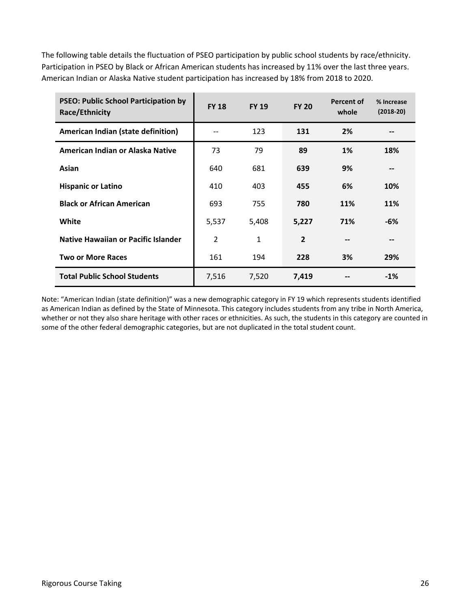The following table details the fluctuation of PSEO participation by public school students by race/ethnicity. Participation in PSEO by Black or African American students has increased by 11% over the last three years. American Indian or Alaska Native student participation has increased by 18% from 2018 to 2020.

| <b>PSEO: Public School Participation by</b><br>Race/Ethnicity | <b>FY 18</b>   | <b>FY 19</b> | <b>FY 20</b>   | Percent of<br>whole | % Increase<br>$(2018-20)$ |
|---------------------------------------------------------------|----------------|--------------|----------------|---------------------|---------------------------|
| American Indian (state definition)                            |                | 123          | 131            | 2%                  |                           |
| American Indian or Alaska Native                              | 73             | 79           | 89             | 1%                  | 18%                       |
| Asian                                                         | 640            | 681          | 639            | 9%                  |                           |
| <b>Hispanic or Latino</b>                                     | 410            | 403          | 455            | 6%                  | 10%                       |
| <b>Black or African American</b>                              | 693            | 755          | 780            | <b>11%</b>          | 11%                       |
| White                                                         | 5,537          | 5,408        | 5,227          | 71%                 | -6%                       |
| Native Hawaiian or Pacific Islander                           | $\overline{2}$ | 1            | $\overline{2}$ | $-$                 | --                        |
| <b>Two or More Races</b>                                      | 161            | 194          | 228            | 3%                  | 29%                       |
| <b>Total Public School Students</b>                           | 7,516          | 7,520        | 7,419          |                     | $-1%$                     |

Note: "American Indian (state definition)" was a new demographic category in FY 19 which represents students identified as American Indian as defined by the State of Minnesota. This category includes students from any tribe in North America, whether or not they also share heritage with other races or ethnicities. As such, the students in this category are counted in some of the other federal demographic categories, but are not duplicated in the total student count.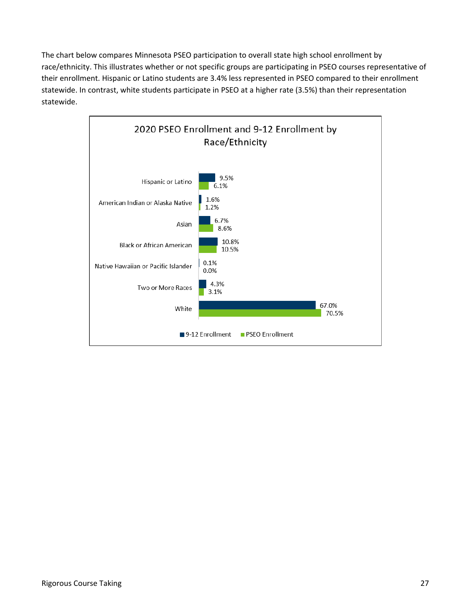The chart below compares Minnesota PSEO participation to overall state high school enrollment by race/ethnicity. This illustrates whether or not specific groups are participating in PSEO courses representative of their enrollment. Hispanic or Latino students are 3.4% less represented in PSEO compared to their enrollment statewide. In contrast, white students participate in PSEO at a higher rate (3.5%) than their representation statewide.

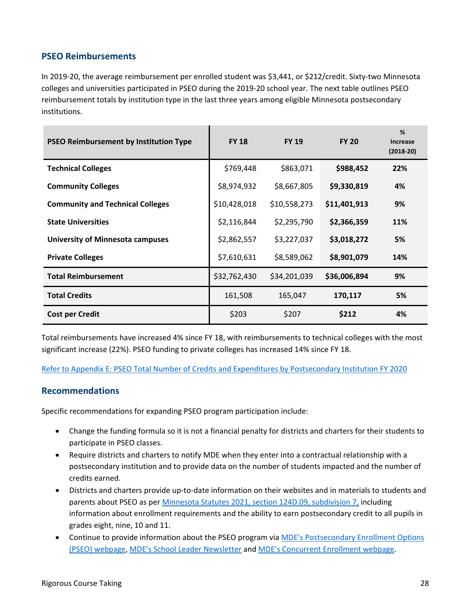#### **PSEO Reimbursements**

In 2019-20, the average reimbursement per enrolled student was \$3,441, or \$212/credit. Sixty-two Minnesota colleges and universities participated in PSEO during the 2019-20 school year. The next table outlines PSEO reimbursement totals by institution type in the last three years among eligible Minnesota postsecondary institutions.

| <b>PSEO Reimbursement by Institution Type</b> | <b>FY 18</b> | <b>FY 19</b> | <b>FY 20</b> | %<br><b>Increase</b><br>$(2018-20)$ |
|-----------------------------------------------|--------------|--------------|--------------|-------------------------------------|
| <b>Technical Colleges</b>                     | \$769,448    | \$863,071    | \$988,452    | 22%                                 |
| <b>Community Colleges</b>                     | \$8,974,932  | \$8,667,805  | \$9,330,819  | 4%                                  |
| <b>Community and Technical Colleges</b>       | \$10,428,018 | \$10,558,273 | \$11,401,913 | 9%                                  |
| <b>State Universities</b>                     | \$2,116,844  | \$2,295,790  | \$2,366,359  | <b>11%</b>                          |
| <b>University of Minnesota campuses</b>       | \$2,862,557  | \$3,227,037  | \$3,018,272  | 5%                                  |
| <b>Private Colleges</b>                       | \$7,610,631  | \$8,589,062  | \$8,901,079  | 14%                                 |
| <b>Total Reimbursement</b>                    | \$32,762,430 | \$34,201,039 | \$36,006,894 | 9%                                  |
| <b>Total Credits</b>                          | 161,508      | 165,047      | 170,117      | 5%                                  |
| <b>Cost per Credit</b>                        | \$203        | \$207        | \$212        | 4%                                  |

Total reimbursements have increased 4% since FY 18, with reimbursements to technical colleges with the most significant increase (22%). PSEO funding to private colleges has increased 14% since FY 18.

[Refer to Appendix E: PSEO Total Number of Credits and Expenditures by](#page-54-0) Postsecondary Institution FY 2020

#### **Recommendations**

Specific recommendations for expanding PSEO program participation include:

- Change the funding formula so it is not a financial penalty for districts and charters for their students to participate in PSEO classes.
- Require districts and charters to notify MDE when they enter into a contractual relationship with a postsecondary institution and to provide data on the number of students impacted and the number of credits earned.
- Districts and charters provide up-to-date information on their websites and in materials to students and parents about PSEO as per [Minnesota Statutes 2021, section](https://www.revisor.mn.gov/statutes/?id=124D.09#stat.124D.09.7) 124D.09, subdivision 7, including information about enrollment requirements and the ability to earn postsecondary credit to all pupils in grades eight, nine, 10 and 11.
- Continue to provide information about the PSEO program vi[a MDE's Postsecondary Enrollment Options](https://education.mn.gov/MDE/dse/ccs/pseo/)  [\(PSEO\) webpage,](https://education.mn.gov/MDE/dse/ccs/pseo/) [MDE's School Leader Newsletter](https://education.mn.gov/MDE/dse/supt/mail/) and [MDE's Concurrent Enrollment webpage.](https://education.mn.gov/MDE/dse/ccs/cce/)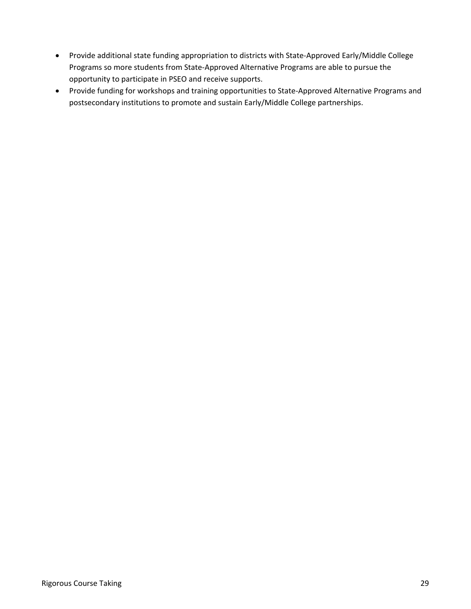- Provide additional state funding appropriation to districts with State-Approved Early/Middle College Programs so more students from State-Approved Alternative Programs are able to pursue the opportunity to participate in PSEO and receive supports.
- Provide funding for workshops and training opportunities to State-Approved Alternative Programs and postsecondary institutions to promote and sustain Early/Middle College partnerships.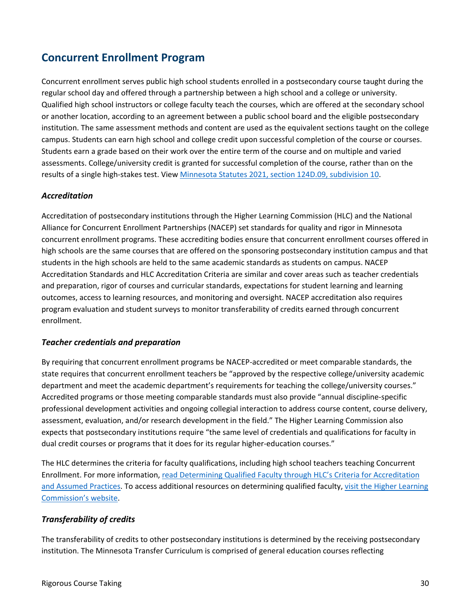## **Concurrent Enrollment Program**

Concurrent enrollment serves public high school students enrolled in a postsecondary course taught during the regular school day and offered through a partnership between a high school and a college or university. Qualified high school instructors or college faculty teach the courses, which are offered at the secondary school or another location, according to an agreement between a public school board and the eligible postsecondary institution. The same assessment methods and content are used as the equivalent sections taught on the college campus. Students can earn high school and college credit upon successful completion of the course or courses. Students earn a grade based on their work over the entire term of the course and on multiple and varied assessments. College/university credit is granted for successful completion of the course, rather than on the results of a single high-stakes test. View [Minnesota Statutes 2021, section](https://www.revisor.mn.gov/statutes/cite/124D.09#stat.124D.09.10) 124D.09, subdivision 10.

#### *Accreditation*

Accreditation of postsecondary institutions through the Higher Learning Commission (HLC) and the National Alliance for Concurrent Enrollment Partnerships (NACEP) set standards for quality and rigor in Minnesota concurrent enrollment programs. These accrediting bodies ensure that concurrent enrollment courses offered in high schools are the same courses that are offered on the sponsoring postsecondary institution campus and that students in the high schools are held to the same academic standards as students on campus. NACEP Accreditation Standards and HLC Accreditation Criteria are similar and cover areas such as teacher credentials and preparation, rigor of courses and curricular standards, expectations for student learning and learning outcomes, access to learning resources, and monitoring and oversight. NACEP accreditation also requires program evaluation and student surveys to monitor transferability of credits earned through concurrent enrollment.

#### *Teacher credentials and preparation*

By requiring that concurrent enrollment programs be NACEP-accredited or meet comparable standards, the state requires that concurrent enrollment teachers be "approved by the respective college/university academic department and meet the academic department's requirements for teaching the college/university courses." Accredited programs or those meeting comparable standards must also provide "annual discipline-specific professional development activities and ongoing collegial interaction to address course content, course delivery, assessment, evaluation, and/or research development in the field." The Higher Learning Commission also expects that postsecondary institutions require "the same level of credentials and qualifications for faculty in dual credit courses or programs that it does for its regular higher-education courses."

The HLC determines the criteria for faculty qualifications, including high school teachers teaching Concurrent Enrollment. For more information, [read Determining Qualified Faculty through HLC's Criteria for Accreditation](http://download.hlcommission.org/FacultyGuidelines_2016_OPB.pdf)  [and Assumed Practices.](http://download.hlcommission.org/FacultyGuidelines_2016_OPB.pdf) To access additional resources on determining qualified faculty, [visit the Higher Learning](http://www.hlcommission.org/Publications/determining-qualified-faculty.html?highlight=WyJkZXRlcm1pbmluZyIsInF1YWxpZmllZCIsImZhY3VsdHkiLCJkZXRlcm1pbmluZyBxdWFsaWZpZWQiLCJkZXRlcm1pbmluZyBxdWFsaWZpZWQgZmFjdWx0eSIsInF1YWxpZmllZCBmYWN1bHR5Il0)  [Commission's website.](http://www.hlcommission.org/Publications/determining-qualified-faculty.html?highlight=WyJkZXRlcm1pbmluZyIsInF1YWxpZmllZCIsImZhY3VsdHkiLCJkZXRlcm1pbmluZyBxdWFsaWZpZWQiLCJkZXRlcm1pbmluZyBxdWFsaWZpZWQgZmFjdWx0eSIsInF1YWxpZmllZCBmYWN1bHR5Il0)

#### *Transferability of credits*

The transferability of credits to other postsecondary institutions is determined by the receiving postsecondary institution. The Minnesota Transfer Curriculum is comprised of general education courses reflecting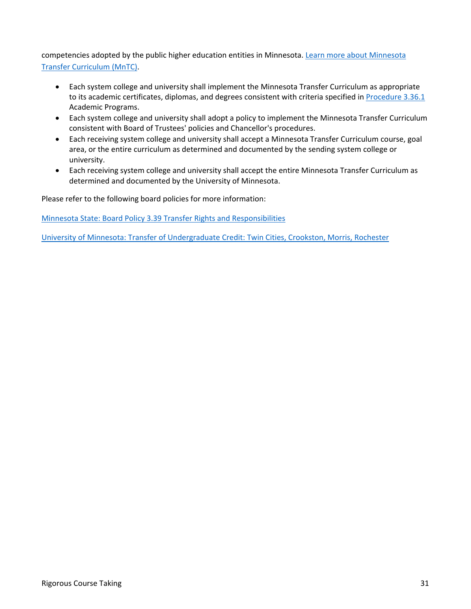competencies adopted by the public higher education entities in Minnesota. [Learn more about Minnesota](http://www.mntransfer.org/transfer/mntc/t_mntc.php)  [Transfer Curriculum \(MnTC\).](http://www.mntransfer.org/transfer/mntc/t_mntc.php)

- Each system college and university shall implement the Minnesota Transfer Curriculum as appropriate to its academic certificates, diplomas, and degrees consistent with criteria specified in [Procedure 3.36.1](https://minnstate.edu/board/procedure/336p1.html) Academic Programs.
- Each system college and university shall adopt a policy to implement the Minnesota Transfer Curriculum consistent with Board of Trustees' policies and Chancellor's procedures.
- Each receiving system college and university shall accept a Minnesota Transfer Curriculum course, goal area, or the entire curriculum as determined and documented by the sending system college or university.
- Each receiving system college and university shall accept the entire Minnesota Transfer Curriculum as determined and documented by the University of Minnesota.

Please refer to the following board policies for more information:

[Minnesota State: Board Policy 3.39 Transfer Rights and Responsibilities](https://www.minnstate.edu/board/policy/339.html) 

[University of Minnesota: Transfer of Undergraduate Credit: Twin Cities, Crookston, Morris, Rochester](https://policy.umn.edu/education/transfercredit)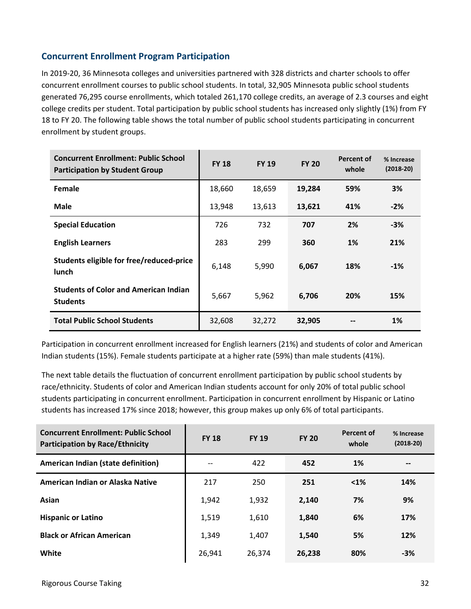#### **Concurrent Enrollment Program Participation**

In 2019-20, 36 Minnesota colleges and universities partnered with 328 districts and charter schools to offer concurrent enrollment courses to public school students. In total, 32,905 Minnesota public school students generated 76,295 course enrollments, which totaled 261,170 college credits, an average of 2.3 courses and eight college credits per student. Total participation by public school students has increased only slightly (1%) from FY 18 to FY 20. The following table shows the total number of public school students participating in concurrent enrollment by student groups.

| <b>Concurrent Enrollment: Public School</b><br><b>Participation by Student Group</b> | <b>FY 18</b> | <b>FY 19</b> | <b>FY 20</b> | Percent of<br>whole | % Increase<br>$(2018-20)$ |
|--------------------------------------------------------------------------------------|--------------|--------------|--------------|---------------------|---------------------------|
| Female                                                                               | 18,660       | 18,659       | 19,284       | 59%                 | 3%                        |
| <b>Male</b>                                                                          | 13,948       | 13,613       | 13,621       | 41%                 | $-2%$                     |
| <b>Special Education</b>                                                             | 726          | 732          | 707          | 2%                  | $-3%$                     |
| <b>English Learners</b>                                                              | 283          | 299          | 360          | 1%                  | 21%                       |
| Students eligible for free/reduced-price<br>lunch                                    | 6,148        | 5,990        | 6,067        | 18%                 | $-1%$                     |
| <b>Students of Color and American Indian</b><br><b>Students</b>                      | 5,667        | 5,962        | 6,706        | 20%                 | 15%                       |
| <b>Total Public School Students</b>                                                  | 32,608       | 32,272       | 32,905       |                     | 1%                        |

Participation in concurrent enrollment increased for English learners (21%) and students of color and American Indian students (15%). Female students participate at a higher rate (59%) than male students (41%).

The next table details the fluctuation of concurrent enrollment participation by public school students by race/ethnicity. Students of color and American Indian students account for only 20% of total public school students participating in concurrent enrollment. Participation in concurrent enrollment by Hispanic or Latino students has increased 17% since 2018; however, this group makes up only 6% of total participants.

| <b>Concurrent Enrollment: Public School</b><br><b>Participation by Race/Ethnicity</b> | <b>FY 18</b> | <b>FY 19</b> | <b>FY 20</b> | <b>Percent of</b><br>whole | % Increase<br>$(2018-20)$ |
|---------------------------------------------------------------------------------------|--------------|--------------|--------------|----------------------------|---------------------------|
| <b>American Indian (state definition)</b>                                             | --           | 422          | 452          | 1%                         | $- -$                     |
| American Indian or Alaska Native                                                      | 217          | 250          | 251          | $< 1\%$                    | 14%                       |
| Asian                                                                                 | 1,942        | 1,932        | 2,140        | 7%                         | 9%                        |
| <b>Hispanic or Latino</b>                                                             | 1,519        | 1,610        | 1,840        | 6%                         | 17%                       |
| <b>Black or African American</b>                                                      | 1,349        | 1,407        | 1,540        | 5%                         | 12%                       |
| White                                                                                 | 26,941       | 26,374       | 26,238       | 80%                        | $-3%$                     |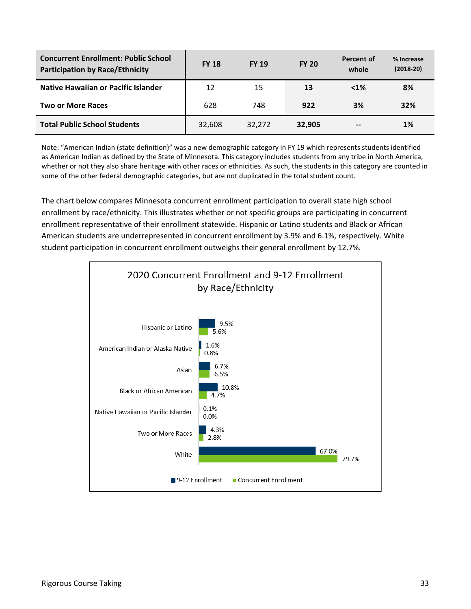| <b>Concurrent Enrollment: Public School</b><br><b>Participation by Race/Ethnicity</b> | <b>FY 18</b> | <b>FY 19</b> | <b>FY 20</b> | Percent of<br>whole | % Increase<br>$(2018-20)$ |
|---------------------------------------------------------------------------------------|--------------|--------------|--------------|---------------------|---------------------------|
| Native Hawaiian or Pacific Islander                                                   | 12           | 15           | 13           | $< 1\%$             | 8%                        |
| <b>Two or More Races</b>                                                              | 628          | 748          | 922          | 3%                  | 32%                       |
| <b>Total Public School Students</b>                                                   | 32,608       | 32,272       | 32,905       | --                  | 1%                        |

Note: "American Indian (state definition)" was a new demographic category in FY 19 which represents students identified as American Indian as defined by the State of Minnesota. This category includes students from any tribe in North America, whether or not they also share heritage with other races or ethnicities. As such, the students in this category are counted in some of the other federal demographic categories, but are not duplicated in the total student count.

The chart below compares Minnesota concurrent enrollment participation to overall state high school enrollment by race/ethnicity. This illustrates whether or not specific groups are participating in concurrent enrollment representative of their enrollment statewide. Hispanic or Latino students and Black or African American students are underrepresented in concurrent enrollment by 3.9% and 6.1%, respectively. White student participation in concurrent enrollment outweighs their general enrollment by 12.7%.

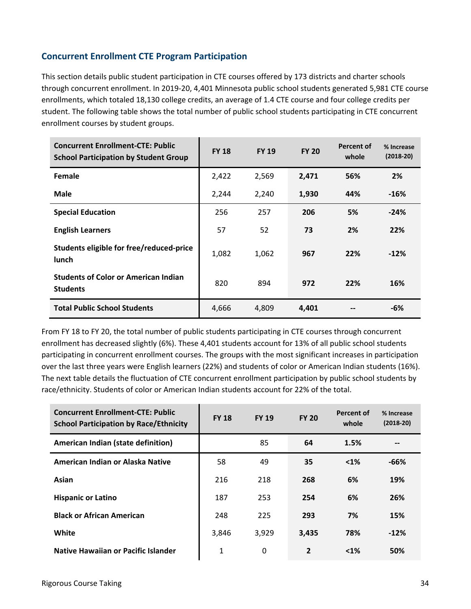#### **Concurrent Enrollment CTE Program Participation**

This section details public student participation in CTE courses offered by 173 districts and charter schools through concurrent enrollment. In 2019-20, 4,401 Minnesota public school students generated 5,981 CTE course enrollments, which totaled 18,130 college credits, an average of 1.4 CTE course and four college credits per student. The following table shows the total number of public school students participating in CTE concurrent enrollment courses by student groups.

| <b>Concurrent Enrollment-CTE: Public</b><br><b>School Participation by Student Group</b> | <b>FY 18</b> | <b>FY 19</b> | <b>FY 20</b> | <b>Percent of</b><br>whole | % Increase<br>$(2018-20)$ |
|------------------------------------------------------------------------------------------|--------------|--------------|--------------|----------------------------|---------------------------|
| Female                                                                                   | 2,422        | 2,569        | 2,471        | 56%                        | 2%                        |
| <b>Male</b>                                                                              | 2,244        | 2,240        | 1,930        | 44%                        | $-16%$                    |
| <b>Special Education</b>                                                                 | 256          | 257          | 206          | 5%                         | $-24%$                    |
| <b>English Learners</b>                                                                  | 57           | 52           | 73           | 2%                         | 22%                       |
| Students eligible for free/reduced-price<br>lunch                                        | 1,082        | 1,062        | 967          | 22%                        | $-12%$                    |
| <b>Students of Color or American Indian</b><br><b>Students</b>                           | 820          | 894          | 972          | 22%                        | 16%                       |
| <b>Total Public School Students</b>                                                      | 4,666        | 4.809        | 4.401        |                            | -6%                       |

From FY 18 to FY 20, the total number of public students participating in CTE courses through concurrent enrollment has decreased slightly (6%). These 4,401 students account for 13% of all public school students participating in concurrent enrollment courses. The groups with the most significant increases in participation over the last three years were English learners (22%) and students of color or American Indian students (16%). The next table details the fluctuation of CTE concurrent enrollment participation by public school students by race/ethnicity. Students of color or American Indian students account for 22% of the total.

| <b>Concurrent Enrollment-CTE: Public</b><br><b>School Participation by Race/Ethnicity</b> | <b>FY 18</b> | <b>FY 19</b> | <b>FY 20</b>   | <b>Percent of</b><br>whole | % Increase<br>$(2018-20)$ |
|-------------------------------------------------------------------------------------------|--------------|--------------|----------------|----------------------------|---------------------------|
| American Indian (state definition)                                                        |              | 85           | 64             | 1.5%                       | --                        |
| American Indian or Alaska Native                                                          | 58           | 49           | 35             | $< 1\%$                    | $-66%$                    |
| Asian                                                                                     | 216          | 218          | 268            | 6%                         | 19%                       |
| <b>Hispanic or Latino</b>                                                                 | 187          | 253          | 254            | 6%                         | 26%                       |
| <b>Black or African American</b>                                                          | 248          | 225          | 293            | 7%                         | 15%                       |
| White                                                                                     | 3,846        | 3,929        | 3,435          | 78%                        | $-12%$                    |
| Native Hawaiian or Pacific Islander                                                       | 1            | 0            | $\overline{2}$ | $< 1\%$                    | 50%                       |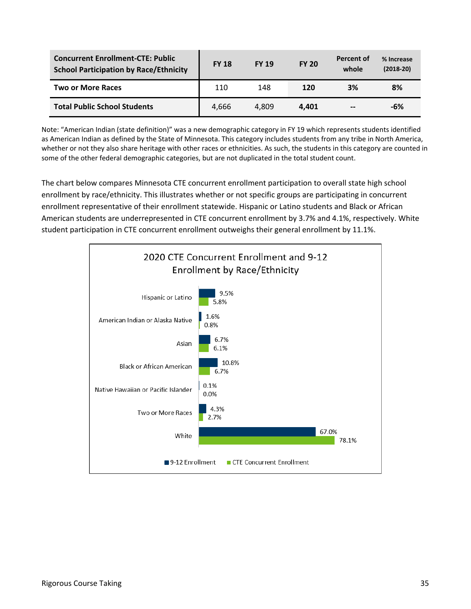| <b>Concurrent Enrollment-CTE: Public</b><br><b>School Participation by Race/Ethnicity</b> | <b>FY 18</b> | <b>FY 19</b> | <b>FY 20</b> | Percent of<br>whole | % Increase<br>$(2018-20)$ |
|-------------------------------------------------------------------------------------------|--------------|--------------|--------------|---------------------|---------------------------|
| <b>Two or More Races</b>                                                                  | 110          | 148          | <b>120</b>   | 3%                  | 8%                        |
| <b>Total Public School Students</b>                                                       | 4.666        | 4.809        | 4.401        | --                  | -6%                       |

Note: "American Indian (state definition)" was a new demographic category in FY 19 which represents students identified as American Indian as defined by the State of Minnesota. This category includes students from any tribe in North America, whether or not they also share heritage with other races or ethnicities. As such, the students in this category are counted in some of the other federal demographic categories, but are not duplicated in the total student count.

The chart below compares Minnesota CTE concurrent enrollment participation to overall state high school enrollment by race/ethnicity. This illustrates whether or not specific groups are participating in concurrent enrollment representative of their enrollment statewide. Hispanic or Latino students and Black or African American students are underrepresented in CTE concurrent enrollment by 3.7% and 4.1%, respectively. White student participation in CTE concurrent enrollment outweighs their general enrollment by 11.1%.

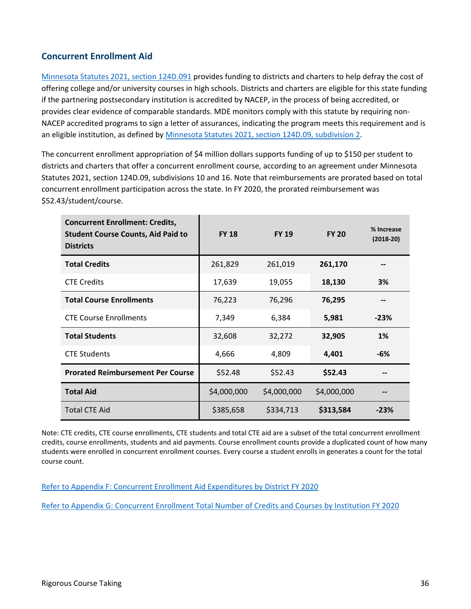#### **Concurrent Enrollment Aid**

[Minnesota Statutes 2021, section 124D.091](https://www.revisor.mn.gov/statutes/cite/124D.091) provides funding to districts and charters to help defray the cost of offering college and/or university courses in high schools. Districts and charters are eligible for this state funding if the partnering postsecondary institution is accredited by NACEP, in the process of being accredited, or provides clear evidence of comparable standards. MDE monitors comply with this statute by requiring non-NACEP accredited programs to sign a letter of assurances, indicating the program meets this requirement and is an eligible institution, as defined by [Minnesota Statutes 2021, section](https://www.revisor.mn.gov/statutes/cite/124D.09) 124D.09, subdivision 2.

The concurrent enrollment appropriation of \$4 million dollars supports funding of up to \$150 per student to districts and charters that offer a concurrent enrollment course, according to an agreement under Minnesota Statutes 2021, section 124D.09, subdivisions 10 and 16. Note that reimbursements are prorated based on total concurrent enrollment participation across the state. In FY 2020, the prorated reimbursement was \$52.43/student/course.

| <b>Concurrent Enrollment: Credits,</b><br><b>Student Course Counts, Aid Paid to</b><br><b>Districts</b> | <b>FY 18</b> | <b>FY 19</b> | <b>FY 20</b> | % Increase<br>$(2018-20)$ |
|---------------------------------------------------------------------------------------------------------|--------------|--------------|--------------|---------------------------|
| <b>Total Credits</b>                                                                                    | 261,829      | 261,019      | 261,170      |                           |
| <b>CTE Credits</b>                                                                                      | 17,639       | 19,055       | 18,130       | 3%                        |
| <b>Total Course Enrollments</b>                                                                         | 76,223       | 76,296       | 76,295       |                           |
| <b>CTE Course Enrollments</b>                                                                           | 7,349        | 6,384        | 5,981        | $-23%$                    |
| <b>Total Students</b>                                                                                   | 32,608       | 32,272       | 32,905       | <b>1%</b>                 |
| <b>CTE Students</b>                                                                                     | 4,666        | 4,809        | 4,401        | -6%                       |
| <b>Prorated Reimbursement Per Course</b>                                                                | \$52.48      | \$52.43      | \$52.43      |                           |
| <b>Total Aid</b>                                                                                        | \$4,000,000  | \$4,000,000  | \$4,000,000  |                           |
| <b>Total CTE Aid</b>                                                                                    | \$385,658    | \$334,713    | \$313,584    | $-23%$                    |

Note: CTE credits, CTE course enrollments, CTE students and total CTE aid are a subset of the total concurrent enrollment credits, course enrollments, students and aid payments. Course enrollment counts provide a duplicated count of how many students were enrolled in concurrent enrollment courses. Every course a student enrolls in generates a count for the total course count.

[Refer to Appendix F: Concurrent Enrollment Aid Expenditures by District FY 2020](#page-56-0) 

[Refer to Appendix G: Concurrent Enrollment Total Number of Credits and Courses by Institution](#page-72-0) FY 2020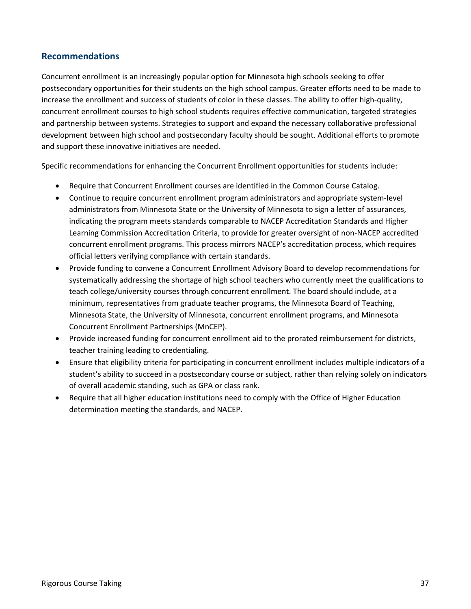#### **Recommendations**

Concurrent enrollment is an increasingly popular option for Minnesota high schools seeking to offer postsecondary opportunities for their students on the high school campus. Greater efforts need to be made to increase the enrollment and success of students of color in these classes. The ability to offer high-quality, concurrent enrollment courses to high school students requires effective communication, targeted strategies and partnership between systems. Strategies to support and expand the necessary collaborative professional development between high school and postsecondary faculty should be sought. Additional efforts to promote and support these innovative initiatives are needed.

Specific recommendations for enhancing the Concurrent Enrollment opportunities for students include:

- Require that Concurrent Enrollment courses are identified in the Common Course Catalog.
- Continue to require concurrent enrollment program administrators and appropriate system-level administrators from Minnesota State or the University of Minnesota to sign a letter of assurances, indicating the program meets standards comparable to NACEP Accreditation Standards and Higher Learning Commission Accreditation Criteria, to provide for greater oversight of non-NACEP accredited concurrent enrollment programs. This process mirrors NACEP's accreditation process, which requires official letters verifying compliance with certain standards.
- Provide funding to convene a Concurrent Enrollment Advisory Board to develop recommendations for systematically addressing the shortage of high school teachers who currently meet the qualifications to teach college/university courses through concurrent enrollment. The board should include, at a minimum, representatives from graduate teacher programs, the Minnesota Board of Teaching, Minnesota State, the University of Minnesota, concurrent enrollment programs, and Minnesota Concurrent Enrollment Partnerships (MnCEP).
- Provide increased funding for concurrent enrollment aid to the prorated reimbursement for districts, teacher training leading to credentialing.
- Ensure that eligibility criteria for participating in concurrent enrollment includes multiple indicators of a student's ability to succeed in a postsecondary course or subject, rather than relying solely on indicators of overall academic standing, such as GPA or class rank.
- Require that all higher education institutions need to comply with the Office of Higher Education determination meeting the standards, and NACEP.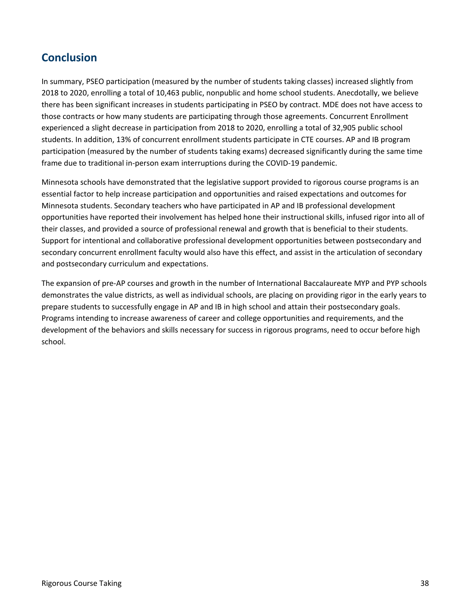## **Conclusion**

In summary, PSEO participation (measured by the number of students taking classes) increased slightly from 2018 to 2020, enrolling a total of 10,463 public, nonpublic and home school students. Anecdotally, we believe there has been significant increases in students participating in PSEO by contract. MDE does not have access to those contracts or how many students are participating through those agreements. Concurrent Enrollment experienced a slight decrease in participation from 2018 to 2020, enrolling a total of 32,905 public school students. In addition, 13% of concurrent enrollment students participate in CTE courses. AP and IB program participation (measured by the number of students taking exams) decreased significantly during the same time frame due to traditional in-person exam interruptions during the COVID-19 pandemic.

Minnesota schools have demonstrated that the legislative support provided to rigorous course programs is an essential factor to help increase participation and opportunities and raised expectations and outcomes for Minnesota students. Secondary teachers who have participated in AP and IB professional development opportunities have reported their involvement has helped hone their instructional skills, infused rigor into all of their classes, and provided a source of professional renewal and growth that is beneficial to their students. Support for intentional and collaborative professional development opportunities between postsecondary and secondary concurrent enrollment faculty would also have this effect, and assist in the articulation of secondary and postsecondary curriculum and expectations.

The expansion of pre-AP courses and growth in the number of International Baccalaureate MYP and PYP schools demonstrates the value districts, as well as individual schools, are placing on providing rigor in the early years to prepare students to successfully engage in AP and IB in high school and attain their postsecondary goals. Programs intending to increase awareness of career and college opportunities and requirements, and the development of the behaviors and skills necessary for success in rigorous programs, need to occur before high school.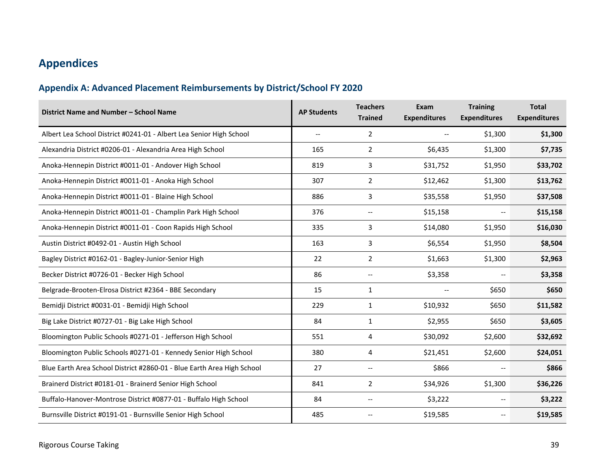# **Appendices**

## **Appendix A: Advanced Placement Reimbursements by District/School FY 2020**

| District Name and Number - School Name                                 | <b>AP Students</b>       | <b>Teachers</b><br><b>Trained</b> | Exam<br><b>Expenditures</b> | <b>Training</b><br><b>Expenditures</b> | <b>Total</b><br><b>Expenditures</b> |
|------------------------------------------------------------------------|--------------------------|-----------------------------------|-----------------------------|----------------------------------------|-------------------------------------|
| Albert Lea School District #0241-01 - Albert Lea Senior High School    | $\overline{\phantom{0}}$ | $\overline{2}$                    |                             | \$1,300                                | \$1,300                             |
| Alexandria District #0206-01 - Alexandria Area High School             | 165                      | $\overline{2}$                    | \$6,435                     | \$1,300                                | \$7,735                             |
| Anoka-Hennepin District #0011-01 - Andover High School                 | 819                      | 3                                 | \$31,752                    | \$1,950                                | \$33,702                            |
| Anoka-Hennepin District #0011-01 - Anoka High School                   | 307                      | $\overline{2}$                    | \$12,462                    | \$1,300                                | \$13,762                            |
| Anoka-Hennepin District #0011-01 - Blaine High School                  | 886                      | 3                                 | \$35,558                    | \$1,950                                | \$37,508                            |
| Anoka-Hennepin District #0011-01 - Champlin Park High School           | 376                      |                                   | \$15,158                    |                                        | \$15,158                            |
| Anoka-Hennepin District #0011-01 - Coon Rapids High School             | 335                      | 3                                 | \$14,080                    | \$1,950                                | \$16,030                            |
| Austin District #0492-01 - Austin High School                          | 163                      | 3                                 | \$6,554                     | \$1,950                                | \$8,504                             |
| Bagley District #0162-01 - Bagley-Junior-Senior High                   | 22                       | $\overline{2}$                    | \$1,663                     | \$1,300                                | \$2,963                             |
| Becker District #0726-01 - Becker High School                          | 86                       | $\overline{\phantom{a}}$          | \$3,358                     | $\overline{\phantom{m}}$               | \$3,358                             |
| Belgrade-Brooten-Elrosa District #2364 - BBE Secondary                 | 15                       | $\mathbf{1}$                      | $-$                         | \$650                                  | \$650                               |
| Bemidji District #0031-01 - Bemidji High School                        | 229                      | $\mathbf{1}$                      | \$10,932                    | \$650                                  | \$11,582                            |
| Big Lake District #0727-01 - Big Lake High School                      | 84                       | 1                                 | \$2,955                     | \$650                                  | \$3,605                             |
| Bloomington Public Schools #0271-01 - Jefferson High School            | 551                      | 4                                 | \$30,092                    | \$2,600                                | \$32,692                            |
| Bloomington Public Schools #0271-01 - Kennedy Senior High School       | 380                      | 4                                 | \$21,451                    | \$2,600                                | \$24,051                            |
| Blue Earth Area School District #2860-01 - Blue Earth Area High School | 27                       | $- -$                             | \$866                       | $\overline{\phantom{a}}$               | \$866                               |
| Brainerd District #0181-01 - Brainerd Senior High School               | 841                      | $\overline{2}$                    | \$34,926                    | \$1,300                                | \$36,226                            |
| Buffalo-Hanover-Montrose District #0877-01 - Buffalo High School       | 84                       |                                   | \$3,222                     |                                        | \$3,222                             |
| Burnsville District #0191-01 - Burnsville Senior High School           | 485                      |                                   | \$19,585                    |                                        | \$19,585                            |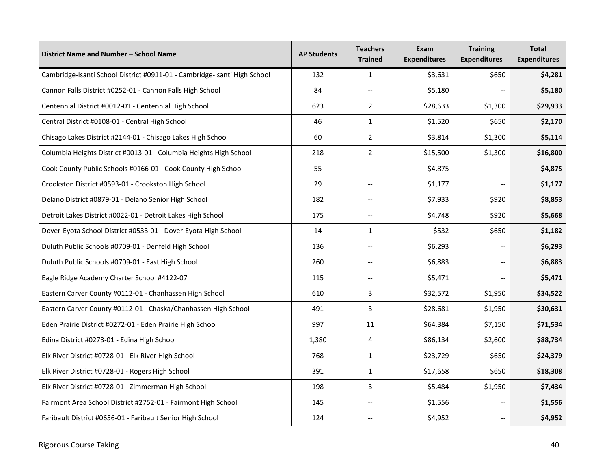| District Name and Number - School Name                                   | <b>AP Students</b> | <b>Teachers</b><br><b>Trained</b>     | Exam<br><b>Expenditures</b> | <b>Training</b><br><b>Expenditures</b> | <b>Total</b><br><b>Expenditures</b> |
|--------------------------------------------------------------------------|--------------------|---------------------------------------|-----------------------------|----------------------------------------|-------------------------------------|
| Cambridge-Isanti School District #0911-01 - Cambridge-Isanti High School | 132                | $\mathbf{1}$                          | \$3,631                     | \$650                                  | \$4,281                             |
| Cannon Falls District #0252-01 - Cannon Falls High School                | 84                 | $\overline{\phantom{a}}$              | \$5,180                     |                                        | \$5,180                             |
| Centennial District #0012-01 - Centennial High School                    | 623                | $\overline{2}$                        | \$28,633                    | \$1,300                                | \$29,933                            |
| Central District #0108-01 - Central High School                          | 46                 | 1                                     | \$1,520                     | \$650                                  | \$2,170                             |
| Chisago Lakes District #2144-01 - Chisago Lakes High School              | 60                 | $\overline{2}$                        | \$3,814                     | \$1,300                                | \$5,114                             |
| Columbia Heights District #0013-01 - Columbia Heights High School        | 218                | $\overline{2}$                        | \$15,500                    | \$1,300                                | \$16,800                            |
| Cook County Public Schools #0166-01 - Cook County High School            | 55                 | $\overline{\phantom{a}}$              | \$4,875                     | $\overline{\phantom{a}}$               | \$4,875                             |
| Crookston District #0593-01 - Crookston High School                      | 29                 | $\overline{\phantom{a}}$              | \$1,177                     | $-$                                    | \$1,177                             |
| Delano District #0879-01 - Delano Senior High School                     | 182                | $\overline{\phantom{a}}$              | \$7,933                     | \$920                                  | \$8,853                             |
| Detroit Lakes District #0022-01 - Detroit Lakes High School              | 175                | $\hspace{0.05cm} \textbf{--}$         | \$4,748                     | \$920                                  | \$5,668                             |
| Dover-Eyota School District #0533-01 - Dover-Eyota High School           | 14                 | $\mathbf{1}$                          | \$532                       | \$650                                  | \$1,182                             |
| Duluth Public Schools #0709-01 - Denfeld High School                     | 136                | $\overline{\phantom{a}}$              | \$6,293                     |                                        | \$6,293                             |
| Duluth Public Schools #0709-01 - East High School                        | 260                | $\overline{\phantom{a}}$              | \$6,883                     | $\overline{\phantom{0}}$               | \$6,883                             |
| Eagle Ridge Academy Charter School #4122-07                              | 115                | $\overline{\phantom{a}}$              | \$5,471                     | --                                     | \$5,471                             |
| Eastern Carver County #0112-01 - Chanhassen High School                  | 610                | 3                                     | \$32,572                    | \$1,950                                | \$34,522                            |
| Eastern Carver County #0112-01 - Chaska/Chanhassen High School           | 491                | 3                                     | \$28,681                    | \$1,950                                | \$30,631                            |
| Eden Prairie District #0272-01 - Eden Prairie High School                | 997                | 11                                    | \$64,384                    | \$7,150                                | \$71,534                            |
| Edina District #0273-01 - Edina High School                              | 1,380              | 4                                     | \$86,134                    | \$2,600                                | \$88,734                            |
| Elk River District #0728-01 - Elk River High School                      | 768                | $\mathbf{1}$                          | \$23,729                    | \$650                                  | \$24,379                            |
| Elk River District #0728-01 - Rogers High School                         | 391                | $\mathbf{1}$                          | \$17,658                    | \$650                                  | \$18,308                            |
| Elk River District #0728-01 - Zimmerman High School                      | 198                | 3                                     | \$5,484                     | \$1,950                                | \$7,434                             |
| Fairmont Area School District #2752-01 - Fairmont High School            | 145                | $\overline{\phantom{a}}$              | \$1,556                     | $\overline{\phantom{a}}$               | \$1,556                             |
| Faribault District #0656-01 - Faribault Senior High School               | 124                | $\hspace{0.05cm}$ – $\hspace{0.05cm}$ | \$4,952                     | --                                     | \$4,952                             |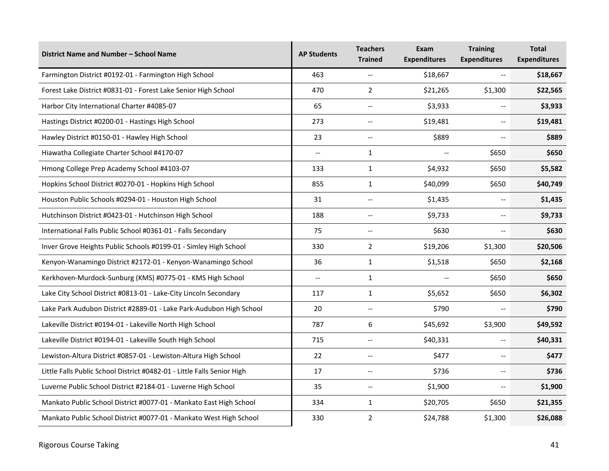| District Name and Number - School Name                                  | <b>AP Students</b>       | <b>Teachers</b><br><b>Trained</b>                   | Exam<br><b>Expenditures</b> | <b>Training</b><br><b>Expenditures</b>              | <b>Total</b><br><b>Expenditures</b> |
|-------------------------------------------------------------------------|--------------------------|-----------------------------------------------------|-----------------------------|-----------------------------------------------------|-------------------------------------|
| Farmington District #0192-01 - Farmington High School                   | 463                      | $\overline{\phantom{a}}$                            | \$18,667                    | $\overline{\phantom{a}}$                            | \$18,667                            |
| Forest Lake District #0831-01 - Forest Lake Senior High School          | 470                      | $\overline{2}$                                      | \$21,265                    | \$1,300                                             | \$22,565                            |
| Harbor City International Charter #4085-07                              | 65                       | $\hspace{0.05cm} -\hspace{0.05cm} -\hspace{0.05cm}$ | \$3,933                     | $\overline{\phantom{a}}$                            | \$3,933                             |
| Hastings District #0200-01 - Hastings High School                       | 273                      | $\overline{\phantom{a}}$                            | \$19,481                    | $\overline{\phantom{a}}$                            | \$19,481                            |
| Hawley District #0150-01 - Hawley High School                           | 23                       | $\overline{\phantom{a}}$                            | \$889                       | --                                                  | \$889                               |
| Hiawatha Collegiate Charter School #4170-07                             | $\overline{\phantom{a}}$ | $\mathbf{1}$                                        |                             | \$650                                               | \$650                               |
| Hmong College Prep Academy School #4103-07                              | 133                      | $\mathbf{1}$                                        | \$4,932                     | \$650                                               | \$5,582                             |
| Hopkins School District #0270-01 - Hopkins High School                  | 855                      | $\mathbf{1}$                                        | \$40,099                    | \$650                                               | \$40,749                            |
| Houston Public Schools #0294-01 - Houston High School                   | 31                       | $\overline{\phantom{a}}$                            | \$1,435                     | $\overline{\phantom{a}}$                            | \$1,435                             |
| Hutchinson District #0423-01 - Hutchinson High School                   | 188                      | $\hspace{0.05cm} -\hspace{0.05cm} -\hspace{0.05cm}$ | \$9,733                     | --                                                  | \$9,733                             |
| International Falls Public School #0361-01 - Falls Secondary            | 75                       | $\overline{\phantom{a}}$                            | \$630                       | $-$                                                 | \$630                               |
| Inver Grove Heights Public Schools #0199-01 - Simley High School        | 330                      | $\overline{2}$                                      | \$19,206                    | \$1,300                                             | \$20,506                            |
| Kenyon-Wanamingo District #2172-01 - Kenyon-Wanamingo School            | 36                       | $\mathbf{1}$                                        | \$1,518                     | \$650                                               | \$2,168                             |
| Kerkhoven-Murdock-Sunburg (KMS) #0775-01 - KMS High School              | ш.,                      | $\mathbf{1}$                                        | $\overline{\phantom{a}}$    | \$650                                               | \$650                               |
| Lake City School District #0813-01 - Lake-City Lincoln Secondary        | 117                      | $\mathbf{1}$                                        | \$5,652                     | \$650                                               | \$6,302                             |
| Lake Park Audubon District #2889-01 - Lake Park-Audubon High School     | 20                       | $\overline{\phantom{a}}$                            | \$790                       | $\overline{\phantom{a}}$                            | \$790                               |
| Lakeville District #0194-01 - Lakeville North High School               | 787                      | 6                                                   | \$45,692                    | \$3,900                                             | \$49,592                            |
| Lakeville District #0194-01 - Lakeville South High School               | 715                      | $\hspace{0.05cm} -\hspace{0.05cm} -\hspace{0.05cm}$ | \$40,331                    | $\hspace{0.05cm} -\hspace{0.05cm} -\hspace{0.05cm}$ | \$40,331                            |
| Lewiston-Altura District #0857-01 - Lewiston-Altura High School         | 22                       | $\overline{\phantom{a}}$                            | \$477                       | --                                                  | \$477                               |
| Little Falls Public School District #0482-01 - Little Falls Senior High | 17                       | $\overline{\phantom{a}}$                            | \$736                       | $\overline{\phantom{m}}$                            | \$736                               |
| Luverne Public School District #2184-01 - Luverne High School           | 35                       | $\overline{\phantom{a}}$                            | \$1,900                     | $\overline{\phantom{a}}$                            | \$1,900                             |
| Mankato Public School District #0077-01 - Mankato East High School      | 334                      | $\mathbf{1}$                                        | \$20,705                    | \$650                                               | \$21,355                            |
| Mankato Public School District #0077-01 - Mankato West High School      | 330                      | $\overline{2}$                                      | \$24,788                    | \$1,300                                             | \$26,088                            |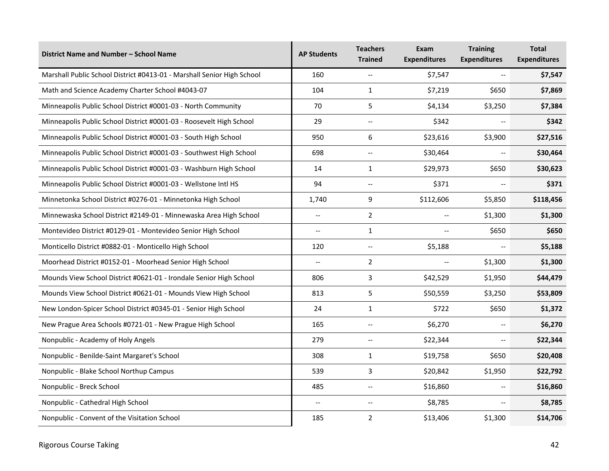| District Name and Number - School Name                                 | <b>AP Students</b>       | <b>Teachers</b><br><b>Trained</b> | Exam<br><b>Expenditures</b> | <b>Training</b><br><b>Expenditures</b> | <b>Total</b><br><b>Expenditures</b> |
|------------------------------------------------------------------------|--------------------------|-----------------------------------|-----------------------------|----------------------------------------|-------------------------------------|
| Marshall Public School District #0413-01 - Marshall Senior High School | 160                      | $\overline{\phantom{a}}$          | \$7,547                     | --                                     | \$7,547                             |
| Math and Science Academy Charter School #4043-07                       | 104                      | $\mathbf{1}$                      | \$7,219                     | \$650                                  | \$7,869                             |
| Minneapolis Public School District #0001-03 - North Community          | 70                       | 5                                 | \$4,134                     | \$3,250                                | \$7,384                             |
| Minneapolis Public School District #0001-03 - Roosevelt High School    | 29                       | $\overline{\phantom{a}}$          | \$342                       |                                        | \$342                               |
| Minneapolis Public School District #0001-03 - South High School        | 950                      | 6                                 | \$23,616                    | \$3,900                                | \$27,516                            |
| Minneapolis Public School District #0001-03 - Southwest High School    | 698                      | $\overline{\phantom{a}}$          | \$30,464                    |                                        | \$30,464                            |
| Minneapolis Public School District #0001-03 - Washburn High School     | 14                       | $\mathbf{1}$                      | \$29,973                    | \$650                                  | \$30,623                            |
| Minneapolis Public School District #0001-03 - Wellstone Intl HS        | 94                       | $\overline{\phantom{a}}$          | \$371                       |                                        | \$371                               |
| Minnetonka School District #0276-01 - Minnetonka High School           | 1,740                    | 9                                 | \$112,606                   | \$5,850                                | \$118,456                           |
| Minnewaska School District #2149-01 - Minnewaska Area High School      | $\overline{a}$           | $\overline{2}$                    |                             | \$1,300                                |                                     |
| Montevideo District #0129-01 - Montevideo Senior High School           | $\overline{\phantom{0}}$ | $\mathbf{1}$                      | \$650<br>$-$                |                                        | \$650                               |
| Monticello District #0882-01 - Monticello High School                  | 120                      | $\overline{\phantom{a}}$          | \$5,188                     | $-$                                    | \$5,188                             |
| Moorhead District #0152-01 - Moorhead Senior High School               | $\overline{\phantom{a}}$ | $\overline{2}$                    | $\overline{a}$              | \$1,300                                | \$1,300                             |
| Mounds View School District #0621-01 - Irondale Senior High School     | 806                      | 3                                 | \$42,529                    | \$1,950                                | \$44,479                            |
| Mounds View School District #0621-01 - Mounds View High School         | 813                      | 5                                 | \$50,559                    | \$3,250                                | \$53,809                            |
| New London-Spicer School District #0345-01 - Senior High School        | 24                       | $\mathbf{1}$                      | \$722                       | \$650                                  | \$1,372                             |
| New Prague Area Schools #0721-01 - New Prague High School              | 165                      | $\overline{\phantom{a}}$          | \$6,270                     | $-$                                    | \$6,270                             |
| Nonpublic - Academy of Holy Angels                                     | 279                      | $\overline{\phantom{a}}$          | \$22,344                    | $\overline{\phantom{a}}$               | \$22,344                            |
| Nonpublic - Benilde-Saint Margaret's School                            | 308                      | 1                                 | \$19,758                    | \$650                                  | \$20,408                            |
| Nonpublic - Blake School Northup Campus                                | 539                      | 3                                 | \$20,842                    | \$1,950                                | \$22,792                            |
| Nonpublic - Breck School                                               | 485                      | $\overline{\phantom{a}}$          | \$16,860                    |                                        | \$16,860                            |
| Nonpublic - Cathedral High School                                      | $\overline{\phantom{0}}$ | $\overline{\phantom{a}}$          | \$8,785                     | $\overline{\phantom{a}}$               | \$8,785                             |
| Nonpublic - Convent of the Visitation School                           | 185                      | $\overline{2}$                    | \$13,406                    | \$1,300                                | \$14,706                            |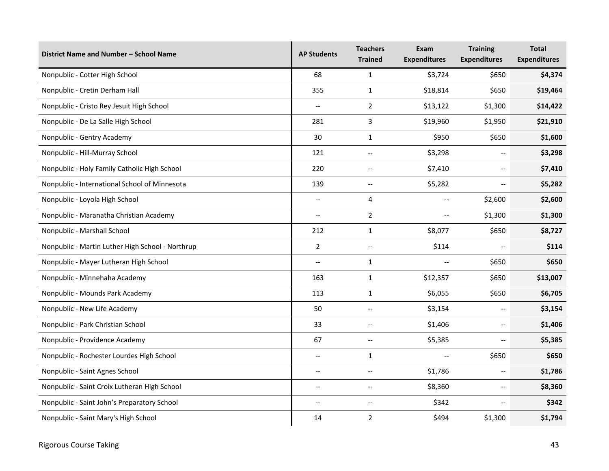| District Name and Number - School Name           | <b>AP Students</b>       | <b>Teachers</b><br><b>Trained</b>                   | Exam<br><b>Expenditures</b> | <b>Training</b><br><b>Expenditures</b> | <b>Total</b><br><b>Expenditures</b> |
|--------------------------------------------------|--------------------------|-----------------------------------------------------|-----------------------------|----------------------------------------|-------------------------------------|
| Nonpublic - Cotter High School                   | 68                       | $\mathbf{1}$                                        | \$3,724                     | \$650                                  | \$4,374                             |
| Nonpublic - Cretin Derham Hall                   | 355                      | $\mathbf{1}$                                        | \$18,814                    | \$650                                  | \$19,464                            |
| Nonpublic - Cristo Rey Jesuit High School        | $\overline{\phantom{a}}$ | $\overline{2}$                                      | \$13,122                    | \$1,300                                |                                     |
| Nonpublic - De La Salle High School              | 281                      | 3                                                   | \$19,960                    | \$1,950                                |                                     |
| Nonpublic - Gentry Academy                       | 30                       | $\mathbf{1}$                                        | \$950                       | \$650                                  | \$1,600                             |
| Nonpublic - Hill-Murray School                   | 121                      | $\overline{a}$                                      | \$3,298                     | $\overline{\phantom{a}}$               | \$3,298                             |
| Nonpublic - Holy Family Catholic High School     | 220                      | $\overline{\phantom{a}}$                            | \$7,410                     | $\overline{\phantom{a}}$               | \$7,410                             |
| Nonpublic - International School of Minnesota    | 139                      | --                                                  | \$5,282                     | $\overline{\phantom{a}}$               | \$5,282                             |
| Nonpublic - Loyola High School                   | $\overline{a}$           | 4                                                   | $-$                         | \$2,600                                | \$2,600                             |
| Nonpublic - Maranatha Christian Academy          | $\overline{a}$           | $\overline{2}$                                      | $-$                         | \$1,300                                | \$1,300                             |
| Nonpublic - Marshall School                      | 212                      | $\mathbf{1}$                                        | \$8,077                     | \$650                                  | \$8,727                             |
| Nonpublic - Martin Luther High School - Northrup | $\overline{2}$           | $\overline{\phantom{a}}$                            | \$114                       | $\overline{\phantom{a}}$               | \$114                               |
| Nonpublic - Mayer Lutheran High School           | $\overline{a}$           | $\mathbf{1}$                                        |                             | \$650                                  | \$650                               |
| Nonpublic - Minnehaha Academy                    | 163                      | $\mathbf{1}$                                        | \$12,357                    | \$650                                  | \$13,007                            |
| Nonpublic - Mounds Park Academy                  | 113                      | 1                                                   | \$6,055                     | \$650                                  | \$6,705                             |
| Nonpublic - New Life Academy                     | 50                       | $\hspace{0.05cm} -\hspace{0.05cm} -\hspace{0.05cm}$ | \$3,154                     | $\overline{\phantom{a}}$               | \$3,154                             |
| Nonpublic - Park Christian School                | 33                       | $\overline{a}$                                      | \$1,406                     | $\overline{\phantom{a}}$               | \$1,406                             |
| Nonpublic - Providence Academy                   | 67                       | $\hspace{0.05cm} \ldots$                            | \$5,385                     | $\overline{\phantom{a}}$               | \$5,385                             |
| Nonpublic - Rochester Lourdes High School        | $\overline{\phantom{a}}$ | 1                                                   |                             | \$650                                  | \$650                               |
| Nonpublic - Saint Agnes School                   | $\overline{\phantom{a}}$ | $\overline{\phantom{a}}$                            | \$1,786                     | $\overline{\phantom{a}}$               | \$1,786                             |
| Nonpublic - Saint Croix Lutheran High School     | $\overline{\phantom{a}}$ | $\overline{\phantom{0}}$                            | \$8,360                     | $\overline{\phantom{a}}$               | \$8,360                             |
| Nonpublic - Saint John's Preparatory School      | $\overline{\phantom{a}}$ | $\hspace{0.05cm} -\hspace{0.05cm} -\hspace{0.05cm}$ | \$342                       | $\qquad \qquad -$                      | \$342                               |
| Nonpublic - Saint Mary's High School             | 14                       | $\overline{2}$                                      | \$494                       | \$1,300                                | \$1,794                             |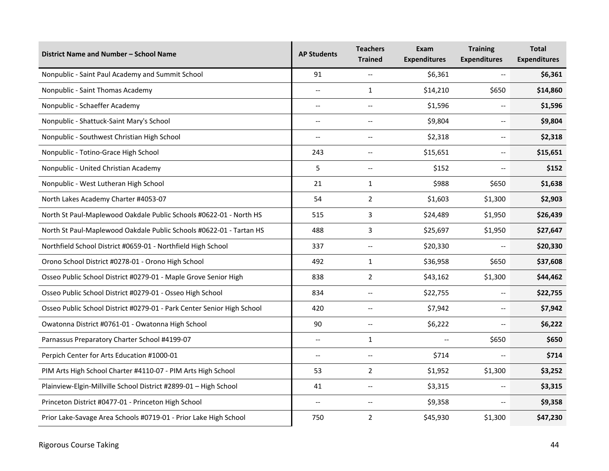| District Name and Number - School Name                                 | <b>AP Students</b>       | <b>Teachers</b><br><b>Trained</b> | Exam<br><b>Expenditures</b> | <b>Training</b><br><b>Expenditures</b> | <b>Total</b><br><b>Expenditures</b> |
|------------------------------------------------------------------------|--------------------------|-----------------------------------|-----------------------------|----------------------------------------|-------------------------------------|
| Nonpublic - Saint Paul Academy and Summit School                       | 91                       | $\overline{\phantom{a}}$          | \$6,361                     | $\overline{\phantom{a}}$               | \$6,361                             |
| Nonpublic - Saint Thomas Academy                                       | $\overline{\phantom{a}}$ | 1                                 | \$14,210                    | \$650                                  | \$14,860                            |
| Nonpublic - Schaeffer Academy                                          | $\overline{\phantom{a}}$ | $\overline{\phantom{a}}$          | \$1,596                     |                                        | \$1,596                             |
| Nonpublic - Shattuck-Saint Mary's School                               | $\overline{\phantom{a}}$ | $\overline{\phantom{a}}$          | \$9,804                     | $\overline{\phantom{a}}$               | \$9,804                             |
| Nonpublic - Southwest Christian High School                            | --                       | $\hspace{0.05cm} \textbf{--}$     | \$2,318                     | --                                     | \$2,318                             |
| Nonpublic - Totino-Grace High School                                   | 243                      | --                                | \$15,651                    | $\overline{\phantom{a}}$               | \$15,651                            |
| Nonpublic - United Christian Academy                                   | 5                        | $\overline{\phantom{a}}$          | \$152                       | $\overline{a}$                         | \$152                               |
| Nonpublic - West Lutheran High School                                  | 21                       | 1                                 | \$988                       | \$650                                  | \$1,638                             |
| North Lakes Academy Charter #4053-07                                   | 54                       | $\overline{2}$                    | \$1,603                     | \$1,300                                | \$2,903                             |
| North St Paul-Maplewood Oakdale Public Schools #0622-01 - North HS     | 515                      | 3                                 | \$24,489                    | \$1,950                                | \$26,439                            |
| North St Paul-Maplewood Oakdale Public Schools #0622-01 - Tartan HS    | 488                      | 3                                 | \$25,697                    | \$1,950                                | \$27,647                            |
| Northfield School District #0659-01 - Northfield High School           | 337                      | $\overline{a}$                    | \$20,330                    | $\overline{\phantom{a}}$               | \$20,330                            |
| Orono School District #0278-01 - Orono High School                     | 492                      | $\mathbf{1}$                      | \$36,958                    | \$650                                  | \$37,608                            |
| Osseo Public School District #0279-01 - Maple Grove Senior High        | 838                      | $\overline{2}$                    | \$43,162                    | \$1,300                                | \$44,462                            |
| Osseo Public School District #0279-01 - Osseo High School              | 834                      | $\overline{\phantom{a}}$          | \$22,755                    | --                                     | \$22,755                            |
| Osseo Public School District #0279-01 - Park Center Senior High School | 420                      | $\overline{\phantom{a}}$          | \$7,942                     | $\overline{\phantom{a}}$               | \$7,942                             |
| Owatonna District #0761-01 - Owatonna High School                      | 90                       | $\overline{\phantom{a}}$          | \$6,222                     | $\overline{\phantom{a}}$               | \$6,222                             |
| Parnassus Preparatory Charter School #4199-07                          | $\overline{\phantom{a}}$ | $\mathbf{1}$                      | $\overline{a}$              | \$650                                  | \$650                               |
| Perpich Center for Arts Education #1000-01                             | $\overline{\phantom{a}}$ | $\overline{\phantom{a}}$          | \$714                       |                                        | \$714                               |
| PIM Arts High School Charter #4110-07 - PIM Arts High School           | 53                       | $\overline{2}$                    | \$1,952                     | \$1,300                                | \$3,252                             |
| Plainview-Elgin-Millville School District #2899-01 - High School       | 41                       | $-$                               | \$3,315                     | $-$                                    | \$3,315                             |
| Princeton District #0477-01 - Princeton High School                    | $\overline{\phantom{a}}$ | $\overline{\phantom{a}}$          | \$9,358                     | $\overline{\phantom{a}}$               | \$9,358                             |
| Prior Lake-Savage Area Schools #0719-01 - Prior Lake High School       | 750                      | $\overline{2}$                    | \$45,930                    | \$1,300                                | \$47,230                            |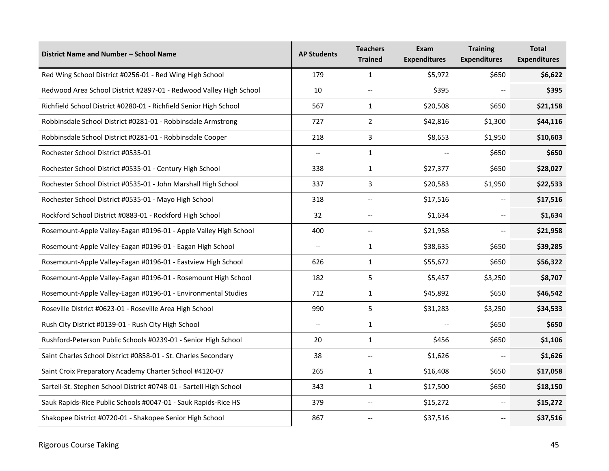| District Name and Number - School Name                             | <b>AP Students</b>       | <b>Teachers</b><br><b>Trained</b>                   | Exam<br><b>Expenditures</b> | <b>Training</b><br><b>Expenditures</b> | <b>Total</b><br><b>Expenditures</b> |
|--------------------------------------------------------------------|--------------------------|-----------------------------------------------------|-----------------------------|----------------------------------------|-------------------------------------|
| Red Wing School District #0256-01 - Red Wing High School           | 179                      | $\mathbf{1}$                                        | \$5,972                     | \$650                                  | \$6,622                             |
| Redwood Area School District #2897-01 - Redwood Valley High School | 10                       | $\hspace{0.05cm} -\hspace{0.05cm} -\hspace{0.05cm}$ | \$395                       |                                        | \$395                               |
| Richfield School District #0280-01 - Richfield Senior High School  | 567                      | $\mathbf{1}$                                        | \$20,508                    | \$650                                  | \$21,158                            |
| Robbinsdale School District #0281-01 - Robbinsdale Armstrong       | 727                      | $\overline{2}$                                      | \$42,816                    | \$1,300                                | \$44,116                            |
| Robbinsdale School District #0281-01 - Robbinsdale Cooper          | 218                      | 3                                                   | \$8,653                     | \$1,950                                | \$10,603                            |
| Rochester School District #0535-01                                 | ш.,                      | $\mathbf{1}$                                        |                             | \$650                                  | \$650                               |
| Rochester School District #0535-01 - Century High School           | 338                      | $\mathbf{1}$                                        | \$27,377                    | \$650                                  | \$28,027                            |
| Rochester School District #0535-01 - John Marshall High School     | 337                      | 3                                                   | \$20,583                    | \$1,950                                | \$22,533                            |
| Rochester School District #0535-01 - Mayo High School              | 318                      | $\overline{\phantom{a}}$                            | \$17,516                    | $\overline{\phantom{0}}$               | \$17,516                            |
| Rockford School District #0883-01 - Rockford High School           | 32                       | $\sim$ $\sim$                                       | \$1,634                     | $\overline{\phantom{a}}$               | \$1,634                             |
| Rosemount-Apple Valley-Eagan #0196-01 - Apple Valley High School   | 400                      | $\overline{\phantom{a}}$                            | \$21,958                    | $\overline{\phantom{a}}$               | \$21,958                            |
| Rosemount-Apple Valley-Eagan #0196-01 - Eagan High School          | $\overline{\phantom{a}}$ | $\mathbf{1}$                                        | \$38,635                    | \$650                                  | \$39,285                            |
| Rosemount-Apple Valley-Eagan #0196-01 - Eastview High School       | 626                      | $\mathbf{1}$                                        | \$55,672                    | \$650                                  | \$56,322                            |
| Rosemount-Apple Valley-Eagan #0196-01 - Rosemount High School      | 182                      | 5                                                   | \$5,457                     | \$3,250                                | \$8,707                             |
| Rosemount-Apple Valley-Eagan #0196-01 - Environmental Studies      | 712                      | $\mathbf{1}$                                        | \$45,892                    | \$650                                  | \$46,542                            |
| Roseville District #0623-01 - Roseville Area High School           | 990                      | 5                                                   | \$31,283                    | \$3,250                                | \$34,533                            |
| Rush City District #0139-01 - Rush City High School                | --                       | $\mathbf{1}$                                        |                             | \$650                                  | \$650                               |
| Rushford-Peterson Public Schools #0239-01 - Senior High School     | 20                       | $\mathbf{1}$                                        | \$456                       | \$650                                  | \$1,106                             |
| Saint Charles School District #0858-01 - St. Charles Secondary     | 38                       | $\overline{\phantom{a}}$                            | \$1,626                     |                                        | \$1,626                             |
| Saint Croix Preparatory Academy Charter School #4120-07            | 265                      | $\mathbf{1}$                                        | \$16,408                    | \$650                                  | \$17,058                            |
| Sartell-St. Stephen School District #0748-01 - Sartell High School | 343                      | $\mathbf{1}$                                        | \$17,500                    | \$650                                  | \$18,150                            |
| Sauk Rapids-Rice Public Schools #0047-01 - Sauk Rapids-Rice HS     | 379                      | $\overline{\phantom{a}}$                            | \$15,272                    | $\overline{\phantom{a}}$               | \$15,272                            |
| Shakopee District #0720-01 - Shakopee Senior High School           | 867                      |                                                     | \$37,516                    |                                        | \$37,516                            |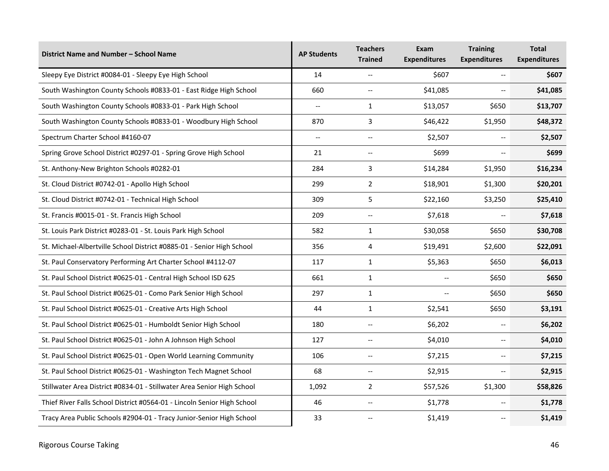| District Name and Number - School Name                                  | <b>AP Students</b>       | <b>Teachers</b><br><b>Trained</b> | Exam<br><b>Expenditures</b> | <b>Training</b><br><b>Expenditures</b> | <b>Total</b><br><b>Expenditures</b> |
|-------------------------------------------------------------------------|--------------------------|-----------------------------------|-----------------------------|----------------------------------------|-------------------------------------|
| Sleepy Eye District #0084-01 - Sleepy Eye High School                   | 14                       | $-$                               | \$607                       | $\overline{\phantom{a}}$               | \$607                               |
| South Washington County Schools #0833-01 - East Ridge High School       | 660                      | $\overline{\phantom{a}}$          | \$41,085                    | $\overline{\phantom{a}}$               | \$41,085                            |
| South Washington County Schools #0833-01 - Park High School             | $\overline{\phantom{a}}$ | $\mathbf{1}$                      | \$13,057                    | \$650                                  | \$13,707                            |
| South Washington County Schools #0833-01 - Woodbury High School         | 870                      | 3                                 | \$46,422                    | \$1,950                                | \$48,372                            |
| Spectrum Charter School #4160-07                                        | $\overline{\phantom{a}}$ | $\hspace{0.05cm} \ldots$          | \$2,507                     | $\overline{\phantom{a}}$               | \$2,507                             |
| Spring Grove School District #0297-01 - Spring Grove High School        | 21                       | $- -$                             | \$699                       |                                        | \$699                               |
| St. Anthony-New Brighton Schools #0282-01                               | 284                      | 3                                 | \$14,284                    | \$1,950                                | \$16,234                            |
| St. Cloud District #0742-01 - Apollo High School                        | 299                      | $\overline{2}$                    | \$18,901                    | \$1,300                                | \$20,201                            |
| St. Cloud District #0742-01 - Technical High School                     | 309                      | 5                                 | \$22,160                    | \$3,250                                | \$25,410                            |
| St. Francis #0015-01 - St. Francis High School                          | 209                      | $\overline{a}$                    | \$7,618                     |                                        | \$7,618                             |
| St. Louis Park District #0283-01 - St. Louis Park High School           | 582                      | $\mathbf{1}$                      | \$30,058                    | \$650                                  | \$30,708                            |
| St. Michael-Albertville School District #0885-01 - Senior High School   | 356                      | 4                                 | \$19,491                    | \$2,600                                | \$22,091                            |
| St. Paul Conservatory Performing Art Charter School #4112-07            | 117                      | $\mathbf{1}$                      | \$5,363                     | \$650                                  | \$6,013                             |
| St. Paul School District #0625-01 - Central High School ISD 625         | 661                      | $\mathbf{1}$                      | --                          | \$650                                  | \$650                               |
| St. Paul School District #0625-01 - Como Park Senior High School        | 297                      | $\mathbf{1}$                      |                             | \$650                                  | \$650                               |
| St. Paul School District #0625-01 - Creative Arts High School           | 44                       | $\mathbf{1}$                      | \$2,541                     | \$650                                  | \$3,191                             |
| St. Paul School District #0625-01 - Humboldt Senior High School         | 180                      | --                                | \$6,202                     |                                        | \$6,202                             |
| St. Paul School District #0625-01 - John A Johnson High School          | 127                      | $\hspace{0.05cm} \ldots$          | \$4,010                     | $\overline{\phantom{a}}$               | \$4,010                             |
| St. Paul School District #0625-01 - Open World Learning Community       | 106                      | --                                | \$7,215                     | $\overline{\phantom{a}}$               | \$7,215                             |
| St. Paul School District #0625-01 - Washington Tech Magnet School       | 68                       | $\overline{\phantom{a}}$          | \$2,915                     | $\overline{\phantom{a}}$               | \$2,915                             |
| Stillwater Area District #0834-01 - Stillwater Area Senior High School  | 1,092                    | $\overline{2}$                    | \$57,526                    | \$1,300                                | \$58,826                            |
| Thief River Falls School District #0564-01 - Lincoln Senior High School | 46                       | $\overline{\phantom{a}}$          | \$1,778                     |                                        | \$1,778                             |
| Tracy Area Public Schools #2904-01 - Tracy Junior-Senior High School    | 33                       |                                   | \$1,419                     |                                        | \$1,419                             |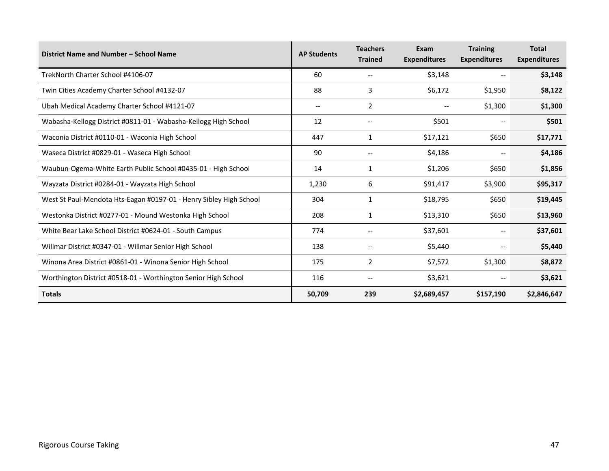| District Name and Number - School Name                             | <b>AP Students</b> | <b>Teachers</b><br><b>Trained</b> | Exam<br><b>Expenditures</b>         | <b>Training</b><br><b>Expenditures</b> | <b>Total</b><br><b>Expenditures</b> |
|--------------------------------------------------------------------|--------------------|-----------------------------------|-------------------------------------|----------------------------------------|-------------------------------------|
| TrekNorth Charter School #4106-07                                  | 60                 |                                   | \$3,148                             |                                        | \$3,148                             |
| Twin Cities Academy Charter School #4132-07                        | 88                 | 3                                 | \$6,172                             | \$1,950                                | \$8,122                             |
| Ubah Medical Academy Charter School #4121-07                       | $- -$              | $\overline{2}$                    |                                     | \$1,300                                | \$1,300                             |
| Wabasha-Kellogg District #0811-01 - Wabasha-Kellogg High School    | 12                 | $-$                               | \$501                               | $\qquad \qquad -$                      | \$501                               |
| Waconia District #0110-01 - Waconia High School                    | 447                | 1                                 | \$17,121                            | \$650                                  | \$17,771                            |
| Waseca District #0829-01 - Waseca High School                      | 90                 |                                   | \$4,186<br>$\overline{\phantom{m}}$ |                                        | \$4,186                             |
| Waubun-Ogema-White Earth Public School #0435-01 - High School      | 14                 | 1                                 | \$1,206<br>\$650                    |                                        | \$1,856                             |
| Wayzata District #0284-01 - Wayzata High School                    | 1,230              | 6                                 | \$91,417                            | \$3,900                                | \$95,317                            |
| West St Paul-Mendota Hts-Eagan #0197-01 - Henry Sibley High School | 304                | 1                                 | \$18,795                            | \$650                                  | \$19,445                            |
| Westonka District #0277-01 - Mound Westonka High School            | 208                | 1                                 | \$13,310                            | \$650                                  | \$13,960                            |
| White Bear Lake School District #0624-01 - South Campus            | 774                |                                   | \$37,601                            | $\overline{\phantom{m}}$               | \$37,601                            |
| Willmar District #0347-01 - Willmar Senior High School             | 138                |                                   | \$5,440                             | $-$                                    | \$5,440                             |
| Winona Area District #0861-01 - Winona Senior High School          | 175                | $\overline{2}$                    | \$7,572                             | \$1,300                                | \$8,872                             |
| Worthington District #0518-01 - Worthington Senior High School     | 116                |                                   | \$3,621                             | --                                     | \$3,621                             |
| <b>Totals</b>                                                      | 50,709             | 239                               | \$2,689,457                         | \$157,190                              | \$2,846,647                         |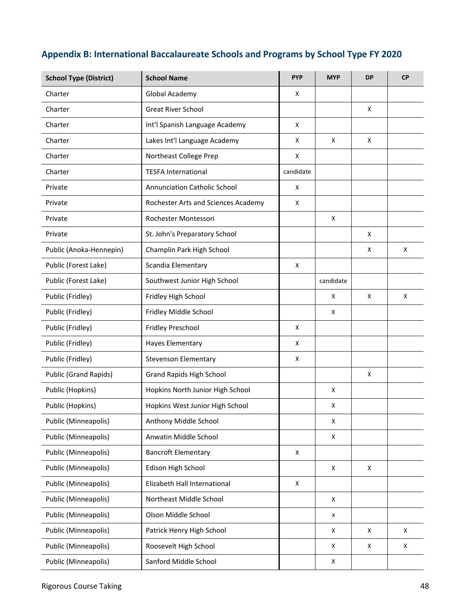### **Appendix B: International Baccalaureate Schools and Programs by School Type FY 2020**

| <b>School Type (District)</b> | <b>School Name</b>                  | <b>PYP</b> | <b>MYP</b>         | <b>DP</b> | <b>CP</b> |
|-------------------------------|-------------------------------------|------------|--------------------|-----------|-----------|
| Charter                       | Global Academy                      | x          |                    |           |           |
| Charter                       | <b>Great River School</b>           |            |                    | X         |           |
| Charter                       | Int'l Spanish Language Academy      | X          |                    |           |           |
| Charter                       | Lakes Int'l Language Academy        | X          | X                  | X         |           |
| Charter                       | Northeast College Prep              | x          |                    |           |           |
| Charter                       | <b>TESFA International</b>          | candidate  |                    |           |           |
| Private                       | <b>Annunciation Catholic School</b> | X          |                    |           |           |
| Private                       | Rochester Arts and Sciences Academy | X          |                    |           |           |
| Private                       | Rochester Montessori                |            | X                  |           |           |
| Private                       | St. John's Preparatory School       |            |                    | X         |           |
| Public (Anoka-Hennepin)       | Champlin Park High School           |            |                    | X         | X         |
| Public (Forest Lake)          | Scandia Elementary                  | X          |                    |           |           |
| Public (Forest Lake)          | Southwest Junior High School        |            | candidate          |           |           |
| Public (Fridley)              | Fridley High School                 |            | X                  | X         | X         |
| Public (Fridley)              | Fridley Middle School               |            | X                  |           |           |
| Public (Fridley)              | Fridley Preschool                   | X          |                    |           |           |
| Public (Fridley)              | <b>Hayes Elementary</b>             | X          |                    |           |           |
| Public (Fridley)              | <b>Stevenson Elementary</b>         | X          |                    |           |           |
| Public (Grand Rapids)         | <b>Grand Rapids High School</b>     |            |                    | Χ         |           |
| Public (Hopkins)              | Hopkins North Junior High School    |            | X                  |           |           |
| Public (Hopkins)              | Hopkins West Junior High School     |            | x                  |           |           |
| Public (Minneapolis)          | Anthony Middle School               |            | X                  |           |           |
| Public (Minneapolis)          | Anwatin Middle School               |            | X                  |           |           |
| Public (Minneapolis)          | <b>Bancroft Elementary</b>          | X          |                    |           |           |
| Public (Minneapolis)          | Edison High School                  |            | X                  | Χ         |           |
| Public (Minneapolis)          | Elizabeth Hall International        | X          |                    |           |           |
| Public (Minneapolis)          | Northeast Middle School             |            | X                  |           |           |
| Public (Minneapolis)          | Olson Middle School                 |            | x                  |           |           |
| Public (Minneapolis)          | Patrick Henry High School           |            | X                  | X         | X         |
| Public (Minneapolis)          | Roosevelt High School               |            | X                  | X         | X         |
| Public (Minneapolis)          | Sanford Middle School               |            | $\pmb{\mathsf{X}}$ |           |           |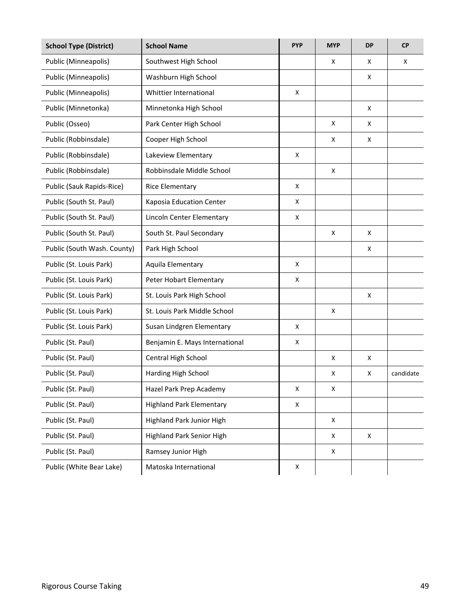| <b>School Type (District)</b> | <b>School Name</b>              | <b>PYP</b> | <b>MYP</b> | <b>DP</b> | <b>CP</b> |
|-------------------------------|---------------------------------|------------|------------|-----------|-----------|
| Public (Minneapolis)          | Southwest High School           |            | x          | X         | X         |
| Public (Minneapolis)          | Washburn High School            |            |            | x         |           |
| Public (Minneapolis)          | Whittier International          | X          |            |           |           |
| Public (Minnetonka)           | Minnetonka High School          |            |            | X         |           |
| Public (Osseo)                | Park Center High School         |            | X          | x         |           |
| Public (Robbinsdale)          | Cooper High School              |            | X          | X         |           |
| Public (Robbinsdale)          | Lakeview Elementary             | X          |            |           |           |
| Public (Robbinsdale)          | Robbinsdale Middle School       |            | X          |           |           |
| Public (Sauk Rapids-Rice)     | <b>Rice Elementary</b>          | X          |            |           |           |
| Public (South St. Paul)       | Kaposia Education Center        | x          |            |           |           |
| Public (South St. Paul)       | Lincoln Center Elementary       | X          |            |           |           |
| Public (South St. Paul)       | South St. Paul Secondary        |            | X          | x         |           |
| Public (South Wash. County)   | Park High School                |            |            | x         |           |
| Public (St. Louis Park)       | Aquila Elementary               | X          |            |           |           |
| Public (St. Louis Park)       | Peter Hobart Elementary         | X          |            |           |           |
| Public (St. Louis Park)       | St. Louis Park High School      |            |            | X         |           |
| Public (St. Louis Park)       | St. Louis Park Middle School    |            | X          |           |           |
| Public (St. Louis Park)       | Susan Lindgren Elementary       | X          |            |           |           |
| Public (St. Paul)             | Benjamin E. Mays International  | X          |            |           |           |
| Public (St. Paul)             | Central High School             |            | X          | X         |           |
| Public (St. Paul)             | Harding High School             |            | X          | X         | candidate |
| Public (St. Paul)             | Hazel Park Prep Academy         | X          | X          |           |           |
| Public (St. Paul)             | <b>Highland Park Elementary</b> | X          |            |           |           |
| Public (St. Paul)             | Highland Park Junior High       |            | X          |           |           |
| Public (St. Paul)             | Highland Park Senior High       |            | X          | X         |           |
| Public (St. Paul)             | Ramsey Junior High              |            | X          |           |           |
| Public (White Bear Lake)      | Matoska International           | X          |            |           |           |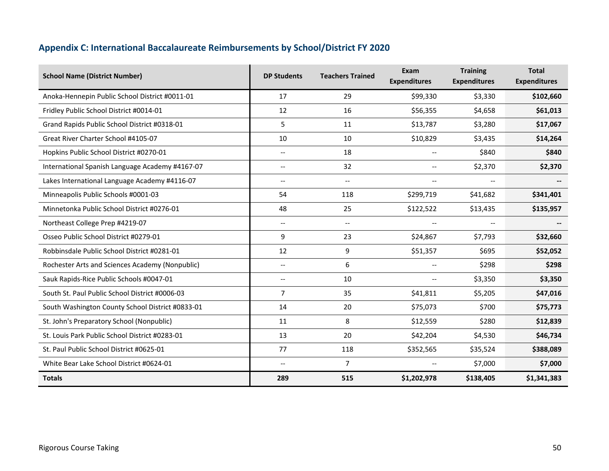### **Appendix C: International Baccalaureate Reimbursements by School/District FY 2020**

| <b>School Name (District Number)</b>             | <b>DP Students</b>                    | <b>Teachers Trained</b>                             | Exam<br><b>Expenditures</b> | <b>Training</b><br><b>Expenditures</b> | <b>Total</b><br><b>Expenditures</b> |
|--------------------------------------------------|---------------------------------------|-----------------------------------------------------|-----------------------------|----------------------------------------|-------------------------------------|
| Anoka-Hennepin Public School District #0011-01   | 17                                    | 29                                                  | \$99,330                    | \$3,330                                | \$102,660                           |
| Fridley Public School District #0014-01          | 12                                    | 16                                                  | \$56,355                    | \$4,658                                | \$61,013                            |
| Grand Rapids Public School District #0318-01     | 5                                     | 11                                                  | \$13,787                    | \$3,280                                | \$17,067                            |
| Great River Charter School #4105-07              | 10                                    | 10                                                  | \$10,829                    | \$3,435                                | \$14,264                            |
| Hopkins Public School District #0270-01          | $\overline{\phantom{a}}$              | 18                                                  | $\overline{\phantom{a}}$    | \$840                                  | \$840                               |
| International Spanish Language Academy #4167-07  | $\hspace{0.05cm}$ – $\hspace{0.05cm}$ | 32                                                  |                             | \$2,370                                | \$2,370                             |
| Lakes International Language Academy #4116-07    | $\overline{\phantom{a}}$              | $\overline{\phantom{a}}$                            | $- -$                       | $\overline{\phantom{m}}$               |                                     |
| Minneapolis Public Schools #0001-03              | 54                                    | 118                                                 | \$299,719                   | \$41,682                               | \$341,401                           |
| Minnetonka Public School District #0276-01       | 48                                    | 25                                                  | \$122,522                   | \$13,435                               | \$135,957                           |
| Northeast College Prep #4219-07                  | $\hspace{0.05cm}$ – $\hspace{0.05cm}$ | $\hspace{0.05cm} -\hspace{0.05cm} -\hspace{0.05cm}$ |                             | $\overline{\phantom{a}}$               |                                     |
| Osseo Public School District #0279-01            | 9                                     | 23                                                  | \$24,867                    | \$7,793                                | \$32,660                            |
| Robbinsdale Public School District #0281-01      | 12                                    | 9                                                   | \$51,357                    | \$695                                  | \$52,052                            |
| Rochester Arts and Sciences Academy (Nonpublic)  | $- -$                                 | 6                                                   |                             | \$298                                  | \$298                               |
| Sauk Rapids-Rice Public Schools #0047-01         | $\overline{\phantom{a}}$              | 10                                                  |                             | \$3,350                                | \$3,350                             |
| South St. Paul Public School District #0006-03   | $\overline{7}$                        | 35                                                  | \$41,811                    | \$5,205                                | \$47,016                            |
| South Washington County School District #0833-01 | 14                                    | 20                                                  | \$75,073                    | \$700                                  | \$75,773                            |
| St. John's Preparatory School (Nonpublic)        | 11                                    | 8                                                   | \$12,559                    | \$280                                  | \$12,839                            |
| St. Louis Park Public School District #0283-01   | 13                                    | 20                                                  | \$42,204                    | \$4,530                                | \$46,734                            |
| St. Paul Public School District #0625-01         | 77                                    | 118                                                 | \$352,565                   | \$35,524                               | \$388,089                           |
| White Bear Lake School District #0624-01         | $\overline{\phantom{a}}$              | $\overline{7}$                                      |                             | \$7,000                                | \$7,000                             |
| <b>Totals</b>                                    | 289                                   | 515                                                 | \$1,202,978                 | \$138,405                              | \$1,341,383                         |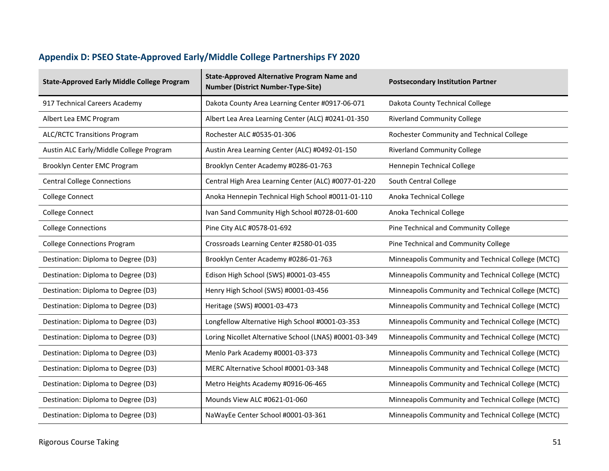## **Appendix D: PSEO State-Approved Early/Middle College Partnerships FY 2020**

| <b>State-Approved Early Middle College Program</b> | <b>State-Approved Alternative Program Name and</b><br><b>Number (District Number-Type-Site)</b> | <b>Postsecondary Institution Partner</b>           |
|----------------------------------------------------|-------------------------------------------------------------------------------------------------|----------------------------------------------------|
| 917 Technical Careers Academy                      | Dakota County Area Learning Center #0917-06-071                                                 | Dakota County Technical College                    |
| Albert Lea EMC Program                             | Albert Lea Area Learning Center (ALC) #0241-01-350                                              | <b>Riverland Community College</b>                 |
| <b>ALC/RCTC Transitions Program</b>                | Rochester ALC #0535-01-306                                                                      | Rochester Community and Technical College          |
| Austin ALC Early/Middle College Program            | Austin Area Learning Center (ALC) #0492-01-150                                                  | <b>Riverland Community College</b>                 |
| Brooklyn Center EMC Program                        | Brooklyn Center Academy #0286-01-763                                                            | Hennepin Technical College                         |
| <b>Central College Connections</b>                 | Central High Area Learning Center (ALC) #0077-01-220                                            | South Central College                              |
| College Connect                                    | Anoka Hennepin Technical High School #0011-01-110                                               | Anoka Technical College                            |
| College Connect                                    | Ivan Sand Community High School #0728-01-600                                                    | Anoka Technical College                            |
| <b>College Connections</b>                         | Pine City ALC #0578-01-692                                                                      | Pine Technical and Community College               |
| <b>College Connections Program</b>                 | Crossroads Learning Center #2580-01-035                                                         | Pine Technical and Community College               |
| Destination: Diploma to Degree (D3)                | Brooklyn Center Academy #0286-01-763                                                            | Minneapolis Community and Technical College (MCTC) |
| Destination: Diploma to Degree (D3)                | Edison High School (SWS) #0001-03-455                                                           | Minneapolis Community and Technical College (MCTC) |
| Destination: Diploma to Degree (D3)                | Henry High School (SWS) #0001-03-456                                                            | Minneapolis Community and Technical College (MCTC) |
| Destination: Diploma to Degree (D3)                | Heritage (SWS) #0001-03-473                                                                     | Minneapolis Community and Technical College (MCTC) |
| Destination: Diploma to Degree (D3)                | Longfellow Alternative High School #0001-03-353                                                 | Minneapolis Community and Technical College (MCTC) |
| Destination: Diploma to Degree (D3)                | Loring Nicollet Alternative School (LNAS) #0001-03-349                                          | Minneapolis Community and Technical College (MCTC) |
| Destination: Diploma to Degree (D3)                | Menlo Park Academy #0001-03-373                                                                 | Minneapolis Community and Technical College (MCTC) |
| Destination: Diploma to Degree (D3)                | MERC Alternative School #0001-03-348                                                            | Minneapolis Community and Technical College (MCTC) |
| Destination: Diploma to Degree (D3)                | Metro Heights Academy #0916-06-465                                                              | Minneapolis Community and Technical College (MCTC) |
| Destination: Diploma to Degree (D3)                | Mounds View ALC #0621-01-060                                                                    | Minneapolis Community and Technical College (MCTC) |
| Destination: Diploma to Degree (D3)                | NaWayEe Center School #0001-03-361                                                              | Minneapolis Community and Technical College (MCTC) |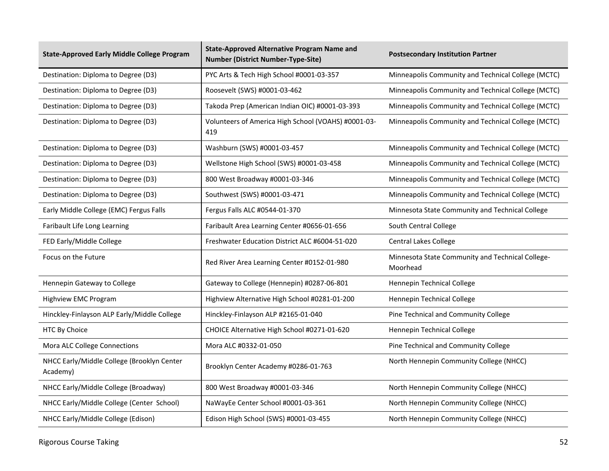| <b>State-Approved Early Middle College Program</b>     | <b>State-Approved Alternative Program Name and</b><br><b>Number (District Number-Type-Site)</b> | <b>Postsecondary Institution Partner</b>                     |
|--------------------------------------------------------|-------------------------------------------------------------------------------------------------|--------------------------------------------------------------|
| Destination: Diploma to Degree (D3)                    | PYC Arts & Tech High School #0001-03-357                                                        | Minneapolis Community and Technical College (MCTC)           |
| Destination: Diploma to Degree (D3)                    | Roosevelt (SWS) #0001-03-462                                                                    | Minneapolis Community and Technical College (MCTC)           |
| Destination: Diploma to Degree (D3)                    | Takoda Prep (American Indian OIC) #0001-03-393                                                  | Minneapolis Community and Technical College (MCTC)           |
| Destination: Diploma to Degree (D3)                    | Volunteers of America High School (VOAHS) #0001-03-<br>419                                      | Minneapolis Community and Technical College (MCTC)           |
| Destination: Diploma to Degree (D3)                    | Washburn (SWS) #0001-03-457                                                                     | Minneapolis Community and Technical College (MCTC)           |
| Destination: Diploma to Degree (D3)                    | Wellstone High School (SWS) #0001-03-458                                                        | Minneapolis Community and Technical College (MCTC)           |
| Destination: Diploma to Degree (D3)                    | 800 West Broadway #0001-03-346                                                                  | Minneapolis Community and Technical College (MCTC)           |
| Destination: Diploma to Degree (D3)                    | Southwest (SWS) #0001-03-471                                                                    | Minneapolis Community and Technical College (MCTC)           |
| Early Middle College (EMC) Fergus Falls                | Fergus Falls ALC #0544-01-370                                                                   | Minnesota State Community and Technical College              |
| Faribault Life Long Learning                           | Faribault Area Learning Center #0656-01-656                                                     | South Central College                                        |
| FED Early/Middle College                               | Freshwater Education District ALC #6004-51-020                                                  | <b>Central Lakes College</b>                                 |
| Focus on the Future                                    | Red River Area Learning Center #0152-01-980                                                     | Minnesota State Community and Technical College-<br>Moorhead |
| Hennepin Gateway to College                            | Gateway to College (Hennepin) #0287-06-801                                                      | Hennepin Technical College                                   |
| Highview EMC Program                                   | Highview Alternative High School #0281-01-200                                                   | Hennepin Technical College                                   |
| Hinckley-Finlayson ALP Early/Middle College            | Hinckley-Finlayson ALP #2165-01-040                                                             | Pine Technical and Community College                         |
| HTC By Choice                                          | CHOICE Alternative High School #0271-01-620                                                     | Hennepin Technical College                                   |
| Mora ALC College Connections                           | Mora ALC #0332-01-050                                                                           | Pine Technical and Community College                         |
| NHCC Early/Middle College (Brooklyn Center<br>Academy) | Brooklyn Center Academy #0286-01-763                                                            | North Hennepin Community College (NHCC)                      |
| NHCC Early/Middle College (Broadway)                   | 800 West Broadway #0001-03-346                                                                  | North Hennepin Community College (NHCC)                      |
| NHCC Early/Middle College (Center School)              | NaWayEe Center School #0001-03-361                                                              | North Hennepin Community College (NHCC)                      |
| NHCC Early/Middle College (Edison)                     | Edison High School (SWS) #0001-03-455                                                           | North Hennepin Community College (NHCC)                      |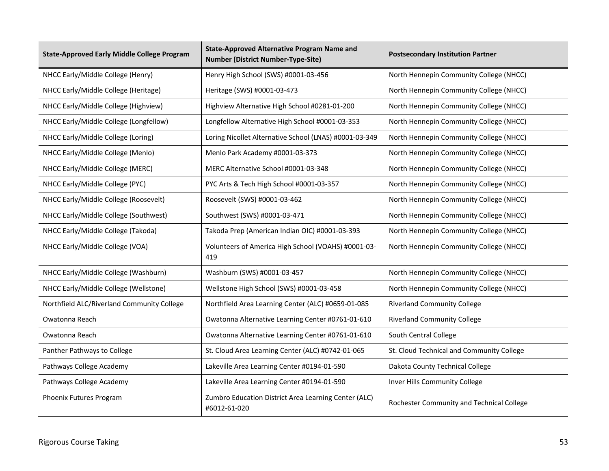| <b>State-Approved Early Middle College Program</b> | <b>State-Approved Alternative Program Name and</b><br><b>Number (District Number-Type-Site)</b> | <b>Postsecondary Institution Partner</b>  |
|----------------------------------------------------|-------------------------------------------------------------------------------------------------|-------------------------------------------|
| NHCC Early/Middle College (Henry)                  | Henry High School (SWS) #0001-03-456                                                            | North Hennepin Community College (NHCC)   |
| NHCC Early/Middle College (Heritage)               | Heritage (SWS) #0001-03-473                                                                     | North Hennepin Community College (NHCC)   |
| NHCC Early/Middle College (Highview)               | Highview Alternative High School #0281-01-200                                                   | North Hennepin Community College (NHCC)   |
| NHCC Early/Middle College (Longfellow)             | Longfellow Alternative High School #0001-03-353                                                 | North Hennepin Community College (NHCC)   |
| NHCC Early/Middle College (Loring)                 | Loring Nicollet Alternative School (LNAS) #0001-03-349                                          | North Hennepin Community College (NHCC)   |
| NHCC Early/Middle College (Menlo)                  | Menlo Park Academy #0001-03-373                                                                 | North Hennepin Community College (NHCC)   |
| NHCC Early/Middle College (MERC)                   | MERC Alternative School #0001-03-348                                                            | North Hennepin Community College (NHCC)   |
| NHCC Early/Middle College (PYC)                    | PYC Arts & Tech High School #0001-03-357                                                        | North Hennepin Community College (NHCC)   |
| NHCC Early/Middle College (Roosevelt)              | Roosevelt (SWS) #0001-03-462                                                                    | North Hennepin Community College (NHCC)   |
| NHCC Early/Middle College (Southwest)              | Southwest (SWS) #0001-03-471                                                                    | North Hennepin Community College (NHCC)   |
| NHCC Early/Middle College (Takoda)                 | Takoda Prep (American Indian OIC) #0001-03-393                                                  | North Hennepin Community College (NHCC)   |
| NHCC Early/Middle College (VOA)                    | Volunteers of America High School (VOAHS) #0001-03-<br>419                                      | North Hennepin Community College (NHCC)   |
| NHCC Early/Middle College (Washburn)               | Washburn (SWS) #0001-03-457                                                                     | North Hennepin Community College (NHCC)   |
| NHCC Early/Middle College (Wellstone)              | Wellstone High School (SWS) #0001-03-458                                                        | North Hennepin Community College (NHCC)   |
| Northfield ALC/Riverland Community College         | Northfield Area Learning Center (ALC) #0659-01-085                                              | <b>Riverland Community College</b>        |
| Owatonna Reach                                     | Owatonna Alternative Learning Center #0761-01-610                                               | <b>Riverland Community College</b>        |
| Owatonna Reach                                     | Owatonna Alternative Learning Center #0761-01-610                                               | South Central College                     |
| Panther Pathways to College                        | St. Cloud Area Learning Center (ALC) #0742-01-065                                               | St. Cloud Technical and Community College |
| Pathways College Academy                           | Lakeville Area Learning Center #0194-01-590                                                     | Dakota County Technical College           |
| Pathways College Academy                           | Lakeville Area Learning Center #0194-01-590                                                     | Inver Hills Community College             |
| Phoenix Futures Program                            | Zumbro Education District Area Learning Center (ALC)<br>#6012-61-020                            | Rochester Community and Technical College |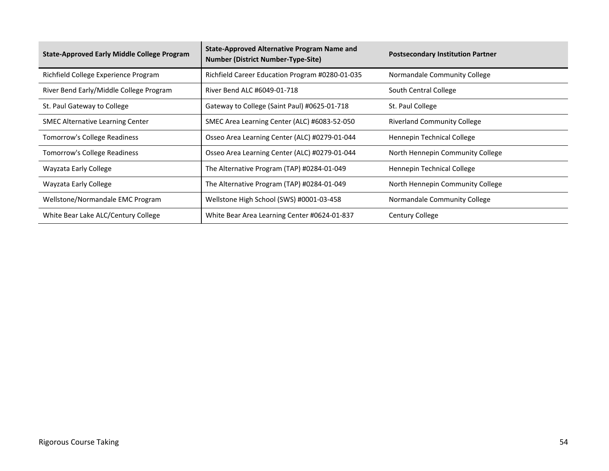| <b>State-Approved Early Middle College Program</b> | <b>State-Approved Alternative Program Name and</b><br><b>Number (District Number-Type-Site)</b> | <b>Postsecondary Institution Partner</b> |
|----------------------------------------------------|-------------------------------------------------------------------------------------------------|------------------------------------------|
| Richfield College Experience Program               | Richfield Career Education Program #0280-01-035                                                 | Normandale Community College             |
| River Bend Early/Middle College Program            | River Bend ALC #6049-01-718                                                                     | South Central College                    |
| St. Paul Gateway to College                        | Gateway to College (Saint Paul) #0625-01-718                                                    | St. Paul College                         |
| <b>SMEC Alternative Learning Center</b>            | SMEC Area Learning Center (ALC) #6083-52-050                                                    | <b>Riverland Community College</b>       |
| <b>Tomorrow's College Readiness</b>                | Osseo Area Learning Center (ALC) #0279-01-044                                                   | Hennepin Technical College               |
| <b>Tomorrow's College Readiness</b>                | Osseo Area Learning Center (ALC) #0279-01-044                                                   | North Hennepin Community College         |
| Wayzata Early College                              | The Alternative Program (TAP) #0284-01-049                                                      | Hennepin Technical College               |
| Wayzata Early College                              | The Alternative Program (TAP) #0284-01-049                                                      | North Hennepin Community College         |
| Wellstone/Normandale EMC Program                   | Wellstone High School (SWS) #0001-03-458                                                        | Normandale Community College             |
| White Bear Lake ALC/Century College                | White Bear Area Learning Center #0624-01-837                                                    | Century College                          |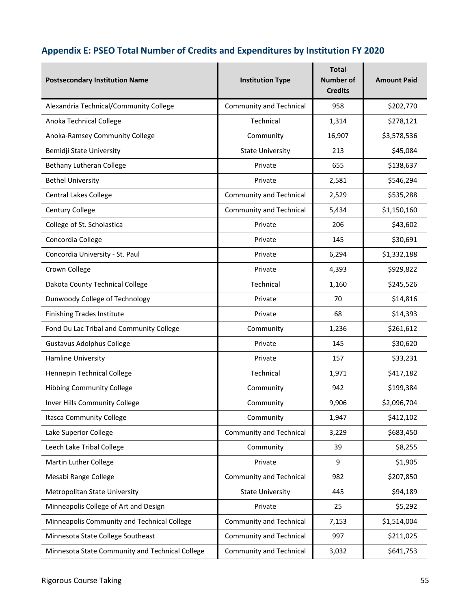### **Appendix E: PSEO Total Number of Credits and Expenditures by Institution FY 2020**

| <b>Postsecondary Institution Name</b>           | <b>Institution Type</b>        | <b>Total</b><br><b>Number of</b><br><b>Credits</b> | <b>Amount Paid</b> |
|-------------------------------------------------|--------------------------------|----------------------------------------------------|--------------------|
| Alexandria Technical/Community College          | Community and Technical        | 958                                                | \$202,770          |
| Anoka Technical College                         | Technical                      | 1,314                                              | \$278,121          |
| Anoka-Ramsey Community College                  | Community                      | 16,907                                             | \$3,578,536        |
| Bemidji State University                        | <b>State University</b>        | 213                                                | \$45,084           |
| Bethany Lutheran College                        | Private                        | 655                                                | \$138,637          |
| <b>Bethel University</b>                        | Private                        | 2,581                                              | \$546,294          |
| <b>Central Lakes College</b>                    | Community and Technical        | 2,529                                              | \$535,288          |
| Century College                                 | Community and Technical        | 5,434                                              | \$1,150,160        |
| College of St. Scholastica                      | Private                        | 206                                                | \$43,602           |
| Concordia College                               | Private                        | 145                                                | \$30,691           |
| Concordia University - St. Paul                 | Private                        | 6,294                                              | \$1,332,188        |
| Crown College                                   | Private                        | 4,393                                              | \$929,822          |
| Dakota County Technical College                 | Technical                      | 1,160                                              | \$245,526          |
| Dunwoody College of Technology                  | Private                        | 70                                                 | \$14,816           |
| <b>Finishing Trades Institute</b>               | Private                        | 68                                                 | \$14,393           |
| Fond Du Lac Tribal and Community College        | Community                      | 1,236                                              | \$261,612          |
| <b>Gustavus Adolphus College</b>                | Private                        | 145                                                | \$30,620           |
| Hamline University                              | Private                        | 157                                                | \$33,231           |
| Hennepin Technical College                      | Technical                      | 1,971                                              | \$417,182          |
| <b>Hibbing Community College</b>                | Community                      | 942                                                | \$199,384          |
| Inver Hills Community College                   | Community                      | 9,906                                              | \$2,096,704        |
| <b>Itasca Community College</b>                 | Community                      | 1,947                                              | \$412,102          |
| Lake Superior College                           | <b>Community and Technical</b> | 3,229                                              | \$683,450          |
| Leech Lake Tribal College                       | Community                      | 39                                                 | \$8,255            |
| Martin Luther College                           | Private                        | 9                                                  | \$1,905            |
| Mesabi Range College                            | Community and Technical        | 982                                                | \$207,850          |
| Metropolitan State University                   | <b>State University</b>        | 445                                                | \$94,189           |
| Minneapolis College of Art and Design           | Private                        | 25                                                 | \$5,292            |
| Minneapolis Community and Technical College     | Community and Technical        | 7,153                                              | \$1,514,004        |
| Minnesota State College Southeast               | Community and Technical        | 997                                                | \$211,025          |
| Minnesota State Community and Technical College | <b>Community and Technical</b> | 3,032                                              | \$641,753          |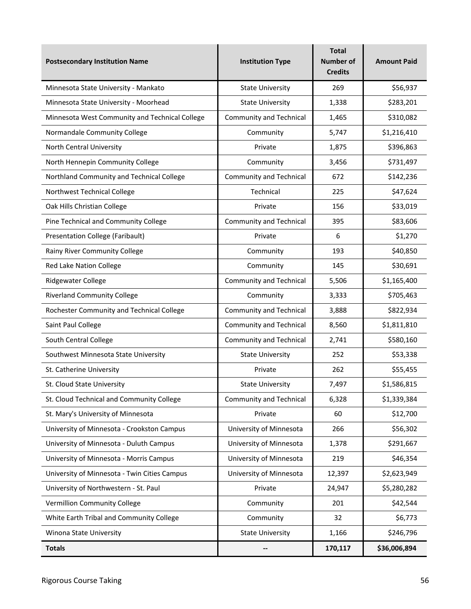| <b>Postsecondary Institution Name</b>          | <b>Institution Type</b>        | Total<br><b>Number of</b><br><b>Credits</b> | <b>Amount Paid</b> |
|------------------------------------------------|--------------------------------|---------------------------------------------|--------------------|
| Minnesota State University - Mankato           | <b>State University</b>        | 269                                         | \$56,937           |
| Minnesota State University - Moorhead          | <b>State University</b>        | 1,338                                       | \$283,201          |
| Minnesota West Community and Technical College | <b>Community and Technical</b> | 1,465                                       | \$310,082          |
| Normandale Community College                   | Community                      | 5,747                                       | \$1,216,410        |
| North Central University                       | Private                        | 1,875                                       | \$396,863          |
| North Hennepin Community College               | Community                      | 3,456                                       | \$731,497          |
| Northland Community and Technical College      | <b>Community and Technical</b> | 672                                         | \$142,236          |
| Northwest Technical College                    | Technical                      | 225                                         | \$47,624           |
| Oak Hills Christian College                    | Private                        | 156                                         | \$33,019           |
| Pine Technical and Community College           | <b>Community and Technical</b> | 395                                         | \$83,606           |
| <b>Presentation College (Faribault)</b>        | Private                        | 6                                           | \$1,270            |
| Rainy River Community College                  | Community                      | 193                                         | \$40,850           |
| Red Lake Nation College                        | Community                      | 145                                         | \$30,691           |
| Ridgewater College                             | <b>Community and Technical</b> | 5,506                                       | \$1,165,400        |
| <b>Riverland Community College</b>             | Community                      | 3,333                                       | \$705,463          |
| Rochester Community and Technical College      | <b>Community and Technical</b> | 3,888                                       | \$822,934          |
| Saint Paul College                             | <b>Community and Technical</b> | 8,560                                       | \$1,811,810        |
| South Central College                          | <b>Community and Technical</b> | 2,741                                       | \$580,160          |
| Southwest Minnesota State University           | <b>State University</b>        | 252                                         | \$53,338           |
| St. Catherine University                       | Private                        | 262                                         | \$55,455           |
| St. Cloud State University                     | <b>State University</b>        | 7,497                                       | \$1,586,815        |
| St. Cloud Technical and Community College      | <b>Community and Technical</b> | 6,328                                       | \$1,339,384        |
| St. Mary's University of Minnesota             | Private                        | 60                                          | \$12,700           |
| University of Minnesota - Crookston Campus     | University of Minnesota        | 266                                         | \$56,302           |
| University of Minnesota - Duluth Campus        | University of Minnesota        | 1,378                                       | \$291,667          |
| University of Minnesota - Morris Campus        | University of Minnesota        | 219                                         | \$46,354           |
| University of Minnesota - Twin Cities Campus   | University of Minnesota        | 12,397                                      | \$2,623,949        |
| University of Northwestern - St. Paul          | Private                        | 24,947                                      | \$5,280,282        |
| <b>Vermillion Community College</b>            | Community                      | 201                                         | \$42,544           |
| White Earth Tribal and Community College       | Community                      | 32                                          | \$6,773            |
| Winona State University                        | <b>State University</b>        | 1,166                                       | \$246,796          |
| <b>Totals</b>                                  | -−                             | 170,117                                     | \$36,006,894       |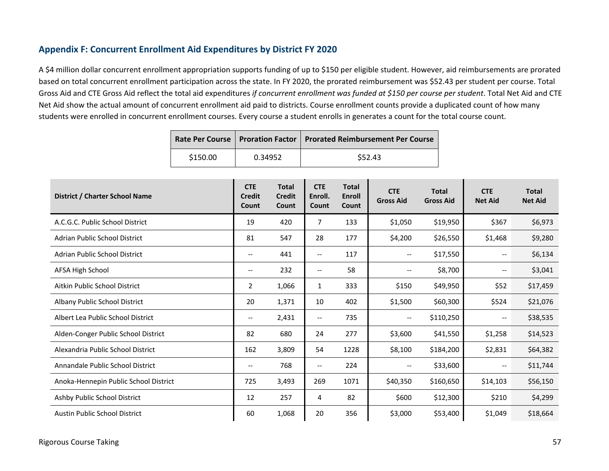#### **Appendix F: Concurrent Enrollment Aid Expenditures by District FY 2020**

A \$4 million dollar concurrent enrollment appropriation supports funding of up to \$150 per eligible student. However, aid reimbursements are prorated based on total concurrent enrollment participation across the state. In FY 2020, the prorated reimbursement was \$52.43 per student per course. Total Gross Aid and CTE Gross Aid reflect the total aid expenditures *if concurrent enrollment was funded at \$150 per course per student*. Total Net Aid and CTE Net Aid show the actual amount of concurrent enrollment aid paid to districts. Course enrollment counts provide a duplicated count of how many students were enrolled in concurrent enrollment courses. Every course a student enrolls in generates a count for the total course count.

|          |         | Rate Per Course   Proration Factor   Prorated Reimbursement Per Course |
|----------|---------|------------------------------------------------------------------------|
| \$150.00 | 0.34952 | \$52.43                                                                |

| District / Charter School Name        | <b>CTE</b><br><b>Credit</b><br>Count | <b>Total</b><br><b>Credit</b><br>Count | <b>CTE</b><br>Enroll.<br>Count | <b>Total</b><br><b>Enroll</b><br><b>Count</b> | <b>CTE</b><br><b>Gross Aid</b> | <b>Total</b><br><b>Gross Aid</b> | <b>CTE</b><br><b>Net Aid</b> | <b>Total</b><br><b>Net Aid</b> |
|---------------------------------------|--------------------------------------|----------------------------------------|--------------------------------|-----------------------------------------------|--------------------------------|----------------------------------|------------------------------|--------------------------------|
| A.C.G.C. Public School District       | 19                                   | 420                                    | 7                              | 133                                           | \$1,050                        | \$19,950                         | \$367                        | \$6,973                        |
| Adrian Public School District         | 81                                   | 547                                    | 28                             | 177                                           | \$4,200                        | \$26,550                         | \$1,468                      | \$9,280                        |
| Adrian Public School District         | $\overline{\phantom{m}}$             | 441                                    | --                             | 117                                           | $-\,-$                         | \$17,550                         | $\overline{\phantom{m}}$     | \$6,134                        |
| <b>AFSA High School</b>               | $\overline{\phantom{m}}$             | 232                                    | $\overline{\phantom{m}}$       | 58                                            | $\overline{\phantom{m}}$       | \$8,700                          | $\overline{\phantom{m}}$     | \$3,041                        |
| Aitkin Public School District         | $\overline{2}$                       | 1,066                                  | 1                              | 333                                           | \$150                          | \$49,950                         | \$52                         | \$17,459                       |
| Albany Public School District         | 20                                   | 1,371                                  | 10                             | 402                                           | \$1,500                        | \$60,300                         | \$524                        | \$21,076                       |
| Albert Lea Public School District     | $\overline{\phantom{m}}$             | 2,431                                  | --                             | 735                                           | $\overline{\phantom{a}}$       | \$110,250                        | $\overline{\phantom{m}}$     | \$38,535                       |
| Alden-Conger Public School District   | 82                                   | 680                                    | 24                             | 277                                           | \$3,600                        | \$41,550                         | \$1,258                      | \$14,523                       |
| Alexandria Public School District     | 162                                  | 3,809                                  | 54                             | 1228                                          | \$8,100                        | \$184,200                        | \$2,831                      | \$64,382                       |
| Annandale Public School District      | $\overline{\phantom{m}}$             | 768                                    | $\qquad \qquad -$              | 224                                           | $\overline{\phantom{m}}$       | \$33,600                         | $\overline{\phantom{m}}$     | \$11,744                       |
| Anoka-Hennepin Public School District | 725                                  | 3,493                                  | 269                            | 1071                                          | \$40,350                       | \$160,650                        | \$14,103                     | \$56,150                       |
| Ashby Public School District          | 12                                   | 257                                    | 4                              | 82                                            | \$600                          | \$12,300                         | \$210                        | \$4,299                        |
| <b>Austin Public School District</b>  | 60                                   | 1,068                                  | 20                             | 356                                           | \$3,000                        | \$53,400                         | \$1,049                      | \$18,664                       |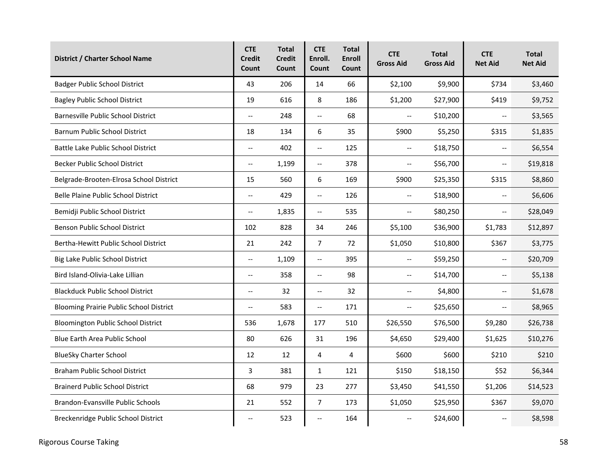| <b>District / Charter School Name</b>          | <b>CTE</b><br><b>Credit</b><br>Count | <b>Total</b><br><b>Credit</b><br>Count | <b>CTE</b><br>Enroll.<br>Count | <b>Total</b><br><b>Enroll</b><br>Count | <b>CTE</b><br><b>Gross Aid</b> | <b>Total</b><br><b>Gross Aid</b> | <b>CTE</b><br><b>Net Aid</b> | <b>Total</b><br><b>Net Aid</b> |
|------------------------------------------------|--------------------------------------|----------------------------------------|--------------------------------|----------------------------------------|--------------------------------|----------------------------------|------------------------------|--------------------------------|
| <b>Badger Public School District</b>           | 43                                   | 206                                    | 14                             | 66                                     | \$2,100                        | \$9,900                          | \$734                        | \$3,460                        |
| <b>Bagley Public School District</b>           | 19                                   | 616                                    | 8                              | 186                                    | \$1,200                        | \$27,900                         | \$419                        | \$9,752                        |
| Barnesville Public School District             | $\overline{\phantom{a}}$             | 248                                    | $\overline{\phantom{a}}$       | 68                                     | $\overline{\phantom{a}}$       | \$10,200                         | $\overline{\phantom{a}}$     | \$3,565                        |
| Barnum Public School District                  | 18                                   | 134                                    | 6                              | 35                                     | \$900                          | \$5,250                          | \$315                        | \$1,835                        |
| Battle Lake Public School District             | $\overline{a}$                       | 402                                    | $\overline{a}$                 | 125                                    | $\mathbf{u}$                   | \$18,750                         | $\overline{a}$               | \$6,554                        |
| Becker Public School District                  | $\overline{\phantom{a}}$             | 1,199                                  | $\overline{\phantom{a}}$       | 378                                    | $\overline{\phantom{a}}$       | \$56,700                         | $\overline{\phantom{a}}$     | \$19,818                       |
| Belgrade-Brooten-Elrosa School District        | 15                                   | 560                                    | 6                              | 169                                    | \$900                          | \$25,350                         | \$315                        | \$8,860                        |
| <b>Belle Plaine Public School District</b>     | $\overline{\phantom{a}}$             | 429                                    | $\overline{\phantom{a}}$       | 126                                    | $\overline{\phantom{m}}$       | \$18,900                         | $\overline{\phantom{m}}$     | \$6,606                        |
| Bemidji Public School District                 | $\overline{\phantom{a}}$             | 1,835                                  | $\overline{\phantom{a}}$       | 535                                    | $\overline{\phantom{m}}$       | \$80,250                         | $\overline{\phantom{m}}$     | \$28,049                       |
| Benson Public School District                  | 102                                  | 828                                    | 34                             | 246                                    | \$5,100                        | \$36,900                         | \$1,783                      | \$12,897                       |
| Bertha-Hewitt Public School District           | 21                                   | 242                                    | 7                              | 72                                     | \$1,050                        | \$10,800                         | \$367                        | \$3,775                        |
| Big Lake Public School District                | $\overline{\phantom{a}}$             | 1,109                                  | $\overline{\phantom{a}}$       | 395                                    | $\overline{\phantom{a}}$       | \$59,250                         | $\overline{\phantom{a}}$     | \$20,709                       |
| Bird Island-Olivia-Lake Lillian                | $\overline{\phantom{m}}$             | 358                                    | $\overline{\phantom{a}}$       | 98                                     | $\overline{\phantom{a}}$       | \$14,700                         | $\overline{\phantom{m}}$     | \$5,138                        |
| <b>Blackduck Public School District</b>        | $\overline{\phantom{a}}$             | 32                                     | $\overline{\phantom{a}}$       | 32                                     | $\overline{\phantom{a}}$       | \$4,800                          | $\overline{\phantom{a}}$     | \$1,678                        |
| <b>Blooming Prairie Public School District</b> | $\overline{\phantom{m}}$             | 583                                    | $\overline{\phantom{a}}$       | 171                                    | $\overline{\phantom{a}}$       | \$25,650                         | $\overline{\phantom{m}}$     | \$8,965                        |
| Bloomington Public School District             | 536                                  | 1,678                                  | 177                            | 510                                    | \$26,550                       | \$76,500                         | \$9,280                      | \$26,738                       |
| <b>Blue Earth Area Public School</b>           | 80                                   | 626                                    | 31                             | 196                                    | \$4,650                        | \$29,400                         | \$1,625                      | \$10,276                       |
| <b>BlueSky Charter School</b>                  | 12                                   | 12                                     | 4                              | 4                                      | \$600                          | \$600                            | \$210                        | \$210                          |
| <b>Braham Public School District</b>           | 3                                    | 381                                    | 1                              | 121                                    | \$150                          | \$18,150                         | \$52                         | \$6,344                        |
| <b>Brainerd Public School District</b>         | 68                                   | 979                                    | 23                             | 277                                    | \$3,450                        | \$41,550                         | \$1,206                      | \$14,523                       |
| Brandon-Evansville Public Schools              | 21                                   | 552                                    | 7                              | 173                                    | \$1,050                        | \$25,950                         | \$367                        | \$9,070                        |
| Breckenridge Public School District            | $\overline{\phantom{m}}$             | 523                                    | --                             | 164                                    | $\overline{\phantom{m}}$       | \$24,600                         | $\overline{\phantom{m}}$     | \$8,598                        |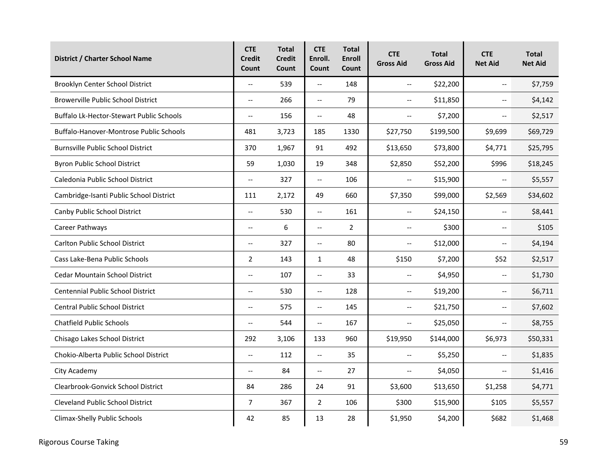| District / Charter School Name                  | <b>CTE</b><br><b>Credit</b><br>Count | <b>Total</b><br><b>Credit</b><br>Count | <b>CTE</b><br>Enroll.<br>Count    | <b>Total</b><br><b>Enroll</b><br>Count | <b>CTE</b><br><b>Gross Aid</b> | <b>Total</b><br><b>Gross Aid</b> | <b>CTE</b><br><b>Net Aid</b> | <b>Total</b><br><b>Net Aid</b> |
|-------------------------------------------------|--------------------------------------|----------------------------------------|-----------------------------------|----------------------------------------|--------------------------------|----------------------------------|------------------------------|--------------------------------|
| Brooklyn Center School District                 | $\overline{\phantom{a}}$             | 539                                    | $\overline{\phantom{a}}$          | 148                                    | $\overline{\phantom{a}}$       | \$22,200                         | $\overline{\phantom{a}}$     | \$7,759                        |
| <b>Browerville Public School District</b>       | $\overline{\phantom{a}}$             | 266                                    | $\overline{\phantom{a}}$          | 79                                     | $\overline{\phantom{a}}$       | \$11,850                         | $\overline{\phantom{a}}$     | \$4,142                        |
| <b>Buffalo Lk-Hector-Stewart Public Schools</b> | $\overline{\phantom{a}}$             | 156                                    | $\overline{\phantom{a}}$          | 48                                     | $\overline{\phantom{a}}$       | \$7,200                          | $\overline{\phantom{a}}$     | \$2,517                        |
| Buffalo-Hanover-Montrose Public Schools         | 481                                  | 3,723                                  | 185                               | 1330                                   | \$27,750                       | \$199,500                        | \$9,699                      | \$69,729                       |
| <b>Burnsville Public School District</b>        | 370                                  | 1,967                                  | 91                                | 492                                    | \$13,650                       | \$73,800                         | \$4,771                      | \$25,795                       |
| <b>Byron Public School District</b>             | 59                                   | 1,030                                  | 19                                | 348                                    | \$2,850                        | \$52,200                         | \$996                        | \$18,245                       |
| Caledonia Public School District                | $\overline{\phantom{a}}$             | 327                                    | $\overline{\phantom{a}}$          | 106                                    | $\overline{\phantom{a}}$       | \$15,900                         | $\overline{\phantom{a}}$     | \$5,557                        |
| Cambridge-Isanti Public School District         | 111                                  | 2,172                                  | 49                                | 660                                    | \$7,350                        | \$99,000                         | \$2,569                      | \$34,602                       |
| Canby Public School District                    | $\overline{\phantom{a}}$             | 530                                    | $\overline{\phantom{a}}$          | 161                                    | $\overline{\phantom{a}}$       | \$24,150                         | $\overline{\phantom{a}}$     | \$8,441                        |
| Career Pathways                                 | $-$                                  | 6                                      | $\overline{\phantom{a}}$          | $\overline{2}$                         | $\overline{\phantom{m}}$       | \$300                            | $\overline{\phantom{a}}$     | \$105                          |
| <b>Carlton Public School District</b>           | $\overline{\phantom{a}}$             | 327                                    | $\hspace{0.05cm} \dashrightarrow$ | 80                                     | $\overline{\phantom{m}}$       | \$12,000                         | $\overline{\phantom{a}}$     | \$4,194                        |
| Cass Lake-Bena Public Schools                   | $\overline{2}$                       | 143                                    | 1                                 | 48                                     | \$150                          | \$7,200                          | \$52                         | \$2,517                        |
| <b>Cedar Mountain School District</b>           | $\overline{\phantom{a}}$             | 107                                    | $\overline{\phantom{a}}$          | 33                                     | $\overline{\phantom{m}}$       | \$4,950                          | $\overline{\phantom{m}}$     | \$1,730                        |
| Centennial Public School District               | $\overline{\phantom{a}}$             | 530                                    | $\overline{\phantom{a}}$          | 128                                    | $\overline{\phantom{m}}$       | \$19,200                         | $\overline{\phantom{a}}$     | \$6,711                        |
| <b>Central Public School District</b>           | $\overline{\phantom{a}}$             | 575                                    | $\overline{\phantom{a}}$          | 145                                    | $\overline{\phantom{m}}$       | \$21,750                         | $\overline{\phantom{a}}$     | \$7,602                        |
| <b>Chatfield Public Schools</b>                 | $\overline{\phantom{a}}$             | 544                                    | $\overline{\phantom{a}}$          | 167                                    | $\overline{\phantom{a}}$       | \$25,050                         | $\overline{\phantom{a}}$     | \$8,755                        |
| Chisago Lakes School District                   | 292                                  | 3,106                                  | 133                               | 960                                    | \$19,950                       | \$144,000                        | \$6,973                      | \$50,331                       |
| Chokio-Alberta Public School District           | $\overline{\phantom{a}}$             | 112                                    | $\overline{\phantom{a}}$          | 35                                     | $\overline{\phantom{m}}$       | \$5,250                          | $\overline{\phantom{a}}$     | \$1,835                        |
| City Academy                                    | $-$                                  | 84                                     | $\overline{a}$                    | 27                                     | $\overline{\phantom{a}}$       | \$4,050                          | $\overline{\phantom{a}}$     | \$1,416                        |
| Clearbrook-Gonvick School District              | 84                                   | 286                                    | 24                                | 91                                     | \$3,600                        | \$13,650                         | \$1,258                      | \$4,771                        |
| <b>Cleveland Public School District</b>         | $\overline{7}$                       | 367                                    | $\overline{2}$                    | 106                                    | \$300                          | \$15,900                         | \$105                        | \$5,557                        |
| Climax-Shelly Public Schools                    | 42                                   | 85                                     | 13                                | 28                                     | \$1,950                        | \$4,200                          | \$682                        | \$1,468                        |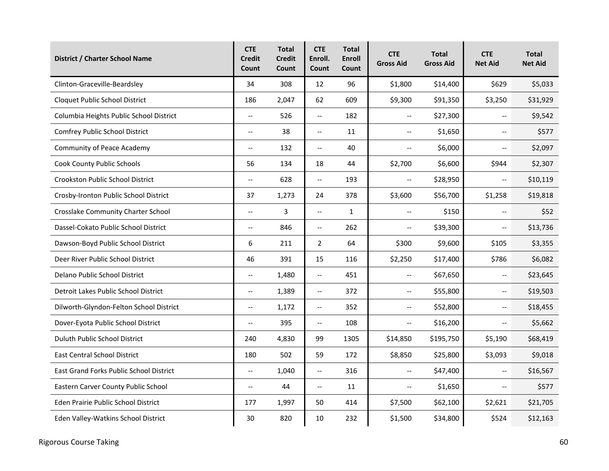| <b>District / Charter School Name</b>   | <b>CTE</b><br><b>Credit</b><br>Count | <b>Total</b><br><b>Credit</b><br>Count | <b>CTE</b><br>Enroll.<br>Count | <b>Total</b><br><b>Enroll</b><br>Count | <b>CTE</b><br><b>Gross Aid</b>                | <b>Total</b><br><b>Gross Aid</b> | <b>CTE</b><br><b>Net Aid</b> | <b>Total</b><br><b>Net Aid</b> |
|-----------------------------------------|--------------------------------------|----------------------------------------|--------------------------------|----------------------------------------|-----------------------------------------------|----------------------------------|------------------------------|--------------------------------|
| Clinton-Graceville-Beardsley            | 34                                   | 308                                    | 12                             | 96                                     | \$1,800                                       | \$14,400                         | \$629                        | \$5,033                        |
| Cloquet Public School District          | 186                                  | 2,047                                  | 62                             | 609                                    | \$9,300                                       | \$91,350                         | \$3,250                      | \$31,929                       |
| Columbia Heights Public School District | $\overline{\phantom{a}}$             | 526                                    | $\overline{\phantom{a}}$       | 182                                    | $\mathord{\hspace{1pt}\text{--}\hspace{1pt}}$ | \$27,300                         | $\overline{\phantom{m}}$     | \$9,542                        |
| Comfrey Public School District          | $\overline{\phantom{m}}$             | 38                                     | $\overline{\phantom{a}}$       | 11                                     | $\overline{\phantom{a}}$                      | \$1,650                          | $\overline{\phantom{m}}$     | \$577                          |
| <b>Community of Peace Academy</b>       | $\overline{a}$                       | 132                                    | $\overline{a}$                 | 40                                     | $\overline{\phantom{a}}$                      | \$6,000                          | $\overline{a}$               | \$2,097                        |
| <b>Cook County Public Schools</b>       | 56                                   | 134                                    | 18                             | 44                                     | \$2,700                                       | \$6,600                          | \$944                        | \$2,307                        |
| Crookston Public School District        | $\overline{a}$                       | 628                                    | $\overline{\phantom{a}}$       | 193                                    | $\overline{\phantom{a}}$                      | \$28,950                         | $\overline{\phantom{a}}$     | \$10,119                       |
| Crosby-Ironton Public School District   | 37                                   | 1,273                                  | 24                             | 378                                    | \$3,600                                       | \$56,700                         | \$1,258                      | \$19,818                       |
| Crosslake Community Charter School      | $\overline{\phantom{a}}$             | 3                                      | $\overline{\phantom{a}}$       | $\mathbf{1}$                           | $\overline{\phantom{a}}$                      | \$150                            | $\overline{\phantom{a}}$     | \$52                           |
| Dassel-Cokato Public School District    | $\mathbb{L}^{\mathbb{L}}$            | 846                                    | $\overline{a}$                 | 262                                    | $\overline{\phantom{m}}$                      | \$39,300                         | $\overline{\phantom{a}}$     | \$13,736                       |
| Dawson-Boyd Public School District      | 6                                    | 211                                    | $\overline{2}$                 | 64                                     | \$300                                         | \$9,600                          | \$105                        | \$3,355                        |
| Deer River Public School District       | 46                                   | 391                                    | 15                             | 116                                    | \$2,250                                       | \$17,400                         | \$786                        | \$6,082                        |
| Delano Public School District           | $\overline{\phantom{a}}$             | 1,480                                  | $\overline{\phantom{a}}$       | 451                                    | $\overline{\phantom{a}}$                      | \$67,650                         | $\overline{\phantom{m}}$     | \$23,645                       |
| Detroit Lakes Public School District    | $\overline{\phantom{a}}$             | 1,389                                  | $\overline{\phantom{a}}$       | 372                                    | $\overline{\phantom{a}}$                      | \$55,800                         | $\overline{\phantom{a}}$     | \$19,503                       |
| Dilworth-Glyndon-Felton School District | $\overline{\phantom{m}}$             | 1,172                                  | $\overline{\phantom{m}}$       | 352                                    | $\overline{\phantom{a}}$                      | \$52,800                         | $\overline{\phantom{m}}$     | \$18,455                       |
| Dover-Eyota Public School District      | $\overline{\phantom{a}}$             | 395                                    | $\overline{\phantom{m}}$       | 108                                    | $\overline{\phantom{m}}$                      | \$16,200                         | $-$                          | \$5,662                        |
| Duluth Public School District           | 240                                  | 4,830                                  | 99                             | 1305                                   | \$14,850                                      | \$195,750                        | \$5,190                      | \$68,419                       |
| <b>East Central School District</b>     | 180                                  | 502                                    | 59                             | 172                                    | \$8,850                                       | \$25,800                         | \$3,093                      | \$9,018                        |
| East Grand Forks Public School District | $\overline{a}$                       | 1,040                                  | $\overline{a}$                 | 316                                    | $\overline{\phantom{m}}$                      | \$47,400                         | $\overline{\phantom{a}}$     | \$16,567                       |
| Eastern Carver County Public School     | $\overline{\phantom{m}}$             | 44                                     | $\overline{\phantom{m}}$       | 11                                     | $\overline{\phantom{m}}$                      | \$1,650                          | $\overline{\phantom{m}}$     | \$577                          |
| Eden Prairie Public School District     | 177                                  | 1,997                                  | 50                             | 414                                    | \$7,500                                       | \$62,100                         | \$2,621                      | \$21,705                       |
| Eden Valley-Watkins School District     | 30                                   | 820                                    | 10                             | 232                                    | \$1,500                                       | \$34,800                         | \$524                        | \$12,163                       |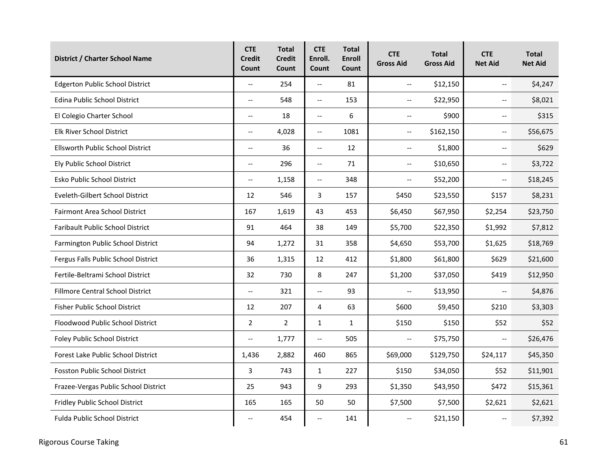| <b>District / Charter School Name</b>   | <b>CTE</b><br><b>Credit</b><br>Count | <b>Total</b><br><b>Credit</b><br>Count | <b>CTE</b><br>Enroll.<br>Count | <b>Total</b><br><b>Enroll</b><br>Count | <b>CTE</b><br><b>Gross Aid</b> | <b>Total</b><br><b>Gross Aid</b> | <b>CTE</b><br><b>Net Aid</b> | <b>Total</b><br><b>Net Aid</b> |
|-----------------------------------------|--------------------------------------|----------------------------------------|--------------------------------|----------------------------------------|--------------------------------|----------------------------------|------------------------------|--------------------------------|
| <b>Edgerton Public School District</b>  | $\overline{\phantom{a}}$             | 254                                    | $\overline{\phantom{a}}$       | 81                                     | $\overline{\phantom{a}}$       | \$12,150                         | $\overline{\phantom{a}}$     | \$4,247                        |
| Edina Public School District            | $\overline{\phantom{a}}$             | 548                                    | --                             | 153                                    | $\overline{\phantom{a}}$       | \$22,950                         | $\overline{\phantom{a}}$     | \$8,021                        |
| El Colegio Charter School               | $\overline{\phantom{a}}$             | 18                                     | $\overline{\phantom{a}}$       | 6                                      | $\overline{\phantom{m}}$       | \$900                            | $\overline{\phantom{m}}$     | \$315                          |
| Elk River School District               | $\overline{\phantom{a}}$             | 4,028                                  | $\overline{\phantom{a}}$       | 1081                                   | $\overline{\phantom{m}}$       | \$162,150                        | $\overline{\phantom{m}}$     | \$56,675                       |
| Ellsworth Public School District        | $-$                                  | 36                                     | $\overline{\phantom{a}}$       | 12                                     | $\overline{\phantom{a}}$       | \$1,800                          | $\overline{a}$               | \$629                          |
| Ely Public School District              | $\overline{\phantom{a}}$             | 296                                    | $\overline{\phantom{a}}$       | 71                                     | $\overline{\phantom{m}}$       | \$10,650                         | $\overline{\phantom{m}}$     | \$3,722                        |
| Esko Public School District             | $-$                                  | 1,158                                  | $\overline{\phantom{a}}$       | 348                                    | $\overline{\phantom{a}}$       | \$52,200                         | $\overline{\phantom{a}}$     | \$18,245                       |
| Eveleth-Gilbert School District         | 12                                   | 546                                    | 3                              | 157                                    | \$450                          | \$23,550                         | \$157                        | \$8,231                        |
| Fairmont Area School District           | 167                                  | 1,619                                  | 43                             | 453                                    | \$6,450                        | \$67,950                         | \$2,254                      | \$23,750                       |
| <b>Faribault Public School District</b> | 91                                   | 464                                    | 38                             | 149                                    | \$5,700                        | \$22,350                         | \$1,992                      | \$7,812                        |
| Farmington Public School District       | 94                                   | 1,272                                  | 31                             | 358                                    | \$4,650                        | \$53,700                         | \$1,625                      | \$18,769                       |
| Fergus Falls Public School District     | 36                                   | 1,315                                  | 12                             | 412                                    | \$1,800                        | \$61,800                         | \$629                        | \$21,600                       |
| Fertile-Beltrami School District        | 32                                   | 730                                    | 8                              | 247                                    | \$1,200                        | \$37,050                         | \$419                        | \$12,950                       |
| Fillmore Central School District        | $\overline{\phantom{a}}$             | 321                                    | $\overline{\phantom{a}}$       | 93                                     | $\overline{\phantom{a}}$       | \$13,950                         | $\overline{\phantom{a}}$     | \$4,876                        |
| Fisher Public School District           | 12                                   | 207                                    | 4                              | 63                                     | \$600                          | \$9,450                          | \$210                        | \$3,303                        |
| Floodwood Public School District        | $\overline{2}$                       | $\overline{2}$                         | 1                              | $\mathbf{1}$                           | \$150                          | \$150                            | \$52                         | \$52                           |
| Foley Public School District            | $\overline{\phantom{a}}$             | 1,777                                  | $\overline{\phantom{a}}$       | 505                                    | $\overline{\phantom{a}}$       | \$75,750                         | $\overline{\phantom{a}}$     | \$26,476                       |
| Forest Lake Public School District      | 1,436                                | 2,882                                  | 460                            | 865                                    | \$69,000                       | \$129,750                        | \$24,117                     | \$45,350                       |
| <b>Fosston Public School District</b>   | 3                                    | 743                                    | $\mathbf{1}$                   | 227                                    | \$150                          | \$34,050                         | \$52                         | \$11,901                       |
| Frazee-Vergas Public School District    | 25                                   | 943                                    | 9                              | 293                                    | \$1,350                        | \$43,950                         | \$472                        | \$15,361                       |
| Fridley Public School District          | 165                                  | 165                                    | 50                             | 50                                     | \$7,500                        | \$7,500                          | \$2,621                      | \$2,621                        |
| <b>Fulda Public School District</b>     | $\overline{\phantom{a}}$             | 454                                    | --                             | 141                                    | $\overline{\phantom{m}}$       | \$21,150                         | $\overline{\phantom{m}}$     | \$7,392                        |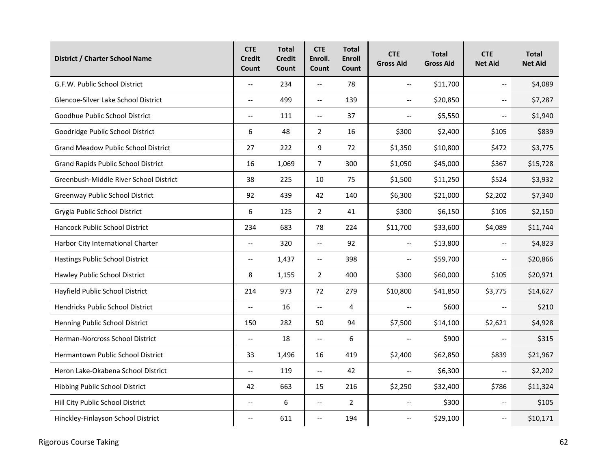| <b>District / Charter School Name</b>      | <b>CTE</b><br><b>Credit</b><br>Count | <b>Total</b><br><b>Credit</b><br>Count | <b>CTE</b><br>Enroll.<br>Count | <b>Total</b><br><b>Enroll</b><br>Count | <b>CTE</b><br><b>Gross Aid</b> | <b>Total</b><br><b>Gross Aid</b> | <b>CTE</b><br><b>Net Aid</b> | <b>Total</b><br><b>Net Aid</b> |
|--------------------------------------------|--------------------------------------|----------------------------------------|--------------------------------|----------------------------------------|--------------------------------|----------------------------------|------------------------------|--------------------------------|
| G.F.W. Public School District              | $\overline{\phantom{a}}$             | 234                                    | $\overline{\phantom{a}}$       | 78                                     | $\overline{\phantom{a}}$       | \$11,700                         | $\overline{\phantom{a}}$     | \$4,089                        |
| Glencoe-Silver Lake School District        | $\overline{\phantom{a}}$             | 499                                    | $\overline{\phantom{0}}$       | 139                                    | $\overline{\phantom{a}}$       | \$20,850                         | $\overline{\phantom{a}}$     | \$7,287                        |
| Goodhue Public School District             | $\overline{\phantom{a}}$             | 111                                    | $\overline{\phantom{a}}$       | 37                                     | $\overline{\phantom{a}}$       | \$5,550                          | $\overline{\phantom{a}}$     | \$1,940                        |
| Goodridge Public School District           | 6                                    | 48                                     | $\overline{2}$                 | 16                                     | \$300                          | \$2,400                          | \$105                        | \$839                          |
| <b>Grand Meadow Public School District</b> | 27                                   | 222                                    | 9                              | 72                                     | \$1,350                        | \$10,800                         | \$472                        | \$3,775                        |
| <b>Grand Rapids Public School District</b> | 16                                   | 1,069                                  | $\overline{7}$                 | 300                                    | \$1,050                        | \$45,000                         | \$367                        | \$15,728                       |
| Greenbush-Middle River School District     | 38                                   | 225                                    | 10                             | 75                                     | \$1,500                        | \$11,250                         | \$524                        | \$3,932                        |
| Greenway Public School District            | 92                                   | 439                                    | 42                             | 140                                    | \$6,300                        | \$21,000                         | \$2,202                      | \$7,340                        |
| Grygla Public School District              | 6                                    | 125                                    | $\overline{2}$                 | 41                                     | \$300                          | \$6,150                          | \$105                        | \$2,150                        |
| <b>Hancock Public School District</b>      | 234                                  | 683                                    | 78                             | 224                                    | \$11,700                       | \$33,600                         | \$4,089                      | \$11,744                       |
| Harbor City International Charter          | $\overline{\phantom{a}}$             | 320                                    | $\overline{\phantom{a}}$       | 92                                     | $\overline{\phantom{m}}$       | \$13,800                         | $\overline{\phantom{m}}$     | \$4,823                        |
| Hastings Public School District            | $\overline{\phantom{a}}$             | 1,437                                  | $\overline{\phantom{a}}$       | 398                                    | $\overline{\phantom{a}}$       | \$59,700                         | $\overline{\phantom{a}}$     | \$20,866                       |
| Hawley Public School District              | 8                                    | 1,155                                  | $\overline{2}$                 | 400                                    | \$300                          | \$60,000                         | \$105                        | \$20,971                       |
| Hayfield Public School District            | 214                                  | 973                                    | 72                             | 279                                    | \$10,800                       | \$41,850                         | \$3,775                      | \$14,627                       |
| Hendricks Public School District           | $\overline{a}$                       | 16                                     | $\overline{a}$                 | 4                                      | $\overline{\phantom{a}}$       | \$600                            | $\overline{a}$               | \$210                          |
| Henning Public School District             | 150                                  | 282                                    | 50                             | 94                                     | \$7,500                        | \$14,100                         | \$2,621                      | \$4,928                        |
| Herman-Norcross School District            | u.                                   | 18                                     | $\overline{\phantom{a}}$       | 6                                      | $\overline{\phantom{a}}$       | \$900                            | $\overline{a}$               | \$315                          |
| Hermantown Public School District          | 33                                   | 1,496                                  | 16                             | 419                                    | \$2,400                        | \$62,850                         | \$839                        | \$21,967                       |
| Heron Lake-Okabena School District         | $\overline{a}$                       | 119                                    | $\overline{\phantom{a}}$       | 42                                     | $\overline{\phantom{m}}$       | \$6,300                          | $\overline{\phantom{a}}$     | \$2,202                        |
| Hibbing Public School District             | 42                                   | 663                                    | 15                             | 216                                    | \$2,250                        | \$32,400                         | \$786                        | \$11,324                       |
| Hill City Public School District           | $\overline{\phantom{a}}$             | 6                                      | $\overline{\phantom{a}}$       | $\overline{2}$                         | $\overline{\phantom{a}}$       | \$300                            | $\overline{\phantom{a}}$     | \$105                          |
| Hinckley-Finlayson School District         | $\overline{\phantom{a}}$             | 611                                    | --                             | 194                                    | $\overline{\phantom{a}}$       | \$29,100                         | $\overline{\phantom{a}}$     | \$10,171                       |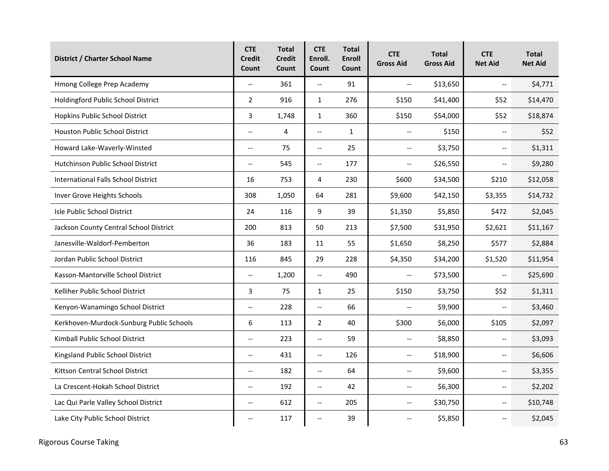| District / Charter School Name             | <b>CTE</b><br><b>Credit</b><br>Count | <b>Total</b><br><b>Credit</b><br>Count | <b>CTE</b><br>Enroll.<br>Count | <b>Total</b><br><b>Enroll</b><br>Count | <b>CTE</b><br><b>Gross Aid</b> | <b>Total</b><br><b>Gross Aid</b> | <b>CTE</b><br><b>Net Aid</b> | <b>Total</b><br><b>Net Aid</b> |
|--------------------------------------------|--------------------------------------|----------------------------------------|--------------------------------|----------------------------------------|--------------------------------|----------------------------------|------------------------------|--------------------------------|
| Hmong College Prep Academy                 | u.                                   | 361                                    | $\mathbb{L}^{\mathbb{L}}$      | 91                                     | $\overline{\phantom{m}}$       | \$13,650                         | $\overline{\phantom{a}}$     | \$4,771                        |
| Holdingford Public School District         | $\overline{2}$                       | 916                                    | $\mathbf{1}$                   | 276                                    | \$150                          | \$41,400                         | \$52                         | \$14,470                       |
| Hopkins Public School District             | 3                                    | 1,748                                  | 1                              | 360                                    | \$150                          | \$54,000                         | \$52                         | \$18,874                       |
| Houston Public School District             | $\overline{\phantom{a}}$             | 4                                      | $\overline{\phantom{a}}$       | $\mathbf{1}$                           | $\overline{\phantom{a}}$       | \$150                            | $\overline{\phantom{a}}$     | \$52                           |
| Howard Lake-Waverly-Winsted                | $\overline{\phantom{a}}$             | 75                                     | $\overline{\phantom{a}}$       | 25                                     | $\overline{\phantom{a}}$       | \$3,750                          | $\overline{\phantom{a}}$     | \$1,311                        |
| Hutchinson Public School District          | $\overline{a}$                       | 545                                    | $\overline{\phantom{a}}$       | 177                                    | $\overline{\phantom{a}}$       | \$26,550                         | $\overline{\phantom{a}}$     | \$9,280                        |
| <b>International Falls School District</b> | 16                                   | 753                                    | 4                              | 230                                    | \$600                          | \$34,500                         | \$210                        | \$12,058                       |
| Inver Grove Heights Schools                | 308                                  | 1,050                                  | 64                             | 281                                    | \$9,600                        | \$42,150                         | \$3,355                      | \$14,732                       |
| Isle Public School District                | 24                                   | 116                                    | 9                              | 39                                     | \$1,350                        | \$5,850                          | \$472                        | \$2,045                        |
| Jackson County Central School District     | 200                                  | 813                                    | 50                             | 213                                    | \$7,500                        | \$31,950                         | \$2,621                      | \$11,167                       |
| Janesville-Waldorf-Pemberton               | 36                                   | 183                                    | 11                             | 55                                     | \$1,650                        | \$8,250                          | \$577                        | \$2,884                        |
| Jordan Public School District              | 116                                  | 845                                    | 29                             | 228                                    | \$4,350                        | \$34,200                         | \$1,520                      | \$11,954                       |
| Kasson-Mantorville School District         | $\overline{a}$                       | 1,200                                  | $\overline{\phantom{a}}$       | 490                                    | $\overline{\phantom{a}}$       | \$73,500                         | $\overline{\phantom{a}}$     | \$25,690                       |
| Kelliher Public School District            | 3                                    | 75                                     | $\mathbf{1}$                   | 25                                     | \$150                          | \$3,750                          | \$52                         | \$1,311                        |
| Kenyon-Wanamingo School District           | $\overline{\phantom{a}}$             | 228                                    | $\overline{\phantom{a}}$       | 66                                     | $\overline{\phantom{a}}$       | \$9,900                          | $\overline{\phantom{a}}$     | \$3,460                        |
| Kerkhoven-Murdock-Sunburg Public Schools   | 6                                    | 113                                    | $\overline{2}$                 | 40                                     | \$300                          | \$6,000                          | \$105                        | \$2,097                        |
| Kimball Public School District             | $-$                                  | 223                                    | $\overline{a}$                 | 59                                     | $\overline{\phantom{m}}$       | \$8,850                          | $\overline{\phantom{a}}$     | \$3,093                        |
| Kingsland Public School District           | $\overline{\phantom{a}}$             | 431                                    | $\overline{\phantom{a}}$       | 126                                    | $\overline{\phantom{m}}$       | \$18,900                         | $\overline{\phantom{a}}$     | \$6,606                        |
| Kittson Central School District            | $-$                                  | 182                                    | $\overline{a}$                 | 64                                     | $\overline{\phantom{a}}$       | \$9,600                          | $\overline{\phantom{a}}$     | \$3,355                        |
| La Crescent-Hokah School District          | $\overline{\phantom{a}}$             | 192                                    | $\overline{\phantom{a}}$       | 42                                     | $\overline{\phantom{m}}$       | \$6,300                          | $\overline{\phantom{m}}$     | \$2,202                        |
| Lac Qui Parle Valley School District       | $\overline{\phantom{a}}$             | 612                                    | $\overline{\phantom{0}}$       | 205                                    | $\overline{\phantom{a}}$       | \$30,750                         | $\overline{\phantom{a}}$     | \$10,748                       |
| Lake City Public School District           | $\overline{\phantom{a}}$             | 117                                    | $\overline{\phantom{a}}$       | 39                                     | $\overline{\phantom{m}}$       | \$5,850                          | $\overline{\phantom{a}}$     | \$2,045                        |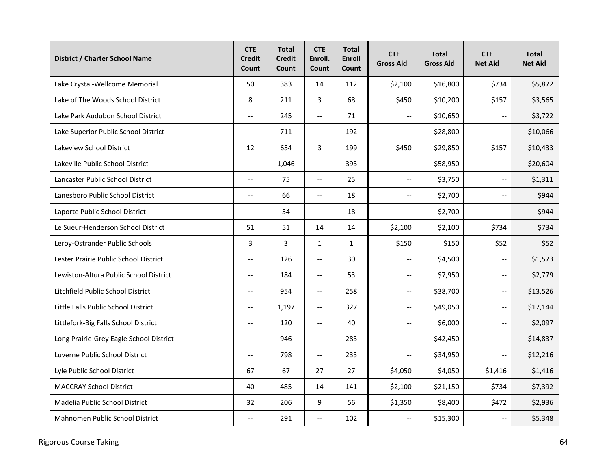| <b>District / Charter School Name</b>   | <b>CTE</b><br><b>Credit</b><br>Count | <b>Total</b><br><b>Credit</b><br>Count | <b>CTE</b><br>Enroll.<br>Count | <b>Total</b><br><b>Enroll</b><br>Count | <b>CTE</b><br><b>Gross Aid</b>                | <b>Total</b><br><b>Gross Aid</b> | <b>CTE</b><br><b>Net Aid</b> | <b>Total</b><br><b>Net Aid</b> |
|-----------------------------------------|--------------------------------------|----------------------------------------|--------------------------------|----------------------------------------|-----------------------------------------------|----------------------------------|------------------------------|--------------------------------|
| Lake Crystal-Wellcome Memorial          | 50                                   | 383                                    | 14                             | 112                                    | \$2,100                                       | \$16,800                         | \$734                        | \$5,872                        |
| Lake of The Woods School District       | 8                                    | 211                                    | 3                              | 68                                     | \$450                                         | \$10,200                         | \$157                        | \$3,565                        |
| Lake Park Audubon School District       | $\overline{\phantom{a}}$             | 245                                    | $\overline{\phantom{a}}$       | 71                                     | $\hspace{0.05cm} \textbf{--}$                 | \$10,650                         | $\overline{\phantom{a}}$     | \$3,722                        |
| Lake Superior Public School District    | $\overline{\phantom{m}}$             | 711                                    | $\overline{\phantom{a}}$       | 192                                    | $\overline{\phantom{m}}$                      | \$28,800                         | $\overline{\phantom{m}}$     | \$10,066                       |
| Lakeview School District                | 12                                   | 654                                    | 3                              | 199                                    | \$450                                         | \$29,850                         | \$157                        | \$10,433                       |
| Lakeville Public School District        | $\overline{a}$                       | 1,046                                  | $\overline{a}$                 | 393                                    | $\overline{\phantom{m}}$                      | \$58,950                         | $\overline{\phantom{a}}$     | \$20,604                       |
| Lancaster Public School District        | $\overline{\phantom{a}}$             | 75                                     | $\overline{\phantom{a}}$       | 25                                     | $\overline{\phantom{a}}$                      | \$3,750                          | $\overline{\phantom{a}}$     | \$1,311                        |
| Lanesboro Public School District        | $\overline{a}$                       | 66                                     | $\overline{\phantom{a}}$       | 18                                     | $\overline{\phantom{a}}$                      | \$2,700                          | $\overline{\phantom{a}}$     | \$944                          |
| Laporte Public School District          | $\overline{\phantom{a}}$             | 54                                     | $\overline{\phantom{m}}$       | 18                                     | $\overline{\phantom{m}}$                      | \$2,700                          | $\overline{\phantom{a}}$     | \$944                          |
| Le Sueur-Henderson School District      | 51                                   | 51                                     | 14                             | 14                                     | \$2,100                                       | \$2,100                          | \$734                        | \$734                          |
| Leroy-Ostrander Public Schools          | $\mathbf{3}$                         | 3                                      | $\mathbf{1}$                   | $\mathbf{1}$                           | \$150                                         | \$150                            | \$52                         | \$52                           |
| Lester Prairie Public School District   | $\overline{\phantom{a}}$             | 126                                    | $\overline{\phantom{a}}$       | 30                                     | $\overline{\phantom{a}}$                      | \$4,500                          | $\overline{\phantom{a}}$     | \$1,573                        |
| Lewiston-Altura Public School District  | $\overline{a}$                       | 184                                    | $\overline{\phantom{a}}$       | 53                                     | $\overline{\phantom{a}}$                      | \$7,950                          | $\overline{\phantom{a}}$     | \$2,779                        |
| Litchfield Public School District       | $\overline{\phantom{a}}$             | 954                                    | $\overline{\phantom{a}}$       | 258                                    | $\mathord{\hspace{1pt}\text{--}\hspace{1pt}}$ | \$38,700                         | $\overline{\phantom{m}}$     | \$13,526                       |
| Little Falls Public School District     | $\overline{\phantom{a}}$             | 1,197                                  | $\overline{\phantom{a}}$       | 327                                    | $\overline{\phantom{m}}$                      | \$49,050                         | $\overline{\phantom{m}}$     | \$17,144                       |
| Littlefork-Big Falls School District    | $\overline{\phantom{a}}$             | 120                                    | $\overline{\phantom{a}}$       | 40                                     | $\overline{\phantom{m}}$                      | \$6,000                          | $\overline{\phantom{a}}$     | \$2,097                        |
| Long Prairie-Grey Eagle School District | $\overline{\phantom{a}}$             | 946                                    | $\overline{\phantom{a}}$       | 283                                    | $\overline{\phantom{a}}$                      | \$42,450                         | $\overline{\phantom{m}}$     | \$14,837                       |
| Luverne Public School District          | $\overline{a}$                       | 798                                    | $\overline{\phantom{a}}$       | 233                                    | $\overline{\phantom{a}}$                      | \$34,950                         | $\overline{\phantom{a}}$     | \$12,216                       |
| Lyle Public School District             | 67                                   | 67                                     | 27                             | 27                                     | \$4,050                                       | \$4,050                          | \$1,416                      | \$1,416                        |
| <b>MACCRAY School District</b>          | 40                                   | 485                                    | 14                             | 141                                    | \$2,100                                       | \$21,150                         | \$734                        | \$7,392                        |
| Madelia Public School District          | 32                                   | 206                                    | 9                              | 56                                     | \$1,350                                       | \$8,400                          | \$472                        | \$2,936                        |
| Mahnomen Public School District         | $\overline{\phantom{a}}$             | 291                                    | $\overline{\phantom{a}}$       | 102                                    | $\overline{\phantom{m}}$                      | \$15,300                         | $\overline{\phantom{m}}$     | \$5,348                        |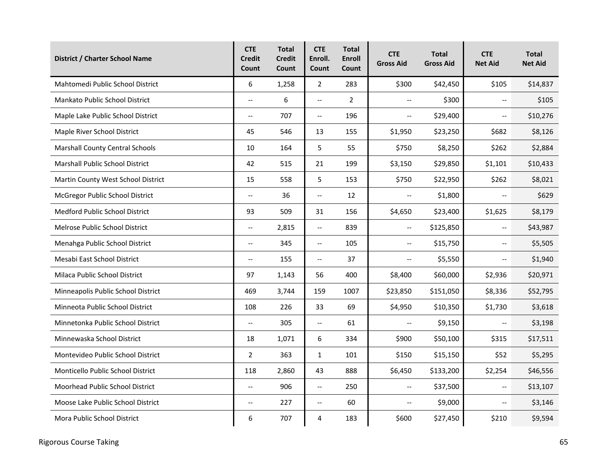| District / Charter School Name         | <b>CTE</b><br><b>Credit</b><br>Count | <b>Total</b><br><b>Credit</b><br>Count | <b>CTE</b><br>Enroll.<br>Count | <b>Total</b><br><b>Enroll</b><br>Count | <b>CTE</b><br><b>Gross Aid</b> | <b>Total</b><br><b>Gross Aid</b> | <b>CTE</b><br><b>Net Aid</b> | <b>Total</b><br><b>Net Aid</b> |
|----------------------------------------|--------------------------------------|----------------------------------------|--------------------------------|----------------------------------------|--------------------------------|----------------------------------|------------------------------|--------------------------------|
| Mahtomedi Public School District       | 6                                    | 1,258                                  | $\overline{2}$                 | 283                                    | \$300                          | \$42,450                         | \$105                        | \$14,837                       |
| Mankato Public School District         | $\overline{\phantom{a}}$             | 6                                      | $\overline{\phantom{a}}$       | $\overline{2}$                         | $\overline{\phantom{a}}$       | \$300                            | $\overline{\phantom{a}}$     | \$105                          |
| Maple Lake Public School District      | $\overline{\phantom{m}}$             | 707                                    | $\overline{\phantom{a}}$       | 196                                    | $\overline{\phantom{m}}$       | \$29,400                         | $\overline{\phantom{m}}$     | \$10,276                       |
| Maple River School District            | 45                                   | 546                                    | 13                             | 155                                    | \$1,950                        | \$23,250                         | \$682                        | \$8,126                        |
| <b>Marshall County Central Schools</b> | 10                                   | 164                                    | 5                              | 55                                     | \$750                          | \$8,250                          | \$262                        | \$2,884                        |
| Marshall Public School District        | 42                                   | 515                                    | 21                             | 199                                    | \$3,150                        | \$29,850                         | \$1,101                      | \$10,433                       |
| Martin County West School District     | 15                                   | 558                                    | 5                              | 153                                    | \$750                          | \$22,950                         | \$262                        | \$8,021                        |
| McGregor Public School District        | $\overline{\phantom{a}}$             | 36                                     | $\overline{\phantom{a}}$       | 12                                     | $\overline{\phantom{a}}$       | \$1,800                          | $\overline{\phantom{a}}$     | \$629                          |
| <b>Medford Public School District</b>  | 93                                   | 509                                    | 31                             | 156                                    | \$4,650                        | \$23,400                         | \$1,625                      | \$8,179                        |
| Melrose Public School District         | $\overline{a}$                       | 2,815                                  | $\overline{\phantom{a}}$       | 839                                    | $\overline{\phantom{a}}$       | \$125,850                        | $\overline{\phantom{a}}$     | \$43,987                       |
| Menahga Public School District         | $\overline{\phantom{m}}$             | 345                                    | $\overline{\phantom{a}}$       | 105                                    | $\overline{\phantom{m}}$       | \$15,750                         | $\overline{\phantom{m}}$     | \$5,505                        |
| Mesabi East School District            | $\overline{\phantom{a}}$             | 155                                    | $\overline{\phantom{a}}$       | 37                                     | $\overline{\phantom{a}}$       | \$5,550                          | $\overline{\phantom{a}}$     | \$1,940                        |
| Milaca Public School District          | 97                                   | 1,143                                  | 56                             | 400                                    | \$8,400                        | \$60,000                         | \$2,936                      | \$20,971                       |
| Minneapolis Public School District     | 469                                  | 3,744                                  | 159                            | 1007                                   | \$23,850                       | \$151,050                        | \$8,336                      | \$52,795                       |
| Minneota Public School District        | 108                                  | 226                                    | 33                             | 69                                     | \$4,950                        | \$10,350                         | \$1,730                      | \$3,618                        |
| Minnetonka Public School District      | $\overline{a}$                       | 305                                    | $\overline{\phantom{a}}$       | 61                                     | $\overline{\phantom{a}}$       | \$9,150                          | $\mathbb{L}^{\mathbb{L}}$    | \$3,198                        |
| Minnewaska School District             | 18                                   | 1,071                                  | 6                              | 334                                    | \$900                          | \$50,100                         | \$315                        | \$17,511                       |
| Montevideo Public School District      | $\overline{2}$                       | 363                                    | 1                              | 101                                    | \$150                          | \$15,150                         | \$52                         | \$5,295                        |
| Monticello Public School District      | 118                                  | 2,860                                  | 43                             | 888                                    | \$6,450                        | \$133,200                        | \$2,254                      | \$46,556                       |
| Moorhead Public School District        | $\overline{\phantom{a}}$             | 906                                    | $\overline{\phantom{a}}$       | 250                                    | $\overline{\phantom{a}}$       | \$37,500                         | $\overline{\phantom{a}}$     | \$13,107                       |
| Moose Lake Public School District      | $\overline{\phantom{a}}$             | 227                                    | $\overline{\phantom{a}}$       | 60                                     | $\overline{\phantom{a}}$       | \$9,000                          | $\overline{\phantom{a}}$     | \$3,146                        |
| Mora Public School District            | 6                                    | 707                                    | 4                              | 183                                    | \$600                          | \$27,450                         | \$210                        | \$9,594                        |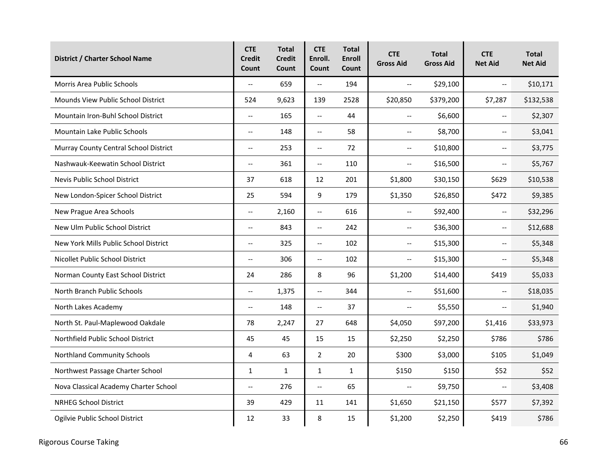| District / Charter School Name        | <b>CTE</b><br><b>Credit</b><br>Count | <b>Total</b><br><b>Credit</b><br>Count | <b>CTE</b><br>Enroll.<br>Count | <b>Total</b><br><b>Enroll</b><br>Count | <b>CTE</b><br><b>Gross Aid</b> | <b>Total</b><br><b>Gross Aid</b> | <b>CTE</b><br><b>Net Aid</b> | <b>Total</b><br><b>Net Aid</b> |
|---------------------------------------|--------------------------------------|----------------------------------------|--------------------------------|----------------------------------------|--------------------------------|----------------------------------|------------------------------|--------------------------------|
| <b>Morris Area Public Schools</b>     | $\overline{a}$                       | 659                                    | $\overline{\phantom{a}}$       | 194                                    | $\overline{\phantom{m}}$       | \$29,100                         | $\overline{\phantom{a}}$     | \$10,171                       |
| Mounds View Public School District    | 524                                  | 9,623                                  | 139                            | 2528                                   | \$20,850                       | \$379,200                        | \$7,287                      | \$132,538                      |
| Mountain Iron-Buhl School District    | $\overline{\phantom{a}}$             | 165                                    | $\overline{\phantom{a}}$       | 44                                     | $\overline{\phantom{m}}$       | \$6,600                          | $\overline{\phantom{a}}$     | \$2,307                        |
| <b>Mountain Lake Public Schools</b>   | $\overline{\phantom{a}}$             | 148                                    | $\overline{\phantom{a}}$       | 58                                     | $\overline{\phantom{a}}$       | \$8,700                          | $\overline{\phantom{a}}$     | \$3,041                        |
| Murray County Central School District | $\overline{\phantom{a}}$             | 253                                    | $\overline{\phantom{a}}$       | 72                                     | $\overline{\phantom{a}}$       | \$10,800                         | $\overline{\phantom{a}}$     | \$3,775                        |
| Nashwauk-Keewatin School District     | $\overline{\phantom{a}}$             | 361                                    | $\overline{\phantom{a}}$       | 110                                    | $\overline{\phantom{m}}$       | \$16,500                         | $\overline{\phantom{a}}$     | \$5,767                        |
| Nevis Public School District          | 37                                   | 618                                    | 12                             | 201                                    | \$1,800                        | \$30,150                         | \$629                        | \$10,538                       |
| New London-Spicer School District     | 25                                   | 594                                    | 9                              | 179                                    | \$1,350                        | \$26,850                         | \$472                        | \$9,385                        |
| New Prague Area Schools               | $\overline{\phantom{a}}$             | 2,160                                  | $\overline{\phantom{a}}$       | 616                                    | $\overline{\phantom{a}}$       | \$92,400                         | $\overline{\phantom{a}}$     | \$32,296                       |
| New Ulm Public School District        | $\overline{\phantom{a}}$             | 843                                    | $\overline{\phantom{a}}$       | 242                                    | $\overline{\phantom{m}}$       | \$36,300                         | $\overline{a}$               | \$12,688                       |
| New York Mills Public School District | $\overline{\phantom{a}}$             | 325                                    | $\overline{\phantom{a}}$       | 102                                    | $\overline{\phantom{a}}$       | \$15,300                         | $\overline{\phantom{a}}$     | \$5,348                        |
| Nicollet Public School District       | $\overline{\phantom{a}}$             | 306                                    | $\overline{\phantom{a}}$       | 102                                    | $\overline{\phantom{m}}$       | \$15,300                         | $\overline{\phantom{m}}$     | \$5,348                        |
| Norman County East School District    | 24                                   | 286                                    | 8                              | 96                                     | \$1,200                        | \$14,400                         | \$419                        | \$5,033                        |
| North Branch Public Schools           | $\overline{\phantom{m}}$             | 1,375                                  | $\overline{\phantom{a}}$       | 344                                    | $\overline{\phantom{m}}$       | \$51,600                         | $-$                          | \$18,035                       |
| North Lakes Academy                   | $\overline{\phantom{a}}$             | 148                                    | $\overline{\phantom{a}}$       | 37                                     | $\overline{\phantom{m}}$       | \$5,550                          | $\overline{\phantom{a}}$     | \$1,940                        |
| North St. Paul-Maplewood Oakdale      | 78                                   | 2,247                                  | 27                             | 648                                    | \$4,050                        | \$97,200                         | \$1,416                      | \$33,973                       |
| Northfield Public School District     | 45                                   | 45                                     | 15                             | 15                                     | \$2,250                        | \$2,250                          | \$786                        | \$786                          |
| Northland Community Schools           | 4                                    | 63                                     | $\overline{2}$                 | 20                                     | \$300                          | \$3,000                          | \$105                        | \$1,049                        |
| Northwest Passage Charter School      | $\mathbf{1}$                         | $\mathbf{1}$                           | $\mathbf{1}$                   | $\mathbf{1}$                           | \$150                          | \$150                            | \$52                         | \$52                           |
| Nova Classical Academy Charter School | $\overline{\phantom{a}}$             | 276                                    | $\overline{\phantom{a}}$       | 65                                     | $\overline{\phantom{a}}$       | \$9,750                          | $\overline{\phantom{a}}$     | \$3,408                        |
| <b>NRHEG School District</b>          | 39                                   | 429                                    | 11                             | 141                                    | \$1,650                        | \$21,150                         | \$577                        | \$7,392                        |
| Ogilvie Public School District        | 12                                   | 33                                     | 8                              | 15                                     | \$1,200                        | \$2,250                          | \$419                        | \$786                          |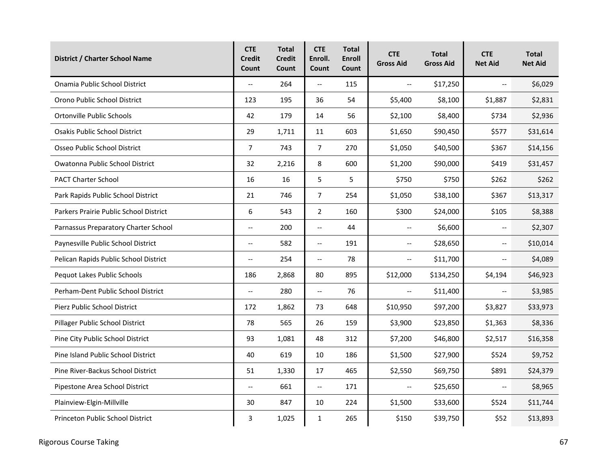| District / Charter School Name         | <b>CTE</b><br><b>Credit</b><br>Count | <b>Total</b><br><b>Credit</b><br>Count | <b>CTE</b><br>Enroll.<br>Count | <b>Total</b><br><b>Enroll</b><br>Count | <b>CTE</b><br><b>Gross Aid</b> | <b>Total</b><br><b>Gross Aid</b> | <b>CTE</b><br><b>Net Aid</b> | <b>Total</b><br><b>Net Aid</b> |
|----------------------------------------|--------------------------------------|----------------------------------------|--------------------------------|----------------------------------------|--------------------------------|----------------------------------|------------------------------|--------------------------------|
| Onamia Public School District          | $\overline{\phantom{a}}$             | 264                                    | $\overline{\phantom{a}}$       | 115                                    | $\overline{\phantom{a}}$       | \$17,250                         | $\overline{\phantom{a}}$     | \$6,029                        |
| Orono Public School District           | 123                                  | 195                                    | 36                             | 54                                     | \$5,400                        | \$8,100                          | \$1,887                      | \$2,831                        |
| Ortonville Public Schools              | 42                                   | 179                                    | 14                             | 56                                     | \$2,100                        | \$8,400                          | \$734                        | \$2,936                        |
| <b>Osakis Public School District</b>   | 29                                   | 1,711                                  | 11                             | 603                                    | \$1,650                        | \$90,450                         | \$577                        | \$31,614                       |
| Osseo Public School District           | $\overline{7}$                       | 743                                    | $\overline{7}$                 | 270                                    | \$1,050                        | \$40,500                         | \$367                        | \$14,156                       |
| Owatonna Public School District        | 32                                   | 2,216                                  | 8                              | 600                                    | \$1,200                        | \$90,000                         | \$419                        | \$31,457                       |
| <b>PACT Charter School</b>             | 16                                   | 16                                     | 5                              | 5                                      | \$750                          | \$750                            | \$262                        | \$262                          |
| Park Rapids Public School District     | 21                                   | 746                                    | 7                              | 254                                    | \$1,050                        | \$38,100                         | \$367                        | \$13,317                       |
| Parkers Prairie Public School District | 6                                    | 543                                    | $\overline{2}$                 | 160                                    | \$300                          | \$24,000                         | \$105                        | \$8,388                        |
| Parnassus Preparatory Charter School   | $\overline{\phantom{a}}$             | 200                                    | $\overline{\phantom{a}}$       | 44                                     | $\overline{\phantom{a}}$       | \$6,600                          | $\overline{\phantom{a}}$     | \$2,307                        |
| Paynesville Public School District     | $-$                                  | 582                                    | $\overline{\phantom{a}}$       | 191                                    | $\overline{\phantom{m}}$       | \$28,650                         | $\overline{\phantom{a}}$     | \$10,014                       |
| Pelican Rapids Public School District  | $\overline{\phantom{a}}$             | 254                                    | $\overline{\phantom{a}}$       | 78                                     | $\overline{\phantom{a}}$       | \$11,700                         | $\overline{\phantom{a}}$     | \$4,089                        |
| Pequot Lakes Public Schools            | 186                                  | 2,868                                  | 80                             | 895                                    | \$12,000                       | \$134,250                        | \$4,194                      | \$46,923                       |
| Perham-Dent Public School District     | $\overline{\phantom{a}}$             | 280                                    | $\overline{\phantom{a}}$       | 76                                     | $\overline{\phantom{a}}$       | \$11,400                         | $\overline{\phantom{m}}$     | \$3,985                        |
| Pierz Public School District           | 172                                  | 1,862                                  | 73                             | 648                                    | \$10,950                       | \$97,200                         | \$3,827                      | \$33,973                       |
| Pillager Public School District        | 78                                   | 565                                    | 26                             | 159                                    | \$3,900                        | \$23,850                         | \$1,363                      | \$8,336                        |
| Pine City Public School District       | 93                                   | 1,081                                  | 48                             | 312                                    | \$7,200                        | \$46,800                         | \$2,517                      | \$16,358                       |
| Pine Island Public School District     | 40                                   | 619                                    | 10                             | 186                                    | \$1,500                        | \$27,900                         | \$524                        | \$9,752                        |
| Pine River-Backus School District      | 51                                   | 1,330                                  | 17                             | 465                                    | \$2,550                        | \$69,750                         | \$891                        | \$24,379                       |
| Pipestone Area School District         | $\overline{\phantom{a}}$             | 661                                    | $\overline{\phantom{a}}$       | 171                                    | $\overline{\phantom{a}}$       | \$25,650                         | $\overline{\phantom{a}}$     | \$8,965                        |
| Plainview-Elgin-Millville              | 30                                   | 847                                    | 10                             | 224                                    | \$1,500                        | \$33,600                         | \$524                        | \$11,744                       |
| Princeton Public School District       | 3                                    | 1,025                                  | 1                              | 265                                    | \$150                          | \$39,750                         | \$52                         | \$13,893                       |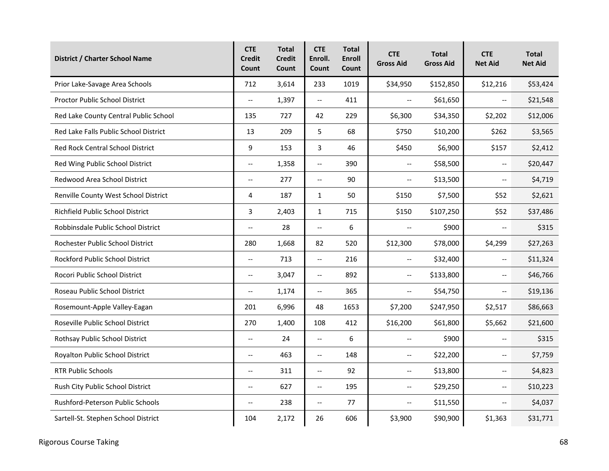| <b>District / Charter School Name</b>   | <b>CTE</b><br><b>Credit</b><br>Count | <b>Total</b><br><b>Credit</b><br>Count | <b>CTE</b><br>Enroll.<br>Count | <b>Total</b><br><b>Enroll</b><br>Count | <b>CTE</b><br><b>Gross Aid</b>                | <b>Total</b><br><b>Gross Aid</b> | <b>CTE</b><br><b>Net Aid</b> | <b>Total</b><br><b>Net Aid</b> |
|-----------------------------------------|--------------------------------------|----------------------------------------|--------------------------------|----------------------------------------|-----------------------------------------------|----------------------------------|------------------------------|--------------------------------|
| Prior Lake-Savage Area Schools          | 712                                  | 3,614                                  | 233                            | 1019                                   | \$34,950                                      | \$152,850                        | \$12,216                     | \$53,424                       |
| Proctor Public School District          | $\overline{\phantom{a}}$             | 1,397                                  | $\overline{\phantom{a}}$       | 411                                    | $\overline{\phantom{a}}$                      | \$61,650                         | $\overline{\phantom{a}}$     | \$21,548                       |
| Red Lake County Central Public School   | 135                                  | 727                                    | 42                             | 229                                    | \$6,300                                       | \$34,350                         | \$2,202                      | \$12,006                       |
| Red Lake Falls Public School District   | 13                                   | 209                                    | 5                              | 68                                     | \$750                                         | \$10,200                         | \$262                        | \$3,565                        |
| Red Rock Central School District        | 9                                    | 153                                    | 3                              | 46                                     | \$450                                         | \$6,900                          | \$157                        | \$2,412                        |
| Red Wing Public School District         | $\overline{\phantom{a}}$             | 1,358                                  | $\overline{\phantom{a}}$       | 390                                    | $\overline{\phantom{a}}$                      | \$58,500                         | $\overline{\phantom{a}}$     | \$20,447                       |
| Redwood Area School District            | $-$                                  | 277                                    | $\overline{\phantom{a}}$       | 90                                     | $\overline{\phantom{a}}$                      | \$13,500                         | $\overline{a}$               | \$4,719                        |
| Renville County West School District    | 4                                    | 187                                    | $\mathbf{1}$                   | 50                                     | \$150                                         | \$7,500                          | \$52                         | \$2,621                        |
| Richfield Public School District        | 3                                    | 2,403                                  | 1                              | 715                                    | \$150                                         | \$107,250                        | \$52                         | \$37,486                       |
| Robbinsdale Public School District      | $\overline{\phantom{a}}$             | 28                                     | $\overline{a}$                 | 6                                      | $\mathord{\hspace{1pt}\text{--}\hspace{1pt}}$ | \$900                            | $\overline{a}$               | \$315                          |
| Rochester Public School District        | 280                                  | 1,668                                  | 82                             | 520                                    | \$12,300                                      | \$78,000                         | \$4,299                      | \$27,263                       |
| <b>Rockford Public School District</b>  | $\overline{a}$                       | 713                                    | $\overline{\phantom{a}}$       | 216                                    | $\overline{\phantom{a}}$                      | \$32,400                         | $\overline{\phantom{a}}$     | \$11,324                       |
| Rocori Public School District           | $\overline{\phantom{a}}$             | 3,047                                  | $\overline{\phantom{a}}$       | 892                                    | $\mathord{\hspace{1pt}\text{--}\hspace{1pt}}$ | \$133,800                        | $\overline{\phantom{m}}$     | \$46,766                       |
| Roseau Public School District           | $\overline{\phantom{a}}$             | 1,174                                  | $\overline{\phantom{a}}$       | 365                                    | $\overline{\phantom{a}}$                      | \$54,750                         | $\overline{\phantom{a}}$     | \$19,136                       |
| Rosemount-Apple Valley-Eagan            | 201                                  | 6,996                                  | 48                             | 1653                                   | \$7,200                                       | \$247,950                        | \$2,517                      | \$86,663                       |
| Roseville Public School District        | 270                                  | 1,400                                  | 108                            | 412                                    | \$16,200                                      | \$61,800                         | \$5,662                      | \$21,600                       |
| Rothsay Public School District          | $\overline{\phantom{a}}$             | 24                                     | $\overline{\phantom{a}}$       | 6                                      | $\overline{\phantom{a}}$                      | \$900                            | $\overline{\phantom{a}}$     | \$315                          |
| Royalton Public School District         | $-$                                  | 463                                    | $\overline{\phantom{a}}$       | 148                                    | $\overline{\phantom{a}}$                      | \$22,200                         | $\overline{\phantom{a}}$     | \$7,759                        |
| <b>RTR Public Schools</b>               | $-$                                  | 311                                    | $\overline{a}$                 | 92                                     | $\overline{\phantom{m}}$                      | \$13,800                         | $\overline{\phantom{a}}$     | \$4,823                        |
| Rush City Public School District        | $\overline{\phantom{m}}$             | 627                                    | $\overline{\phantom{a}}$       | 195                                    | $\overline{\phantom{m}}$                      | \$29,250                         | $\overline{\phantom{m}}$     | \$10,223                       |
| <b>Rushford-Peterson Public Schools</b> | $\overline{\phantom{a}}$             | 238                                    | $\hspace{0.05cm} \ldots$       | 77                                     | $\overline{\phantom{a}}$                      | \$11,550                         | $\overline{\phantom{a}}$     | \$4,037                        |
| Sartell-St. Stephen School District     | 104                                  | 2,172                                  | 26                             | 606                                    | \$3,900                                       | \$90,900                         | \$1,363                      | \$31,771                       |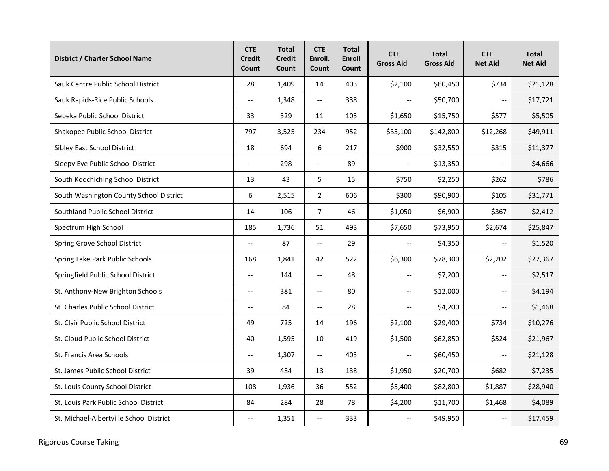| <b>District / Charter School Name</b>   | <b>CTE</b><br><b>Credit</b><br>Count | <b>Total</b><br><b>Credit</b><br>Count | <b>CTE</b><br>Enroll.<br>Count | <b>Total</b><br><b>Enroll</b><br>Count | <b>CTE</b><br><b>Gross Aid</b>                | <b>Total</b><br><b>Gross Aid</b> | <b>CTE</b><br><b>Net Aid</b> | <b>Total</b><br><b>Net Aid</b> |
|-----------------------------------------|--------------------------------------|----------------------------------------|--------------------------------|----------------------------------------|-----------------------------------------------|----------------------------------|------------------------------|--------------------------------|
| Sauk Centre Public School District      | 28                                   | 1,409                                  | 14                             | 403                                    | \$2,100                                       | \$60,450                         | \$734                        | \$21,128                       |
| Sauk Rapids-Rice Public Schools         | $\overline{\phantom{a}}$             | 1,348                                  | $\overline{\phantom{a}}$       | 338                                    | $\overline{\phantom{a}}$                      | \$50,700                         | $\overline{\phantom{a}}$     | \$17,721                       |
| Sebeka Public School District           | 33                                   | 329                                    | 11                             | 105                                    | \$1,650                                       | \$15,750                         | \$577                        | \$5,505                        |
| Shakopee Public School District         | 797                                  | 3,525                                  | 234                            | 952                                    | \$35,100                                      | \$142,800                        | \$12,268                     | \$49,911                       |
| Sibley East School District             | 18                                   | 694                                    | 6                              | 217                                    | \$900                                         | \$32,550                         | \$315                        | \$11,377                       |
| Sleepy Eye Public School District       | $\overline{\phantom{a}}$             | 298                                    | $\overline{\phantom{a}}$       | 89                                     | $\bar{\mathbb{Z}}$                            | \$13,350                         | $\overline{\phantom{a}}$     | \$4,666                        |
| South Koochiching School District       | 13                                   | 43                                     | 5                              | 15                                     | \$750                                         | \$2,250                          | \$262                        | \$786                          |
| South Washington County School District | 6                                    | 2,515                                  | $\overline{2}$                 | 606                                    | \$300                                         | \$90,900                         | \$105                        | \$31,771                       |
| Southland Public School District        | 14                                   | 106                                    | 7                              | 46                                     | \$1,050                                       | \$6,900                          | \$367                        | \$2,412                        |
| Spectrum High School                    | 185                                  | 1,736                                  | 51                             | 493                                    | \$7,650                                       | \$73,950                         | \$2,674                      | \$25,847                       |
| Spring Grove School District            | $\overline{\phantom{a}}$             | 87                                     | --                             | 29                                     | $\mathord{\hspace{1pt}\text{--}\hspace{1pt}}$ | \$4,350                          | $\overline{\phantom{m}}$     | \$1,520                        |
| Spring Lake Park Public Schools         | 168                                  | 1,841                                  | 42                             | 522                                    | \$6,300                                       | \$78,300                         | \$2,202                      | \$27,367                       |
| Springfield Public School District      | $\overline{\phantom{a}}$             | 144                                    | $\overline{\phantom{a}}$       | 48                                     | $\overline{\phantom{a}}$                      | \$7,200                          | $\overline{\phantom{m}}$     | \$2,517                        |
| St. Anthony-New Brighton Schools        | $\overline{\phantom{a}}$             | 381                                    | $\overline{\phantom{a}}$       | 80                                     | $\overline{\phantom{a}}$                      | \$12,000                         | $\overline{\phantom{a}}$     | \$4,194                        |
| St. Charles Public School District      | $\overline{\phantom{a}}$             | 84                                     | $\overline{\phantom{a}}$       | 28                                     | $\overline{\phantom{m}}$                      | \$4,200                          | $\overline{\phantom{m}}$     | \$1,468                        |
| St. Clair Public School District        | 49                                   | 725                                    | 14                             | 196                                    | \$2,100                                       | \$29,400                         | \$734                        | \$10,276                       |
| St. Cloud Public School District        | 40                                   | 1,595                                  | 10                             | 419                                    | \$1,500                                       | \$62,850                         | \$524                        | \$21,967                       |
| St. Francis Area Schools                | $\overline{\phantom{a}}$             | 1,307                                  | $\overline{\phantom{a}}$       | 403                                    | $\overline{\phantom{a}}$                      | \$60,450                         | $\overline{\phantom{a}}$     | \$21,128                       |
| St. James Public School District        | 39                                   | 484                                    | 13                             | 138                                    | \$1,950                                       | \$20,700                         | \$682                        | \$7,235                        |
| St. Louis County School District        | 108                                  | 1,936                                  | 36                             | 552                                    | \$5,400                                       | \$82,800                         | \$1,887                      | \$28,940                       |
| St. Louis Park Public School District   | 84                                   | 284                                    | 28                             | 78                                     | \$4,200                                       | \$11,700                         | \$1,468                      | \$4,089                        |
| St. Michael-Albertville School District | $\overline{\phantom{m}}$             | 1,351                                  | --                             | 333                                    | $\overline{\phantom{a}}$                      | \$49,950                         | $\overline{\phantom{m}}$     | \$17,459                       |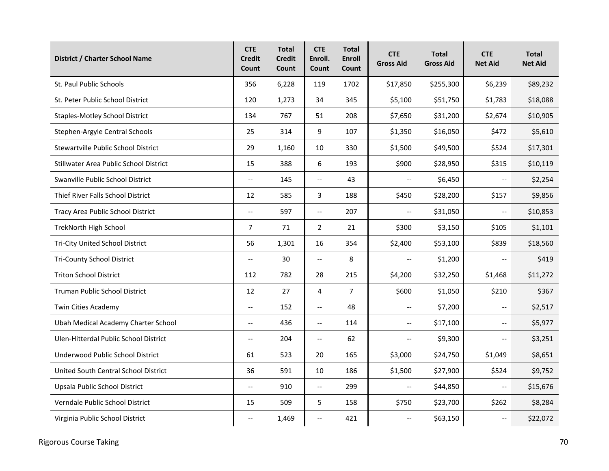| District / Charter School Name                | <b>CTE</b><br><b>Credit</b><br>Count | <b>Total</b><br><b>Credit</b><br>Count | <b>CTE</b><br>Enroll.<br>Count | <b>Total</b><br><b>Enroll</b><br>Count | <b>CTE</b><br><b>Gross Aid</b> | <b>Total</b><br><b>Gross Aid</b> | <b>CTE</b><br><b>Net Aid</b> | <b>Total</b><br><b>Net Aid</b> |
|-----------------------------------------------|--------------------------------------|----------------------------------------|--------------------------------|----------------------------------------|--------------------------------|----------------------------------|------------------------------|--------------------------------|
| St. Paul Public Schools                       | 356                                  | 6,228                                  | 119                            | 1702                                   | \$17,850                       | \$255,300                        | \$6,239                      | \$89,232                       |
| St. Peter Public School District              | 120                                  | 1,273                                  | 34                             | 345                                    | \$5,100                        | \$51,750                         | \$1,783                      | \$18,088                       |
| <b>Staples-Motley School District</b>         | 134                                  | 767                                    | 51                             | 208                                    | \$7,650                        | \$31,200                         | \$2,674                      | \$10,905                       |
| Stephen-Argyle Central Schools                | 25                                   | 314                                    | 9                              | 107                                    | \$1,350                        | \$16,050                         | \$472                        | \$5,610                        |
| Stewartville Public School District           | 29                                   | 1,160                                  | 10                             | 330                                    | \$1,500                        | \$49,500                         | \$524                        | \$17,301                       |
| <b>Stillwater Area Public School District</b> | 15                                   | 388                                    | 6                              | 193                                    | \$900                          | \$28,950                         | \$315                        | \$10,119                       |
| Swanville Public School District              | $\overline{a}$                       | 145                                    | $\overline{\phantom{a}}$       | 43                                     | $\overline{\phantom{a}}$       | \$6,450                          | $\overline{\phantom{a}}$     | \$2,254                        |
| Thief River Falls School District             | 12                                   | 585                                    | 3                              | 188                                    | \$450                          | \$28,200                         | \$157                        | \$9,856                        |
| Tracy Area Public School District             | $\overline{a}$                       | 597                                    | $\overline{\phantom{a}}$       | 207                                    | $\overline{\phantom{m}}$       | \$31,050                         | $\overline{a}$               | \$10,853                       |
| <b>TrekNorth High School</b>                  | $\overline{7}$                       | 71                                     | $\overline{2}$                 | 21                                     | \$300                          | \$3,150                          | \$105                        | \$1,101                        |
| Tri-City United School District               | 56                                   | 1,301                                  | 16                             | 354                                    | \$2,400                        | \$53,100                         | \$839                        | \$18,560                       |
| <b>Tri-County School District</b>             | $\overline{\phantom{a}}$             | 30                                     | $\overline{\phantom{a}}$       | 8                                      | $\overline{\phantom{a}}$       | \$1,200                          | $\overline{\phantom{a}}$     | \$419                          |
| <b>Triton School District</b>                 | 112                                  | 782                                    | 28                             | 215                                    | \$4,200                        | \$32,250                         | \$1,468                      | \$11,272                       |
| <b>Truman Public School District</b>          | 12                                   | 27                                     | 4                              | $\overline{7}$                         | \$600                          | \$1,050                          | \$210                        | \$367                          |
| Twin Cities Academy                           | $\overline{\phantom{a}}$             | 152                                    | <u></u>                        | 48                                     | $\overline{\phantom{a}}$       | \$7,200                          | $\overline{\phantom{a}}$     | \$2,517                        |
| Ubah Medical Academy Charter School           | $\overline{\phantom{m}}$             | 436                                    | $\overline{\phantom{a}}$       | 114                                    | $\overline{\phantom{m}}$       | \$17,100                         | $\overline{\phantom{a}}$     | \$5,977                        |
| Ulen-Hitterdal Public School District         | $-$                                  | 204                                    | $\overline{\phantom{a}}$       | 62                                     | $\overline{\phantom{a}}$       | \$9,300                          | $\overline{\phantom{a}}$     | \$3,251                        |
| Underwood Public School District              | 61                                   | 523                                    | 20                             | 165                                    | \$3,000                        | \$24,750                         | \$1,049                      | \$8,651                        |
| United South Central School District          | 36                                   | 591                                    | 10                             | 186                                    | \$1,500                        | \$27,900                         | \$524                        | \$9,752                        |
| Upsala Public School District                 | $\overline{\phantom{a}}$             | 910                                    | $\overline{\phantom{a}}$       | 299                                    | $\overline{\phantom{a}}$       | \$44,850                         | $\overline{\phantom{a}}$     | \$15,676                       |
| Verndale Public School District               | 15                                   | 509                                    | 5                              | 158                                    | \$750                          | \$23,700                         | \$262                        | \$8,284                        |
| Virginia Public School District               | $\overline{\phantom{a}}$             | 1,469                                  | --                             | 421                                    | $\overline{\phantom{a}}$       | \$63,150                         | $\overline{\phantom{a}}$     | \$22,072                       |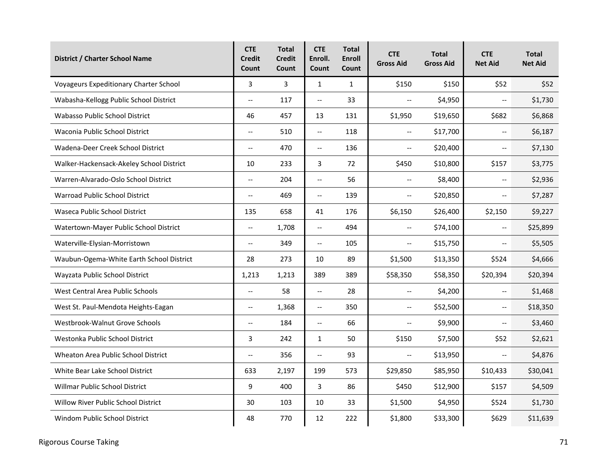| <b>District / Charter School Name</b>         | <b>CTE</b><br><b>Credit</b><br>Count | <b>Total</b><br><b>Credit</b><br>Count | <b>CTE</b><br>Enroll.<br>Count | <b>Total</b><br><b>Enroll</b><br>Count | <b>CTE</b><br><b>Gross Aid</b> | <b>Total</b><br><b>Gross Aid</b> | <b>CTE</b><br><b>Net Aid</b> | <b>Total</b><br><b>Net Aid</b> |
|-----------------------------------------------|--------------------------------------|----------------------------------------|--------------------------------|----------------------------------------|--------------------------------|----------------------------------|------------------------------|--------------------------------|
| <b>Voyageurs Expeditionary Charter School</b> | 3                                    | 3                                      | $\mathbf{1}$                   | $\mathbf{1}$                           | \$150                          | \$150                            | \$52                         | \$52                           |
| Wabasha-Kellogg Public School District        | $\overline{\phantom{a}}$             | 117                                    | <u></u>                        | 33                                     | $\overline{\phantom{a}}$       | \$4,950                          | $\overline{\phantom{a}}$     | \$1,730                        |
| <b>Wabasso Public School District</b>         | 46                                   | 457                                    | 13                             | 131                                    | \$1,950                        | \$19,650                         | \$682                        | \$6,868                        |
| Waconia Public School District                | $\overline{\phantom{m}}$             | 510                                    | $\overline{\phantom{a}}$       | 118                                    | $\overline{\phantom{m}}$       | \$17,700                         | $\overline{\phantom{a}}$     | \$6,187                        |
| Wadena-Deer Creek School District             | $-$                                  | 470                                    | $\overline{\phantom{m}}$       | 136                                    | $\overline{\phantom{m}}$       | \$20,400                         | $\overline{\phantom{a}}$     | \$7,130                        |
| Walker-Hackensack-Akeley School District      | 10                                   | 233                                    | 3                              | 72                                     | \$450                          | \$10,800                         | \$157                        | \$3,775                        |
| Warren-Alvarado-Oslo School District          | $\overline{a}$                       | 204                                    | $\overline{a}$                 | 56                                     | $\overline{\phantom{a}}$       | \$8,400                          | $\overline{\phantom{a}}$     | \$2,936                        |
| Warroad Public School District                | $\overline{\phantom{a}}$             | 469                                    | $\overline{\phantom{a}}$       | 139                                    | $\overline{\phantom{m}}$       | \$20,850                         | $\overline{\phantom{a}}$     | \$7,287                        |
| Waseca Public School District                 | 135                                  | 658                                    | 41                             | 176                                    | \$6,150                        | \$26,400                         | \$2,150                      | \$9,227                        |
| Watertown-Mayer Public School District        | $\overline{a}$                       | 1,708                                  | $\overline{\phantom{a}}$       | 494                                    | $\overline{\phantom{m}}$       | \$74,100                         | $\overline{\phantom{a}}$     | \$25,899                       |
| Waterville-Elysian-Morristown                 | $\overline{\phantom{a}}$             | 349                                    | $\overline{\phantom{a}}$       | 105                                    | $\overline{\phantom{a}}$       | \$15,750                         | $\overline{\phantom{a}}$     | \$5,505                        |
| Waubun-Ogema-White Earth School District      | 28                                   | 273                                    | 10                             | 89                                     | \$1,500                        | \$13,350                         | \$524                        | \$4,666                        |
| Wayzata Public School District                | 1,213                                | 1,213                                  | 389                            | 389                                    | \$58,350                       | \$58,350                         | \$20,394                     | \$20,394                       |
| West Central Area Public Schools              | $\overline{a}$                       | 58                                     | $\overline{\phantom{a}}$       | 28                                     | $\overline{\phantom{a}}$       | \$4,200                          | $\mathbf{u}$                 | \$1,468                        |
| West St. Paul-Mendota Heights-Eagan           | $\overline{\phantom{a}}$             | 1,368                                  | $\overline{\phantom{a}}$       | 350                                    | $\overline{\phantom{m}}$       | \$52,500                         | $\overline{\phantom{a}}$     | \$18,350                       |
| Westbrook-Walnut Grove Schools                | $-$                                  | 184                                    | $\overline{\phantom{a}}$       | 66                                     | $\overline{\phantom{a}}$       | \$9,900                          | $\overline{\phantom{a}}$     | \$3,460                        |
| Westonka Public School District               | 3                                    | 242                                    | $\mathbf{1}$                   | 50                                     | \$150                          | \$7,500                          | \$52                         | \$2,621                        |
| <b>Wheaton Area Public School District</b>    | $\overline{\phantom{a}}$             | 356                                    | $\overline{\phantom{a}}$       | 93                                     | $\overline{\phantom{m}}$       | \$13,950                         | $\overline{\phantom{a}}$     | \$4,876                        |
| White Bear Lake School District               | 633                                  | 2,197                                  | 199                            | 573                                    | \$29,850                       | \$85,950                         | \$10,433                     | \$30,041                       |
| Willmar Public School District                | 9                                    | 400                                    | 3                              | 86                                     | \$450                          | \$12,900                         | \$157                        | \$4,509                        |
| <b>Willow River Public School District</b>    | 30                                   | 103                                    | 10                             | 33                                     | \$1,500                        | \$4,950                          | \$524                        | \$1,730                        |
| Windom Public School District                 | 48                                   | 770                                    | 12                             | 222                                    | \$1,800                        | \$33,300                         | \$629                        | \$11,639                       |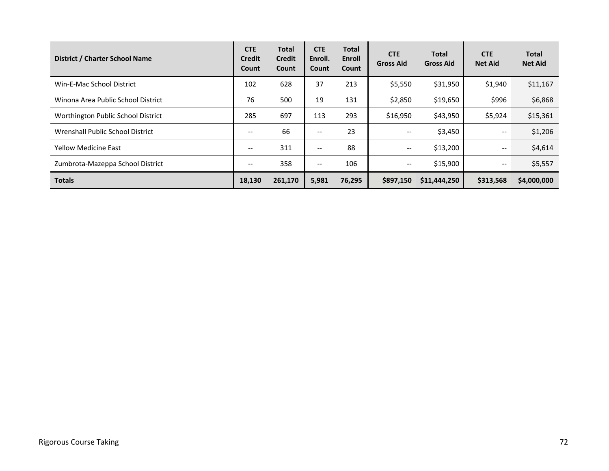| District / Charter School Name     | <b>CTE</b><br><b>Credit</b><br>Count | Total<br><b>Credit</b><br>Count | <b>CTE</b><br>Enroll.<br><b>Count</b> | Total<br><b>Enroll</b><br>Count | <b>CTE</b><br><b>Gross Aid</b> | <b>Total</b><br><b>Gross Aid</b> | <b>CTE</b><br><b>Net Aid</b>  | <b>Total</b><br><b>Net Aid</b> |
|------------------------------------|--------------------------------------|---------------------------------|---------------------------------------|---------------------------------|--------------------------------|----------------------------------|-------------------------------|--------------------------------|
| Win-E-Mac School District          | 102                                  | 628                             | 37                                    | 213                             | \$5,550                        | \$31,950                         | \$1,940                       | \$11,167                       |
| Winona Area Public School District | 76                                   | 500                             | 19                                    | 131                             | \$2,850                        | \$19,650                         | \$996                         | \$6,868                        |
| Worthington Public School District | 285                                  | 697                             | 113                                   | 293                             | \$16,950                       | \$43,950                         | \$5,924                       | \$15,361                       |
| Wrenshall Public School District   | --                                   | 66                              | $\overline{\phantom{a}}$              | 23                              | $\overline{\phantom{m}}$       | \$3,450                          | $\overline{\phantom{m}}$      | \$1,206                        |
| <b>Yellow Medicine East</b>        | --                                   | 311                             | $\overline{\phantom{a}}$              | 88                              | $\qquad \qquad -$              | \$13,200                         | $\overline{\phantom{m}}$      | \$4,614                        |
| Zumbrota-Mazeppa School District   | --                                   | 358                             | $\overline{\phantom{a}}$              | 106                             | $\qquad \qquad -$              | \$15,900                         | $\hspace{0.05cm} \textbf{--}$ | \$5,557                        |
| <b>Totals</b>                      | 18,130                               | 261,170                         | 5,981                                 | 76,295                          | \$897,150                      | \$11,444,250                     | \$313,568                     | \$4,000,000                    |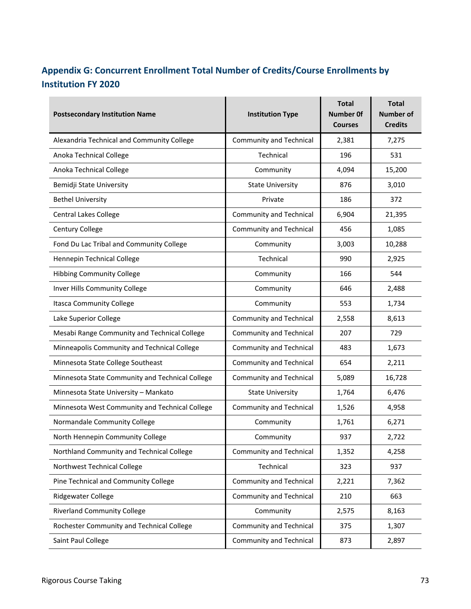## **Appendix G: Concurrent Enrollment Total Number of Credits/Course Enrollments by Institution FY 2020**

| <b>Postsecondary Institution Name</b>           | <b>Institution Type</b>        | <b>Total</b><br>Number Of<br><b>Courses</b> | Total<br><b>Number of</b><br><b>Credits</b> |
|-------------------------------------------------|--------------------------------|---------------------------------------------|---------------------------------------------|
| Alexandria Technical and Community College      | <b>Community and Technical</b> | 2,381                                       | 7,275                                       |
| Anoka Technical College                         | Technical                      | 196                                         | 531                                         |
| Anoka Technical College                         | Community                      | 4,094                                       | 15,200                                      |
| Bemidji State University                        | <b>State University</b>        | 876                                         | 3,010                                       |
| <b>Bethel University</b>                        | Private                        | 186                                         | 372                                         |
| <b>Central Lakes College</b>                    | <b>Community and Technical</b> | 6,904                                       | 21,395                                      |
| Century College                                 | <b>Community and Technical</b> | 456                                         | 1,085                                       |
| Fond Du Lac Tribal and Community College        | Community                      | 3,003                                       | 10,288                                      |
| Hennepin Technical College                      | Technical                      | 990                                         | 2,925                                       |
| <b>Hibbing Community College</b>                | Community                      | 166                                         | 544                                         |
| Inver Hills Community College                   | Community                      | 646                                         | 2,488                                       |
| <b>Itasca Community College</b>                 | Community                      | 553                                         | 1,734                                       |
| Lake Superior College                           | <b>Community and Technical</b> | 2,558                                       | 8,613                                       |
| Mesabi Range Community and Technical College    | <b>Community and Technical</b> | 207                                         | 729                                         |
| Minneapolis Community and Technical College     | Community and Technical        | 483                                         | 1,673                                       |
| Minnesota State College Southeast               | Community and Technical        | 654                                         | 2,211                                       |
| Minnesota State Community and Technical College | <b>Community and Technical</b> | 5,089                                       | 16,728                                      |
| Minnesota State University - Mankato            | <b>State University</b>        | 1,764                                       | 6,476                                       |
| Minnesota West Community and Technical College  | <b>Community and Technical</b> | 1,526                                       | 4,958                                       |
| Normandale Community College                    | Community                      | 1,761                                       | 6,271                                       |
| North Hennepin Community College                | Community                      | 937                                         | 2,722                                       |
| Northland Community and Technical College       | Community and Technical        | 1,352                                       | 4,258                                       |
| Northwest Technical College                     | Technical                      | 323                                         | 937                                         |
| Pine Technical and Community College            | <b>Community and Technical</b> | 2,221                                       | 7,362                                       |
| Ridgewater College                              | <b>Community and Technical</b> | 210                                         | 663                                         |
| <b>Riverland Community College</b>              | Community                      | 2,575                                       | 8,163                                       |
| Rochester Community and Technical College       | Community and Technical        | 375                                         | 1,307                                       |
| Saint Paul College                              | Community and Technical        | 873                                         | 2,897                                       |